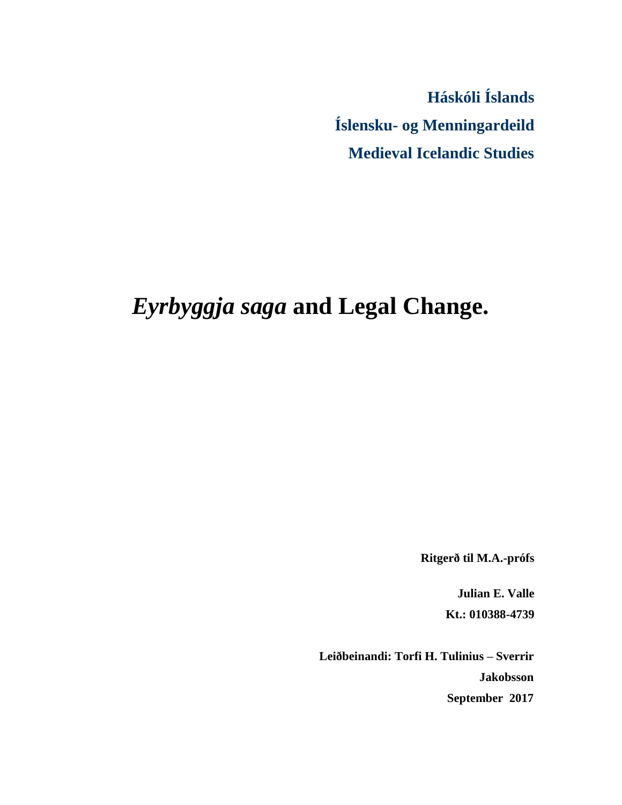**Háskóli Íslands Íslensku- og Menningardeild Medieval Icelandic Studies**

# *Eyrbyggja saga* **and Legal Change.**

**Ritgerð til M.A.-prófs** 

**Julian E. Valle Kt.: 010388-4739** 

**Leiðbeinandi: Torfi H. Tulinius – Sverrir Jakobsson September 2017**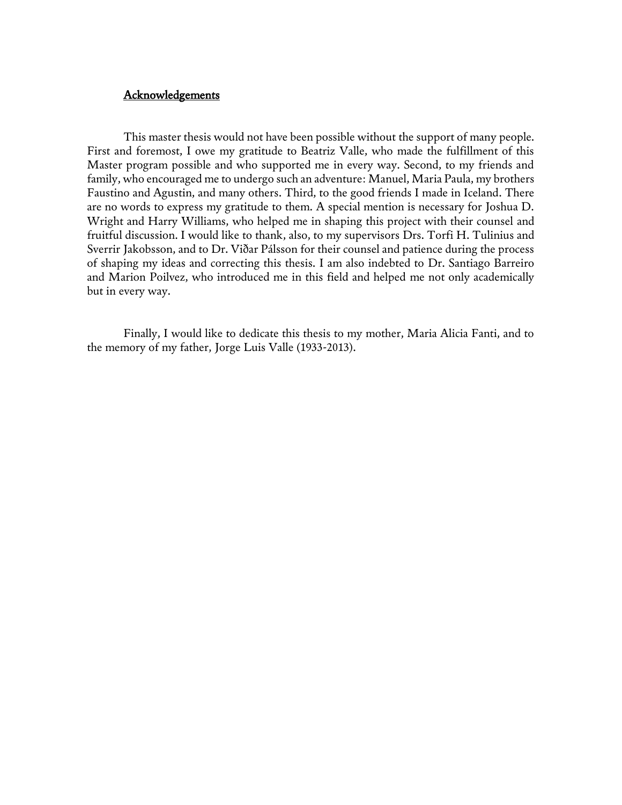## **Acknowledgements**

This master thesis would not have been possible without the support of many people. First and foremost, I owe my gratitude to Beatriz Valle, who made the fulfillment of this Master program possible and who supported me in every way. Second, to my friends and family, who encouraged me to undergo such an adventure: Manuel, Maria Paula, my brothers Faustino and Agustin, and many others. Third, to the good friends I made in Iceland. There are no words to express my gratitude to them. A special mention is necessary for Joshua D. Wright and Harry Williams, who helped me in shaping this project with their counsel and fruitful discussion. I would like to thank, also, to my supervisors Drs. Torfi H. Tulinius and Sverrir Jakobsson, and to Dr. Viðar Pálsson for their counsel and patience during the process of shaping my ideas and correcting this thesis. I am also indebted to Dr. Santiago Barreiro and Marion Poilvez, who introduced me in this field and helped me not only academically but in every way.

Finally, I would like to dedicate this thesis to my mother, Maria Alicia Fanti, and to the memory of my father, Jorge Luis Valle (1933-2013).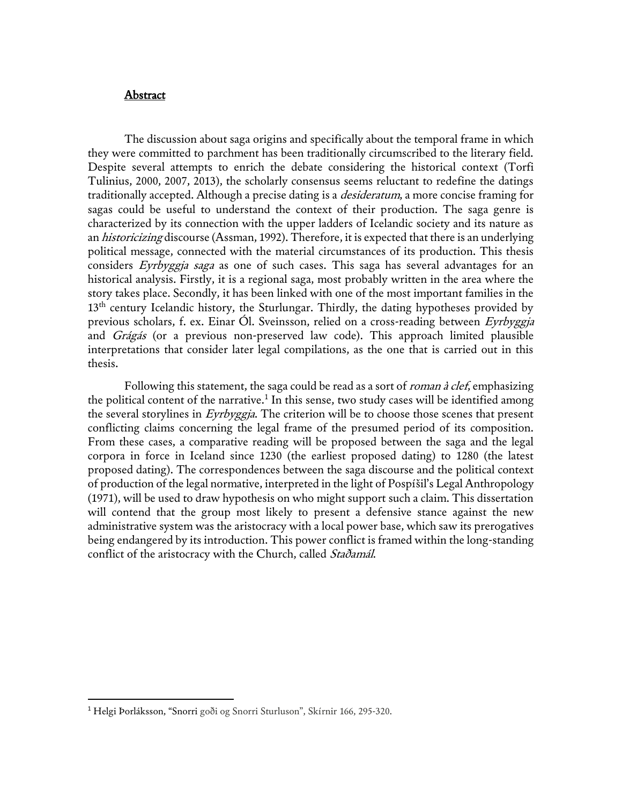#### Abstract

The discussion about saga origins and specifically about the temporal frame in which they were committed to parchment has been traditionally circumscribed to the literary field. Despite several attempts to enrich the debate considering the historical context (Torfi Tulinius, 2000, 2007, 2013), the scholarly consensus seems reluctant to redefine the datings traditionally accepted. Although a precise dating is a *desideratum*, a more concise framing for sagas could be useful to understand the context of their production. The saga genre is characterized by its connection with the upper ladders of Icelandic society and its nature as an historicizing discourse (Assman, 1992). Therefore, it is expected that there is an underlying political message, connected with the material circumstances of its production. This thesis considers Eyrbyggja saga as one of such cases. This saga has several advantages for an historical analysis. Firstly, it is a regional saga, most probably written in the area where the story takes place. Secondly, it has been linked with one of the most important families in the 13<sup>th</sup> century Icelandic history, the Sturlungar. Thirdly, the dating hypotheses provided by previous scholars, f. ex. Einar Ól. Sveinsson, relied on a cross-reading between Eyrbyggja and Grágás (or a previous non-preserved law code). This approach limited plausible interpretations that consider later legal compilations, as the one that is carried out in this thesis.

Following this statement, the saga could be read as a sort of roman à clef, emphasizing the political content of the narrative.<sup>1</sup> In this sense, two study cases will be identified among the several storylines in Eyrbyggja. The criterion will be to choose those scenes that present conflicting claims concerning the legal frame of the presumed period of its composition. From these cases, a comparative reading will be proposed between the saga and the legal corpora in force in Iceland since 1230 (the earliest proposed dating) to 1280 (the latest proposed dating). The correspondences between the saga discourse and the political context of production of the legal normative, interpreted in the light of Pospíšil's Legal Anthropology (1971), will be used to draw hypothesis on who might support such a claim. This dissertation will contend that the group most likely to present a defensive stance against the new administrative system was the aristocracy with a local power base, which saw its prerogatives being endangered by its introduction. This power conflict is framed within the long-standing conflict of the aristocracy with the Church, called Stadamál.

<sup>1</sup> Helgi Þorláksson, "Snorri goði og Snorri Sturluson", Skírnir 166, 295-320.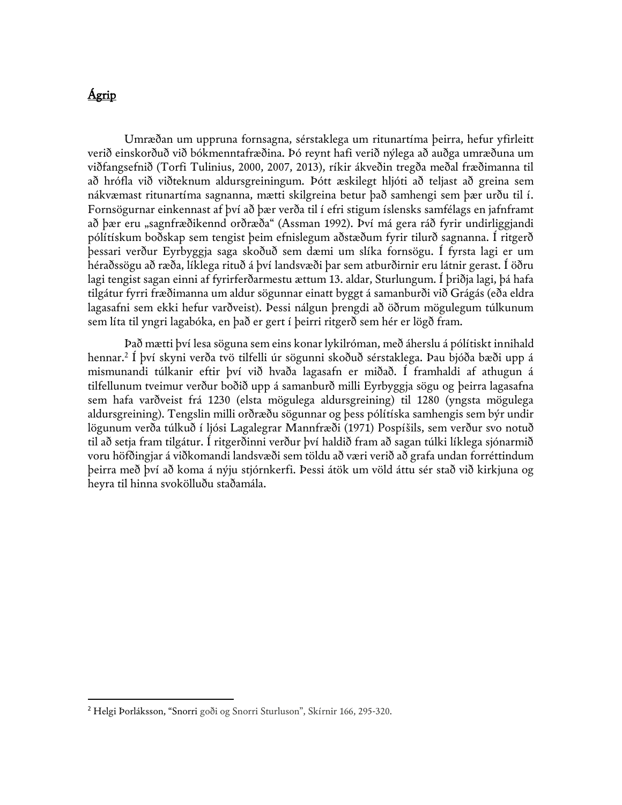# Ágrip

 $\overline{a}$ 

Umræðan um uppruna fornsagna, sérstaklega um ritunartíma þeirra, hefur yfirleitt verið einskorðuð við bókmenntafræðina. Þó reynt hafi verið nýlega að auðga umræðuna um viðfangsefnið (Torfi Tulinius, 2000, 2007, 2013), ríkir ákveðin tregða meðal fræðimanna til að hrófla við viðteknum aldursgreiningum. Þótt æskilegt hljóti að teljast að greina sem nákvæmast ritunartíma sagnanna, mætti skilgreina betur það samhengi sem þær urðu til í. Fornsögurnar einkennast af því að þær verða til í efri stigum íslensks samfélags en jafnframt að þær eru "sagnfræðikennd orðræða" (Assman 1992). Því má gera ráð fyrir undirliggjandi pólítískum boðskap sem tengist þeim efnislegum aðstæðum fyrir tilurð sagnanna. Í ritgerð þessari verður Eyrbyggja saga skoðuð sem dæmi um slíka fornsögu. Í fyrsta lagi er um héraðssögu að ræða, líklega rituð á því landsvæði þar sem atburðirnir eru látnir gerast. Í öðru lagi tengist sagan einni af fyrirferðarmestu ættum 13. aldar, Sturlungum. Í þriðja lagi, þá hafa tilgátur fyrri fræðimanna um aldur sögunnar einatt byggt á samanburði við Grágás (eða eldra lagasafni sem ekki hefur varðveist). Þessi nálgun þrengdi að öðrum mögulegum túlkunum sem líta til yngri lagabóka, en það er gert í þeirri ritgerð sem hér er lögð fram.

Það mætti því lesa söguna sem eins konar lykilróman, með áherslu á pólítiskt innihald hennar.<sup>2</sup> Í því skyni verða tvö tilfelli úr sögunni skoðuð sérstaklega. Þau bjóða bæði upp á mismunandi túlkanir eftir því við hvaða lagasafn er miðað. Í framhaldi af athugun á tilfellunum tveimur verður boðið upp á samanburð milli Eyrbyggja sögu og þeirra lagasafna sem hafa varðveist frá 1230 (elsta mögulega aldursgreining) til 1280 (yngsta mögulega aldursgreining). Tengslin milli orðræðu sögunnar og þess pólítíska samhengis sem býr undir lögunum verða túlkuð í ljósi Lagalegrar Mannfræði (1971) Pospíšils, sem verður svo notuð til að setja fram tilgátur. Í ritgerðinni verður því haldið fram að sagan túlki líklega sjónarmið voru höfðingjar á viðkomandi landsvæði sem töldu að væri verið að grafa undan forréttindum þeirra með því að koma á nýju stjórnkerfi. Þessi átök um völd áttu sér stað við kirkjuna og heyra til hinna svokölluðu staðamála.

<sup>2</sup> Helgi Þorláksson, "Snorri goði og Snorri Sturluson", Skírnir 166, 295-320.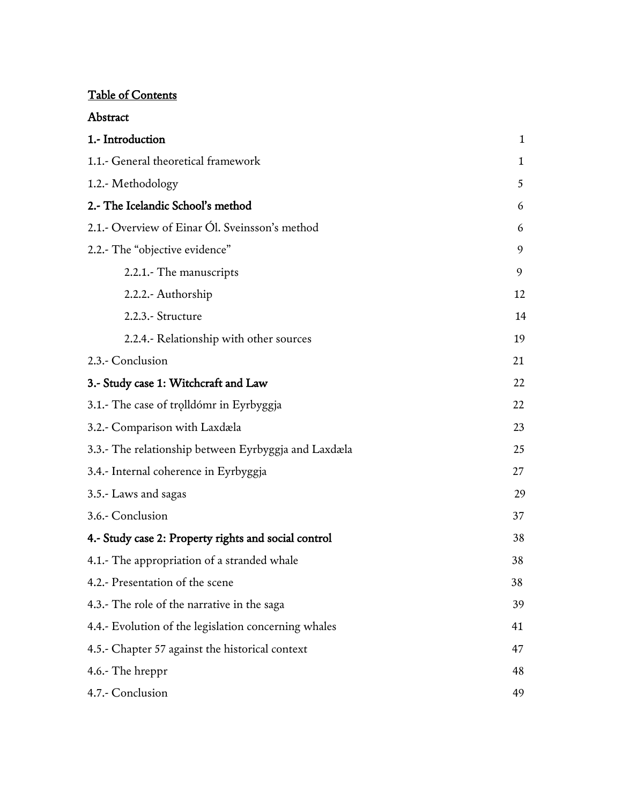## Table of Contents

| 1.- Introduction                                     | 1            |
|------------------------------------------------------|--------------|
| 1.1.- General theoretical framework                  | $\mathbf{1}$ |
| 1.2.- Methodology                                    | 5            |
| 2.- The Icelandic School's method                    | 6            |
| 2.1.- Overview of Einar Ól. Sveinsson's method       | 6            |
| 2.2.- The "objective evidence"                       | 9            |
| 2.2.1. The manuscripts                               | 9            |
| 2.2.2.- Authorship                                   | 12           |
| 2.2.3.- Structure                                    | 14           |
| 2.2.4.- Relationship with other sources              | 19           |
| 2.3.- Conclusion                                     | 21           |
| 3.- Study case 1: Witchcraft and Law                 | 22           |
| 3.1.- The case of trolldómr in Eyrbyggja             | 22           |
| 3.2.- Comparison with Laxdæla                        | 23           |
| 3.3.- The relationship between Eyrbyggja and Laxdæla | 25           |
| 3.4.- Internal coherence in Eyrbyggja                | 27           |
| 3.5.- Laws and sagas                                 | 29           |
| 3.6.- Conclusion                                     | 37           |
| 4.- Study case 2: Property rights and social control | 38           |
| 4.1.- The appropriation of a stranded whale          | 38           |
| 4.2.- Presentation of the scene                      | 38           |
| 4.3.- The role of the narrative in the saga          | 39           |
| 4.4.- Evolution of the legislation concerning whales | 41           |
| 4.5.- Chapter 57 against the historical context      | 47           |
| 4.6.- The hreppr                                     | 48           |
| 4.7.- Conclusion                                     | 49           |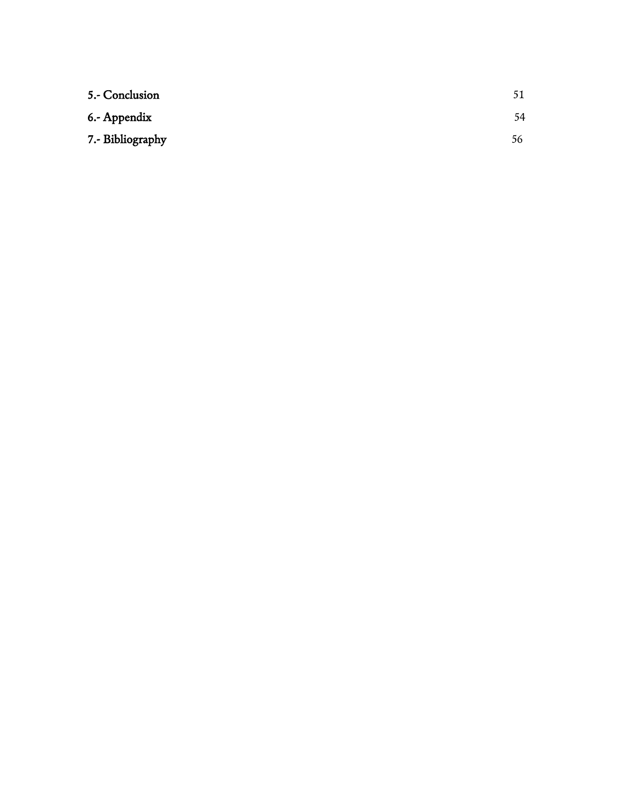| 5.- Conclusion   | 51 |
|------------------|----|
| 6.- Appendix     | 54 |
| 7.- Bibliography | 56 |
|                  |    |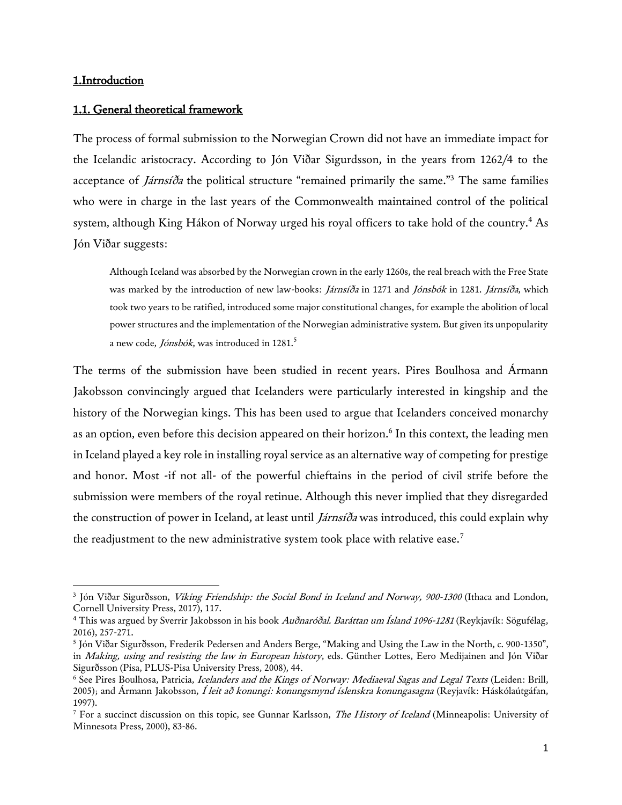## 1.Introduction

 $\overline{\phantom{a}}$ 

## 1.1. General theoretical framework

The process of formal submission to the Norwegian Crown did not have an immediate impact for the Icelandic aristocracy. According to Jón Viðar Sigurdsson, in the years from 1262/4 to the acceptance of *Járnsíða* the political structure "remained primarily the same."<sup>3</sup> The same families who were in charge in the last years of the Commonwealth maintained control of the political system, although King Hákon of Norway urged his royal officers to take hold of the country.<sup>4</sup> As Jón Viðar suggests:

Although Iceland was absorbed by the Norwegian crown in the early 1260s, the real breach with the Free State was marked by the introduction of new law-books: *Járnsíða* in 1271 and Jónsbók in 1281. Járnsíða, which took two years to be ratified, introduced some major constitutional changes, for example the abolition of local power structures and the implementation of the Norwegian administrative system. But given its unpopularity a new code, *Jónsbók*, was introduced in 1281.<sup>5</sup>

The terms of the submission have been studied in recent years. Pires Boulhosa and Ármann Jakobsson convincingly argued that Icelanders were particularly interested in kingship and the history of the Norwegian kings. This has been used to argue that Icelanders conceived monarchy as an option, even before this decision appeared on their horizon.<sup>6</sup> In this context, the leading men in Iceland played a key role in installing royal service as an alternative way of competing for prestige and honor. Most -if not all- of the powerful chieftains in the period of civil strife before the submission were members of the royal retinue. Although this never implied that they disregarded the construction of power in Iceland, at least until *Járnsíða* was introduced, this could explain why the readjustment to the new administrative system took place with relative ease.<sup>7</sup>

<sup>&</sup>lt;sup>3</sup> Jón Viðar Sigurðsson, *Viking Friendship: the Social Bond in Iceland and Norway, 900-1300* (Ithaca and London, Cornell University Press, 2017), 117.

<sup>&</sup>lt;sup>4</sup> This was argued by Sverrir Jakobsson in his book Audnaródal. Baráttan um Ísland 1096-1281 (Reykjavík: Sögufélag, 2016), 257-271.

<sup>5</sup> Jón Viðar Sigurðsson, Frederik Pedersen and Anders Berge, "Making and Using the Law in the North, c. 900-1350", in Making, using and resisting the law in European history, eds. Günther Lottes, Eero Medijainen and Jón Viðar Sigurðsson (Pisa, PLUS-Pisa University Press, 2008), 44.

<sup>&</sup>lt;sup>6</sup> See Pires Boulhosa, Patricia, Icelanders and the Kings of Norway: Mediaeval Sagas and Legal Texts (Leiden: Brill, 2005); and Ármann Jakobsson, Í leit að konungi: konungsmynd íslenskra konungasagna (Reyjavík: Háskólaútgáfan, 1997).

<sup>&</sup>lt;sup>7</sup> For a succinct discussion on this topic, see Gunnar Karlsson, *The History of Iceland* (Minneapolis: University of Minnesota Press, 2000), 83-86.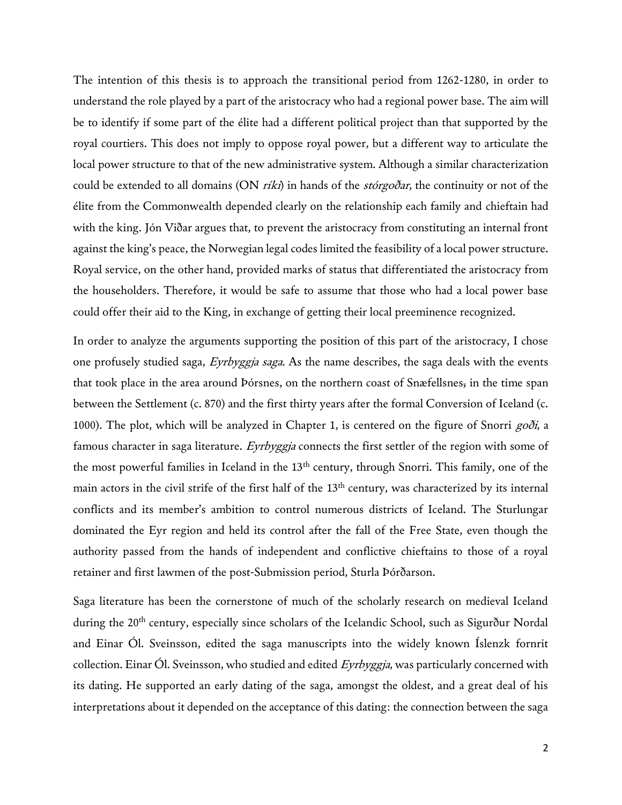The intention of this thesis is to approach the transitional period from 1262-1280, in order to understand the role played by a part of the aristocracy who had a regional power base. The aim will be to identify if some part of the élite had a different political project than that supported by the royal courtiers. This does not imply to oppose royal power, but a different way to articulate the local power structure to that of the new administrative system. Although a similar characterization could be extended to all domains (ON  $r(ki)$  in hands of the *storgodar*, the continuity or not of the élite from the Commonwealth depended clearly on the relationship each family and chieftain had with the king. Jón Viðar argues that, to prevent the aristocracy from constituting an internal front against the king's peace, the Norwegian legal codes limited the feasibility of a local power structure. Royal service, on the other hand, provided marks of status that differentiated the aristocracy from the householders. Therefore, it would be safe to assume that those who had a local power base could offer their aid to the King, in exchange of getting their local preeminence recognized.

In order to analyze the arguments supporting the position of this part of the aristocracy, I chose one profusely studied saga, *Eyrbyggja saga*. As the name describes, the saga deals with the events that took place in the area around Þórsnes, on the northern coast of Snæfellsnes, in the time span between the Settlement (c. 870) and the first thirty years after the formal Conversion of Iceland (c. 1000). The plot, which will be analyzed in Chapter 1, is centered on the figure of Snorri  $g \circ \delta i$ , a famous character in saga literature. Eyrbyggja connects the first settler of the region with some of the most powerful families in Iceland in the 13<sup>th</sup> century, through Snorri. This family, one of the main actors in the civil strife of the first half of the 13<sup>th</sup> century, was characterized by its internal conflicts and its member's ambition to control numerous districts of Iceland. The Sturlungar dominated the Eyr region and held its control after the fall of the Free State, even though the authority passed from the hands of independent and conflictive chieftains to those of a royal retainer and first lawmen of the post-Submission period, Sturla Þórðarson.

Saga literature has been the cornerstone of much of the scholarly research on medieval Iceland during the 20<sup>th</sup> century, especially since scholars of the Icelandic School, such as Sigurður Nordal and Einar Ól. Sveinsson, edited the saga manuscripts into the widely known Íslenzk fornrit collection. Einar Ól. Sveinsson, who studied and edited  $Eyrbyggja$ , was particularly concerned with its dating. He supported an early dating of the saga, amongst the oldest, and a great deal of his interpretations about it depended on the acceptance of this dating: the connection between the saga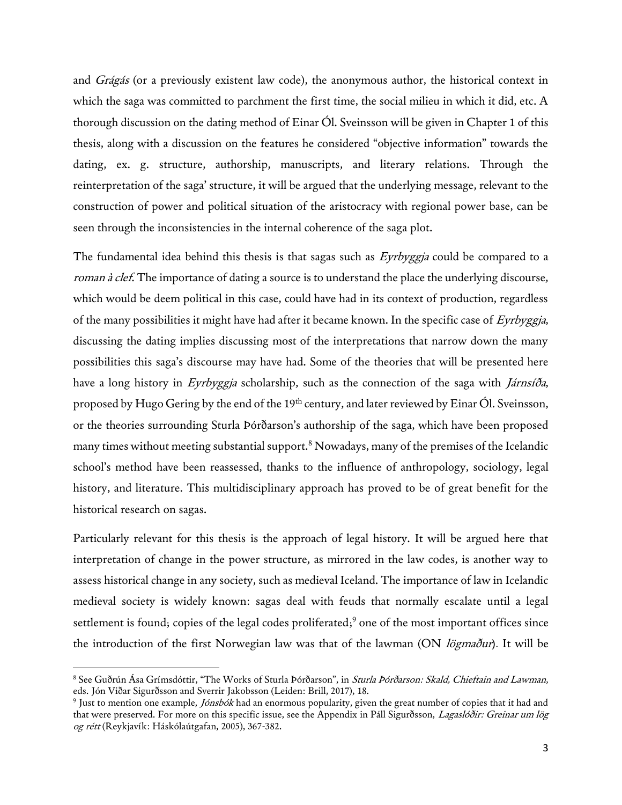and *Grágás* (or a previously existent law code), the anonymous author, the historical context in which the saga was committed to parchment the first time, the social milieu in which it did, etc. A thorough discussion on the dating method of Einar Ól. Sveinsson will be given in Chapter 1 of this thesis, along with a discussion on the features he considered "objective information" towards the dating, ex. g. structure, authorship, manuscripts, and literary relations. Through the reinterpretation of the saga' structure, it will be argued that the underlying message, relevant to the construction of power and political situation of the aristocracy with regional power base, can be seen through the inconsistencies in the internal coherence of the saga plot.

The fundamental idea behind this thesis is that sagas such as *Eyrbyggja* could be compared to a roman à clef. The importance of dating a source is to understand the place the underlying discourse, which would be deem political in this case, could have had in its context of production, regardless of the many possibilities it might have had after it became known. In the specific case of Eyrbyggia, discussing the dating implies discussing most of the interpretations that narrow down the many possibilities this saga's discourse may have had. Some of the theories that will be presented here have a long history in Eyrbyggja scholarship, such as the connection of the saga with *Járnsíða*, proposed by Hugo Gering by the end of the 19<sup>th</sup> century, and later reviewed by Einar Ól. Sveinsson, or the theories surrounding Sturla Þórðarson's authorship of the saga, which have been proposed many times without meeting substantial support.<sup>8</sup> Nowadays, many of the premises of the Icelandic school's method have been reassessed, thanks to the influence of anthropology, sociology, legal history, and literature. This multidisciplinary approach has proved to be of great benefit for the historical research on sagas.

Particularly relevant for this thesis is the approach of legal history. It will be argued here that interpretation of change in the power structure, as mirrored in the law codes, is another way to assess historical change in any society, such as medieval Iceland. The importance of law in Icelandic medieval society is widely known: sagas deal with feuds that normally escalate until a legal settlement is found; copies of the legal codes proliferated; <sup>9</sup> one of the most important offices since the introduction of the first Norwegian law was that of the lawman (ON *lögmaður*). It will be

l

<sup>&</sup>lt;sup>8</sup> See Guðrún Ása Grímsdóttir, "The Works of Sturla Þórðarson", in *Sturla Þórðarson: Skald, Chieftain and Lawman*, eds. Jón Viðar Sigurðsson and Sverrir Jakobsson (Leiden: Brill, 2017), 18.

<sup>&</sup>lt;sup>9</sup> Just to mention one example, *Jónsbók* had an enormous popularity, given the great number of copies that it had and that were preserved. For more on this specific issue, see the Appendix in Páll Sigurðsson, Lagaslóðir: Greinar um lög og rétt (Reykjavík: Háskólaútgafan, 2005), 367-382.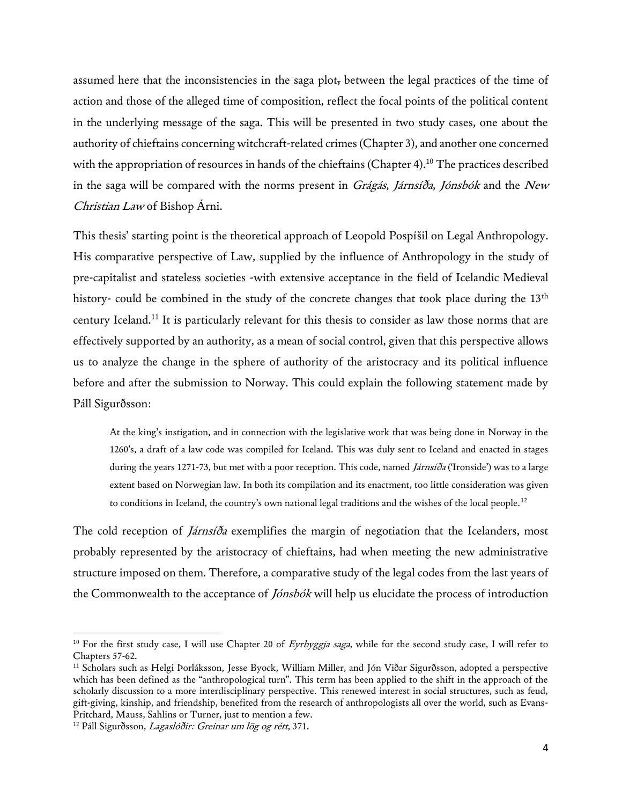assumed here that the inconsistencies in the saga plot, between the legal practices of the time of action and those of the alleged time of composition, reflect the focal points of the political content in the underlying message of the saga. This will be presented in two study cases, one about the authority of chieftains concerning witchcraft-related crimes (Chapter 3), and another one concerned with the appropriation of resources in hands of the chieftains (Chapter 4).<sup>10</sup> The practices described in the saga will be compared with the norms present in  $Grágás$ , Járnsíða, Jónsbók and the New Christian Law of Bishop Árni.

This thesis' starting point is the theoretical approach of Leopold Pospíšil on Legal Anthropology. His comparative perspective of Law, supplied by the influence of Anthropology in the study of pre-capitalist and stateless societies -with extensive acceptance in the field of Icelandic Medieval history- could be combined in the study of the concrete changes that took place during the 13<sup>th</sup> century Iceland.<sup>11</sup> It is particularly relevant for this thesis to consider as law those norms that are effectively supported by an authority, as a mean of social control, given that this perspective allows us to analyze the change in the sphere of authority of the aristocracy and its political influence before and after the submission to Norway. This could explain the following statement made by Páll Sigurðsson:

At the king's instigation, and in connection with the legislative work that was being done in Norway in the 1260's, a draft of a law code was compiled for Iceland. This was duly sent to Iceland and enacted in stages during the years 1271-73, but met with a poor reception. This code, named *Járnsíða* ('Ironside') was to a large extent based on Norwegian law. In both its compilation and its enactment, too little consideration was given to conditions in Iceland, the country's own national legal traditions and the wishes of the local people.<sup>12</sup>

The cold reception of *Járnsíða* exemplifies the margin of negotiation that the Icelanders, most probably represented by the aristocracy of chieftains, had when meeting the new administrative structure imposed on them. Therefore, a comparative study of the legal codes from the last years of the Commonwealth to the acceptance of *Jónsbók* will help us elucidate the process of introduction

<sup>&</sup>lt;sup>10</sup> For the first study case, I will use Chapter 20 of *Evrbyggja saga*, while for the second study case, I will refer to Chapters 57-62.

<sup>11</sup> Scholars such as Helgi Þorláksson, Jesse Byock, William Miller, and Jón Viðar Sigurðsson, adopted a perspective which has been defined as the "anthropological turn". This term has been applied to the shift in the approach of the scholarly discussion to a more interdisciplinary perspective. This renewed interest in social structures, such as feud, gift-giving, kinship, and friendship, benefited from the research of anthropologists all over the world, such as Evans-Pritchard, Mauss, Sahlins or Turner, just to mention a few.

<sup>&</sup>lt;sup>12</sup> Páll Sigurðsson, *Lagaslóðir: Greinar um lög og rétt*, 371.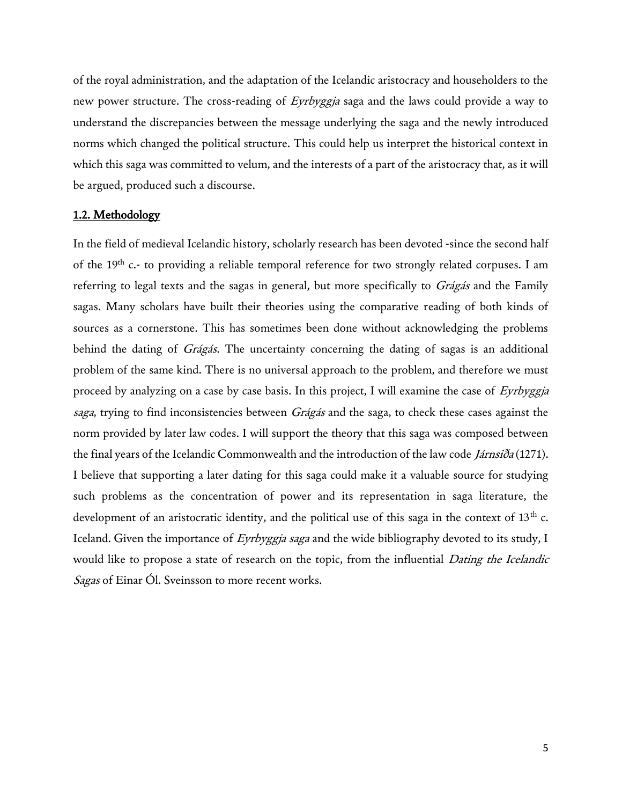of the royal administration, and the adaptation of the Icelandic aristocracy and householders to the new power structure. The cross-reading of *Eyrbyggja* saga and the laws could provide a way to understand the discrepancies between the message underlying the saga and the newly introduced norms which changed the political structure. This could help us interpret the historical context in which this saga was committed to velum, and the interests of a part of the aristocracy that, as it will be argued, produced such a discourse.

#### 1.2. Methodology

In the field of medieval Icelandic history, scholarly research has been devoted -since the second half of the 19<sup>th</sup> c.- to providing a reliable temporal reference for two strongly related corpuses. I am referring to legal texts and the sagas in general, but more specifically to Grágás and the Family sagas. Many scholars have built their theories using the comparative reading of both kinds of sources as a cornerstone. This has sometimes been done without acknowledging the problems behind the dating of *Grágás*. The uncertainty concerning the dating of sagas is an additional problem of the same kind. There is no universal approach to the problem, and therefore we must proceed by analyzing on a case by case basis. In this project, I will examine the case of Eyrbyggja saga, trying to find inconsistencies between Grágás and the saga, to check these cases against the norm provided by later law codes. I will support the theory that this saga was composed between the final years of the Icelandic Commonwealth and the introduction of the law code *Járnsiða* (1271). I believe that supporting a later dating for this saga could make it a valuable source for studying such problems as the concentration of power and its representation in saga literature, the development of an aristocratic identity, and the political use of this saga in the context of 13<sup>th</sup> c. Iceland. Given the importance of Eyrbyggja saga and the wide bibliography devoted to its study, I would like to propose a state of research on the topic, from the influential *Dating the Icelandic* Sagas of Einar Ól. Sveinsson to more recent works.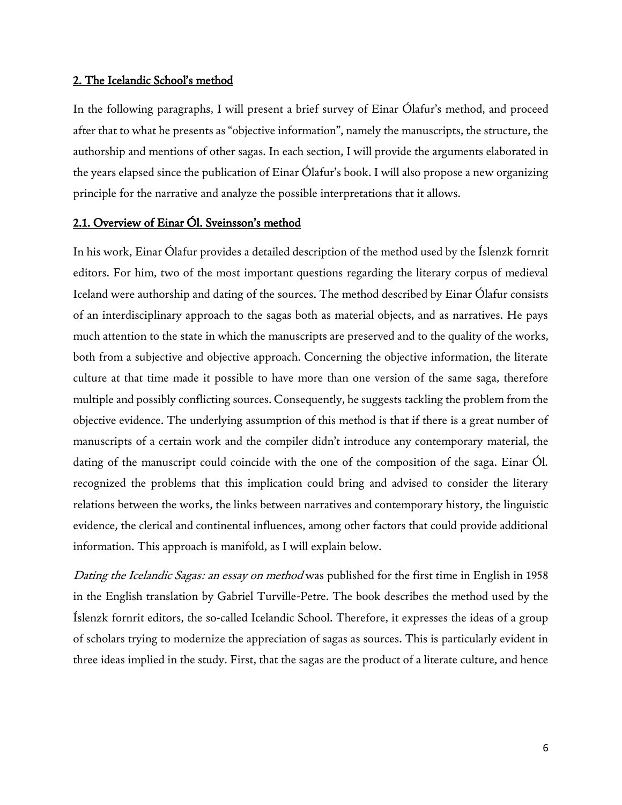## 2. The Icelandic School's method

In the following paragraphs, I will present a brief survey of Einar Ólafur's method, and proceed after that to what he presents as "objective information", namely the manuscripts, the structure, the authorship and mentions of other sagas. In each section, I will provide the arguments elaborated in the years elapsed since the publication of Einar Ólafur's book. I will also propose a new organizing principle for the narrative and analyze the possible interpretations that it allows.

## 2.1. Overview of Einar Ól. Sveinsson's method

In his work, Einar Ólafur provides a detailed description of the method used by the Íslenzk fornrit editors. For him, two of the most important questions regarding the literary corpus of medieval Iceland were authorship and dating of the sources. The method described by Einar Ólafur consists of an interdisciplinary approach to the sagas both as material objects, and as narratives. He pays much attention to the state in which the manuscripts are preserved and to the quality of the works, both from a subjective and objective approach. Concerning the objective information, the literate culture at that time made it possible to have more than one version of the same saga, therefore multiple and possibly conflicting sources. Consequently, he suggests tackling the problem from the objective evidence. The underlying assumption of this method is that if there is a great number of manuscripts of a certain work and the compiler didn't introduce any contemporary material, the dating of the manuscript could coincide with the one of the composition of the saga. Einar Ól. recognized the problems that this implication could bring and advised to consider the literary relations between the works, the links between narratives and contemporary history, the linguistic evidence, the clerical and continental influences, among other factors that could provide additional information. This approach is manifold, as I will explain below.

Dating the Icelandic Sagas: an essay on method was published for the first time in English in 1958 in the English translation by Gabriel Turville-Petre. The book describes the method used by the Íslenzk fornrit editors, the so-called Icelandic School. Therefore, it expresses the ideas of a group of scholars trying to modernize the appreciation of sagas as sources. This is particularly evident in three ideas implied in the study. First, that the sagas are the product of a literate culture, and hence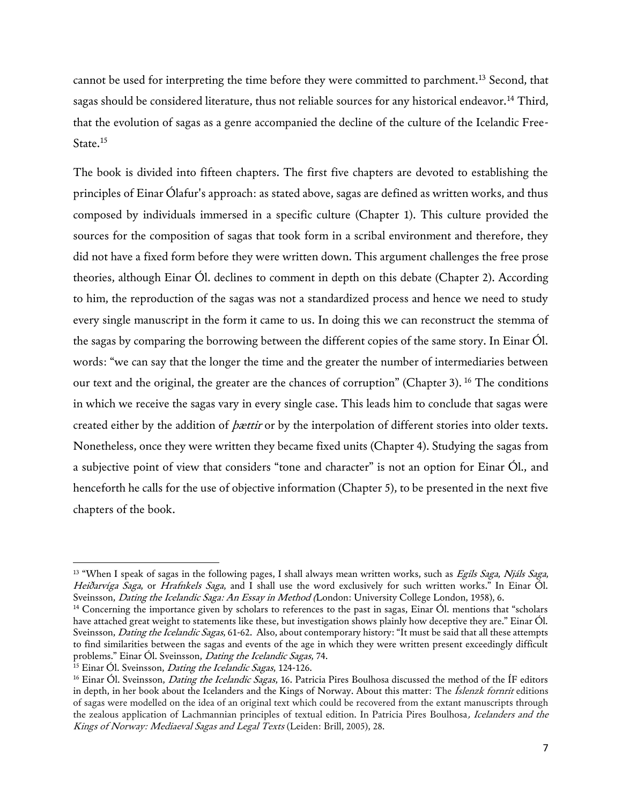cannot be used for interpreting the time before they were committed to parchment.<sup>13</sup> Second, that sagas should be considered literature, thus not reliable sources for any historical endeavor.<sup>14</sup> Third, that the evolution of sagas as a genre accompanied the decline of the culture of the Icelandic Free-State.<sup>15</sup>

The book is divided into fifteen chapters. The first five chapters are devoted to establishing the principles of Einar Ólafur's approach: as stated above, sagas are defined as written works, and thus composed by individuals immersed in a specific culture (Chapter 1). This culture provided the sources for the composition of sagas that took form in a scribal environment and therefore, they did not have a fixed form before they were written down. This argument challenges the free prose theories, although Einar Ól. declines to comment in depth on this debate (Chapter 2). According to him, the reproduction of the sagas was not a standardized process and hence we need to study every single manuscript in the form it came to us. In doing this we can reconstruct the stemma of the sagas by comparing the borrowing between the different copies of the same story. In Einar Ól. words: "we can say that the longer the time and the greater the number of intermediaries between our text and the original, the greater are the chances of corruption" (Chapter 3). <sup>16</sup> The conditions in which we receive the sagas vary in every single case. This leads him to conclude that sagas were created either by the addition of *bættir* or by the interpolation of different stories into older texts. Nonetheless, once they were written they became fixed units (Chapter 4). Studying the sagas from a subjective point of view that considers "tone and character" is not an option for Einar Ól., and henceforth he calls for the use of objective information (Chapter 5), to be presented in the next five chapters of the book.

<sup>&</sup>lt;sup>13</sup> "When I speak of sagas in the following pages, I shall always mean written works, such as Egils Saga, Njáls Saga, Heiðarvíga Saga, or Hrafnkels Saga, and I shall use the word exclusively for such written works." In Einar Ól. Sveinsson, Dating the Icelandic Saga: An Essay in Method (London: University College London, 1958), 6.

<sup>&</sup>lt;sup>14</sup> Concerning the importance given by scholars to references to the past in sagas, Einar Ól. mentions that "scholars have attached great weight to statements like these, but investigation shows plainly how deceptive they are." Einar Ól. Sveinsson, Dating the Icelandic Sagas, 61-62. Also, about contemporary history: "It must be said that all these attempts to find similarities between the sagas and events of the age in which they were written present exceedingly difficult problems." Einar Ól. Sveinsson, Dating the Icelandic Sagas, 74.

<sup>&</sup>lt;sup>15</sup> Einar Ól. Sveinsson, *Dating the Icelandic Sagas*, 124-126.

<sup>&</sup>lt;sup>16</sup> Einar Ól. Sveinsson, *Dating the Icelandic Sagas*, 16. Patricia Pires Boulhosa discussed the method of the ÍF editors in depth, in her book about the Icelanders and the Kings of Norway. About this matter: The *Íslenzk fornrit* editions of sagas were modelled on the idea of an original text which could be recovered from the extant manuscripts through the zealous application of Lachmannian principles of textual edition. In Patricia Pires Boulhosa, Icelanders and the Kings of Norway: Mediaeval Sagas and Legal Texts (Leiden: Brill, 2005), 28.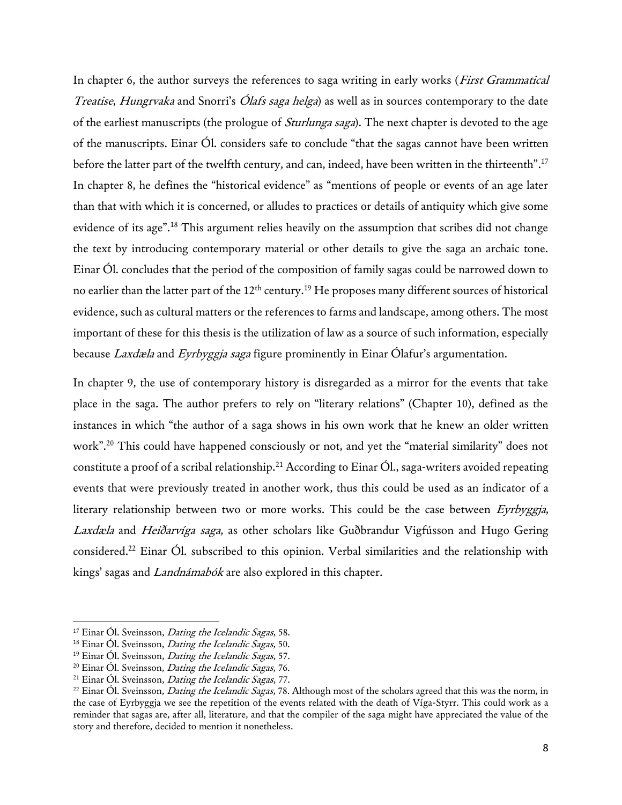In chapter 6, the author surveys the references to saga writing in early works (*First Grammatical* Treatise, Hungrvaka and Snorri's Ólafs saga helga) as well as in sources contemporary to the date of the earliest manuscripts (the prologue of *Sturlunga saga*). The next chapter is devoted to the age of the manuscripts. Einar Ól. considers safe to conclude "that the sagas cannot have been written before the latter part of the twelfth century, and can, indeed, have been written in the thirteenth". 17 In chapter 8, he defines the "historical evidence" as "mentions of people or events of an age later than that with which it is concerned, or alludes to practices or details of antiquity which give some evidence of its age".<sup>18</sup> This argument relies heavily on the assumption that scribes did not change the text by introducing contemporary material or other details to give the saga an archaic tone. Einar Ól. concludes that the period of the composition of family sagas could be narrowed down to no earlier than the latter part of the 12<sup>th</sup> century.<sup>19</sup> He proposes many different sources of historical evidence, such as cultural matters or the references to farms and landscape, among others. The most important of these for this thesis is the utilization of law as a source of such information, especially because Laxdæla and Eyrbyggja saga figure prominently in Einar Ólafur's argumentation.

In chapter 9, the use of contemporary history is disregarded as a mirror for the events that take place in the saga. The author prefers to rely on "literary relations" (Chapter 10), defined as the instances in which "the author of a saga shows in his own work that he knew an older written work".<sup>20</sup> This could have happened consciously or not, and yet the "material similarity" does not constitute a proof of a scribal relationship.<sup>21</sup> According to Einar Ól., saga-writers avoided repeating events that were previously treated in another work, thus this could be used as an indicator of a literary relationship between two or more works. This could be the case between Eyrbyggia, Laxdæla and Heiðarvíga saga, as other scholars like Guðbrandur Vigfússon and Hugo Gering considered.<sup>22</sup> Einar Ól. subscribed to this opinion. Verbal similarities and the relationship with kings' sagas and Landnámabók are also explored in this chapter.

<sup>&</sup>lt;sup>17</sup> Einar Ól. Sveinsson, *Dating the Icelandic Sagas*, 58.

<sup>&</sup>lt;sup>18</sup> Einar Ól. Sveinsson, *Dating the Icelandic Sagas*, 50.

<sup>&</sup>lt;sup>19</sup> Einar Ól. Sveinsson, *Dating the Icelandic Sagas*, 57.

<sup>&</sup>lt;sup>20</sup> Einar Ól. Sveinsson, *Dating the Icelandic Sagas*, 76.

 $21$  Einar Ól. Sveinsson, *Dating the Icelandic Sagas*, 77.

<sup>&</sup>lt;sup>22</sup> Einar Ól. Sveinsson, *Dating the Icelandic Sagas*, 78. Although most of the scholars agreed that this was the norm, in the case of Eyrbyggja we see the repetition of the events related with the death of Víga-Styrr. This could work as a reminder that sagas are, after all, literature, and that the compiler of the saga might have appreciated the value of the story and therefore, decided to mention it nonetheless.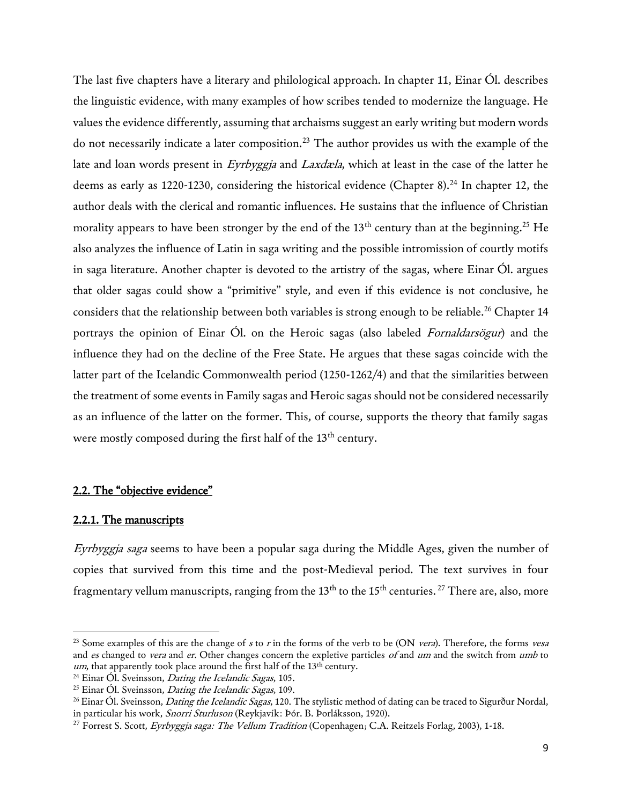The last five chapters have a literary and philological approach. In chapter 11, Einar Ól. describes the linguistic evidence, with many examples of how scribes tended to modernize the language. He values the evidence differently, assuming that archaisms suggest an early writing but modern words do not necessarily indicate a later composition.<sup>23</sup> The author provides us with the example of the late and loan words present in Eyrbyggja and Laxdæla, which at least in the case of the latter he deems as early as 1220-1230, considering the historical evidence (Chapter 8).<sup>24</sup> In chapter 12, the author deals with the clerical and romantic influences. He sustains that the influence of Christian morality appears to have been stronger by the end of the  $13<sup>th</sup>$  century than at the beginning.<sup>25</sup> He also analyzes the influence of Latin in saga writing and the possible intromission of courtly motifs in saga literature. Another chapter is devoted to the artistry of the sagas, where Einar Ól. argues that older sagas could show a "primitive" style, and even if this evidence is not conclusive, he considers that the relationship between both variables is strong enough to be reliable.<sup>26</sup> Chapter 14 portrays the opinion of Einar Ol. on the Heroic sagas (also labeled Fornaldarsögur) and the influence they had on the decline of the Free State. He argues that these sagas coincide with the latter part of the Icelandic Commonwealth period (1250-1262/4) and that the similarities between the treatment of some events in Family sagas and Heroic sagas should not be considered necessarily as an influence of the latter on the former. This, of course, supports the theory that family sagas were mostly composed during the first half of the 13<sup>th</sup> century.

#### 2.2. The "objective evidence"

#### 2.2.1. The manuscripts

l

Eyrbyggja saga seems to have been a popular saga during the Middle Ages, given the number of copies that survived from this time and the post-Medieval period. The text survives in four fragmentary vellum manuscripts, ranging from the 13<sup>th</sup> to the 15<sup>th</sup> centuries. <sup>27</sup> There are, also, more

 $23$  Some examples of this are the change of s to r in the forms of the verb to be (ON vera). Therefore, the forms vesa and es changed to vera and er. Other changes concern the expletive particles of and um and the switch from umb to um, that apparently took place around the first half of the 13<sup>th</sup> century.

 $24$  Einar Ól. Sveinsson, *Dating the Icelandic Sagas*, 105.

 $25$  Einar Ól. Sveinsson, *Dating the Icelandic Sagas*, 109.

<sup>&</sup>lt;sup>26</sup> Einar Ól. Sveinsson, *Dating the Icelandic Sagas*, 120. The stylistic method of dating can be traced to Sigurður Nordal, in particular his work, Snorri Sturluson (Reykjavík: Þór. B. Þorláksson, 1920).

<sup>&</sup>lt;sup>27</sup> Forrest S. Scott, *Eyrbyggja saga: The Vellum Tradition* (Copenhagen; C.A. Reitzels Forlag, 2003), 1-18.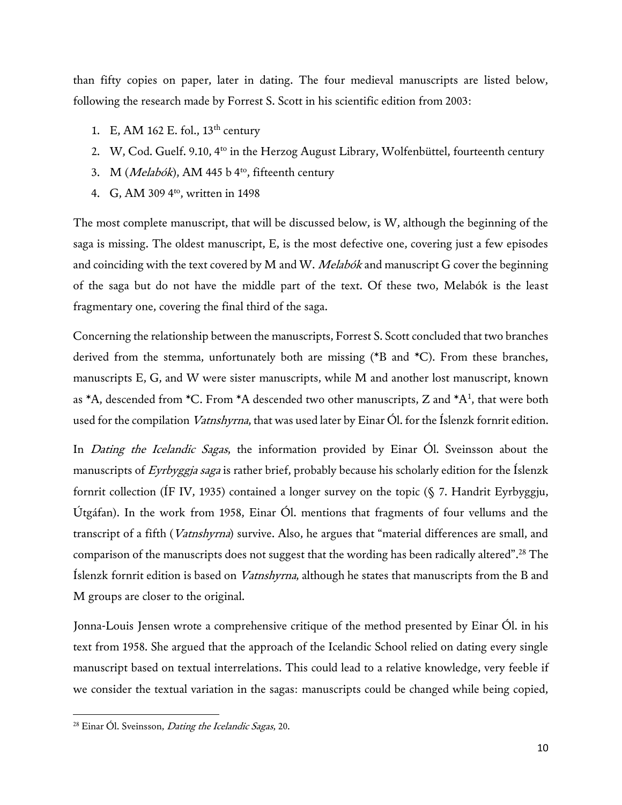than fifty copies on paper, later in dating. The four medieval manuscripts are listed below, following the research made by Forrest S. Scott in his scientific edition from 2003:

- 1. E, AM 162 E. fol.,  $13<sup>th</sup>$  century
- 2. W, Cod. Guelf. 9.10, 4<sup>to</sup> in the Herzog August Library, Wolfenbüttel, fourteenth century
- 3. M (Melabók), AM 445 b 4<sup>to</sup>, fifteenth century
- 4. G, AM 309 4<sup>to</sup>, written in 1498

The most complete manuscript, that will be discussed below, is W, although the beginning of the saga is missing. The oldest manuscript, E, is the most defective one, covering just a few episodes and coinciding with the text covered by M and W. *Melabók* and manuscript G cover the beginning of the saga but do not have the middle part of the text. Of these two, Melabók is the least fragmentary one, covering the final third of the saga.

Concerning the relationship between the manuscripts, Forrest S. Scott concluded that two branches derived from the stemma, unfortunately both are missing (\*B and \*C). From these branches, manuscripts E, G, and W were sister manuscripts, while M and another lost manuscript, known as  $*A$ , descended from  $*C$ . From  $*A$  descended two other manuscripts, Z and  $*A^1$ , that were both used for the compilation *Vatnshyrna*, that was used later by Einar Ól. for the Íslenzk fornrit edition.

In *Dating the Icelandic Sagas*, the information provided by Einar Ol. Sveinsson about the manuscripts of Eyrbyggja saga is rather brief, probably because his scholarly edition for the Íslenzk fornrit collection (ÍF IV, 1935) contained a longer survey on the topic (§ 7. Handrit Eyrbyggju, Útgáfan). In the work from 1958, Einar Ól. mentions that fragments of four vellums and the transcript of a fifth (Vatnshyrna) survive. Also, he argues that "material differences are small, and comparison of the manuscripts does not suggest that the wording has been radically altered". <sup>28</sup> The Íslenzk fornrit edition is based on Vatnshyrna, although he states that manuscripts from the B and M groups are closer to the original.

Jonna-Louis Jensen wrote a comprehensive critique of the method presented by Einar Ól. in his text from 1958. She argued that the approach of the Icelandic School relied on dating every single manuscript based on textual interrelations. This could lead to a relative knowledge, very feeble if we consider the textual variation in the sagas: manuscripts could be changed while being copied,

<sup>&</sup>lt;sup>28</sup> Einar Ól. Sveinsson, *Dating the Icelandic Sagas*, 20.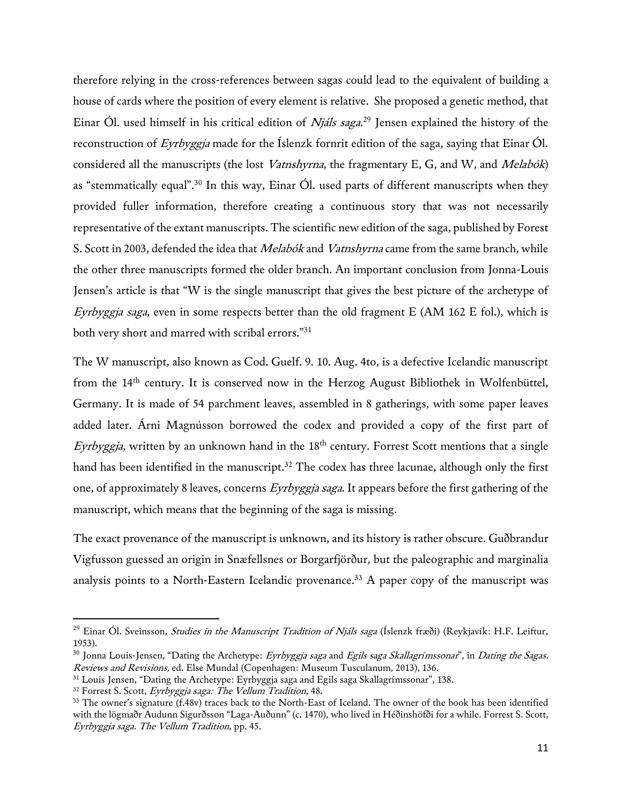therefore relying in the cross-references between sagas could lead to the equivalent of building a house of cards where the position of every element is relative. She proposed a genetic method, that Einar Ól. used himself in his critical edition of *Njáls saga*.<sup>29</sup> Jensen explained the history of the reconstruction of Eyrbyggja made for the Íslenzk fornrit edition of the saga, saying that Einar Ól. considered all the manuscripts (the lost Vatnshyrna, the fragmentary E, G, and W, and Melabók) as "stemmatically equal".<sup>30</sup> In this way, Einar Ól. used parts of different manuscripts when they provided fuller information, therefore creating a continuous story that was not necessarily representative of the extant manuscripts. The scientific new edition of the saga, published by Forest S. Scott in 2003, defended the idea that *Melabók* and *Vatnshyrna* came from the same branch, while the other three manuscripts formed the older branch. An important conclusion from Jonna-Louis Jensen's article is that "W is the single manuscript that gives the best picture of the archetype of *Eyrbyggja saga*, even in some respects better than the old fragment E (AM 162 E fol.), which is both very short and marred with scribal errors."<sup>31</sup>

The W manuscript, also known as Cod. Guelf. 9. 10. Aug. 4to, is a defective Icelandic manuscript from the 14<sup>th</sup> century. It is conserved now in the Herzog August Bibliothek in Wolfenbüttel, Germany. It is made of 54 parchment leaves, assembled in 8 gatherings, with some paper leaves added later. Árni Magnússon borrowed the codex and provided a copy of the first part of Eyrbyggja, written by an unknown hand in the  $18<sup>th</sup>$  century. Forrest Scott mentions that a single hand has been identified in the manuscript.<sup>32</sup> The codex has three lacunae, although only the first one, of approximately 8 leaves, concerns Eyrbyggja saga. It appears before the first gathering of the manuscript, which means that the beginning of the saga is missing.

The exact provenance of the manuscript is unknown, and its history is rather obscure. Guðbrandur Vigfusson guessed an origin in Snæfellsnes or Borgarfjörður, but the paleographic and marginalia analysis points to a North-Eastern Icelandic provenance.<sup>33</sup> A paper copy of the manuscript was

l

<sup>&</sup>lt;sup>29</sup> Einar Ól. Sveinsson, *Studies in the Manuscript Tradition of Njáls saga* (Íslenzk fræði) (Reykjavík: H.F. Leiftur, 1953).

 $30$  Jonna Louis-Jensen, "Dating the Archetype: *Eyrbyggja saga* and *Egils saga Skallagrímssonar*", in *Dating the Sagas.* Reviews and Revisions, ed. Else Mundal (Copenhagen: Museum Tusculanum, 2013), 136.

<sup>31</sup> Louis Jensen, "Dating the Archetype: Eyrbyggja saga and Egils saga Skallagrímssonar", 138.

<sup>&</sup>lt;sup>32</sup> Forrest S. Scott, Eyrbyggja saga: The Vellum Tradition, 48.

<sup>&</sup>lt;sup>33</sup> The owner's signature (f.48v) traces back to the North-East of Iceland. The owner of the book has been identified with the lögmaðr Audunn Sigurðsson "Laga-Auðunn" (c. 1470), who lived in Héðinshöfði for a while. Forrest S. Scott, Eyrbyggja saga. The Vellum Tradition, pp. 45.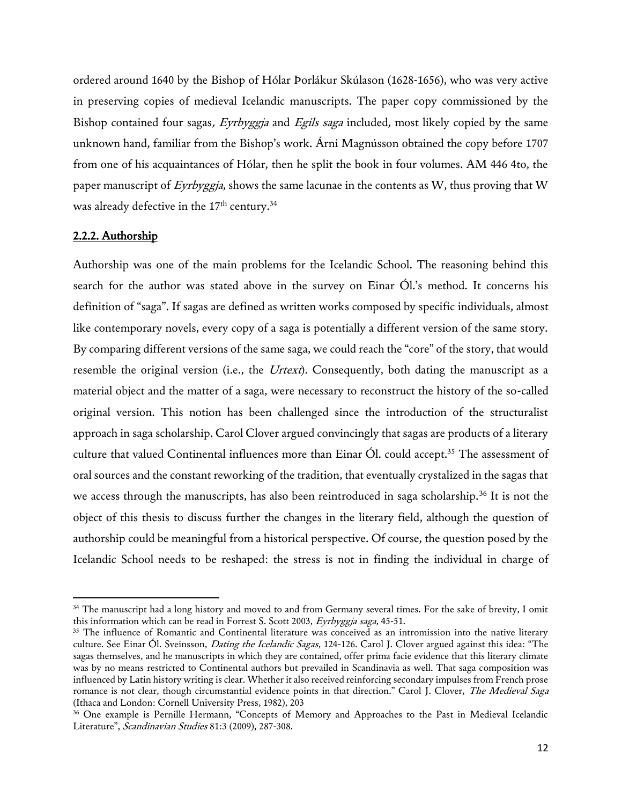ordered around 1640 by the Bishop of Hólar Þorlákur Skúlason (1628-1656), who was very active in preserving copies of medieval Icelandic manuscripts. The paper copy commissioned by the Bishop contained four sagas, Eyrbyggja and Egils saga included, most likely copied by the same unknown hand, familiar from the Bishop's work. Árni Magnússon obtained the copy before 1707 from one of his acquaintances of Hólar, then he split the book in four volumes. AM 446 4to, the paper manuscript of Eyrbyggja, shows the same lacunae in the contents as W, thus proving that W was already defective in the 17<sup>th</sup> century.<sup>34</sup>

#### 2.2.2. Authorship

l

Authorship was one of the main problems for the Icelandic School. The reasoning behind this search for the author was stated above in the survey on Einar Ól.'s method. It concerns his definition of "saga". If sagas are defined as written works composed by specific individuals, almost like contemporary novels, every copy of a saga is potentially a different version of the same story. By comparing different versions of the same saga, we could reach the "core" of the story, that would resemble the original version (i.e., the *Urtext*). Consequently, both dating the manuscript as a material object and the matter of a saga, were necessary to reconstruct the history of the so-called original version. This notion has been challenged since the introduction of the structuralist approach in saga scholarship. Carol Clover argued convincingly that sagas are products of a literary culture that valued Continental influences more than Einar Ól. could accept.<sup>35</sup> The assessment of oral sources and the constant reworking of the tradition, that eventually crystalized in the sagas that we access through the manuscripts, has also been reintroduced in saga scholarship.<sup>36</sup> It is not the object of this thesis to discuss further the changes in the literary field, although the question of authorship could be meaningful from a historical perspective. Of course, the question posed by the Icelandic School needs to be reshaped: the stress is not in finding the individual in charge of

<sup>&</sup>lt;sup>34</sup> The manuscript had a long history and moved to and from Germany several times. For the sake of brevity, I omit this information which can be read in Forrest S. Scott 2003, Eyrbyggja saga, 45-51.

<sup>&</sup>lt;sup>35</sup> The influence of Romantic and Continental literature was conceived as an intromission into the native literary culture. See Einar Ól. Sveinsson, *Dating the Icelandic Sagas*, 124-126. Carol J. Clover argued against this idea: "The sagas themselves, and he manuscripts in which they are contained, offer prima facie evidence that this literary climate was by no means restricted to Continental authors but prevailed in Scandinavia as well. That saga composition was influenced by Latin history writing is clear. Whether it also received reinforcing secondary impulses from French prose romance is not clear, though circumstantial evidence points in that direction." Carol J. Clover, The Medieval Saga (Ithaca and London: Cornell University Press, 1982), 203

<sup>36</sup> One example is Pernille Hermann, "Concepts of Memory and Approaches to the Past in Medieval Icelandic Literature", Scandinavian Studies 81:3 (2009), 287-308.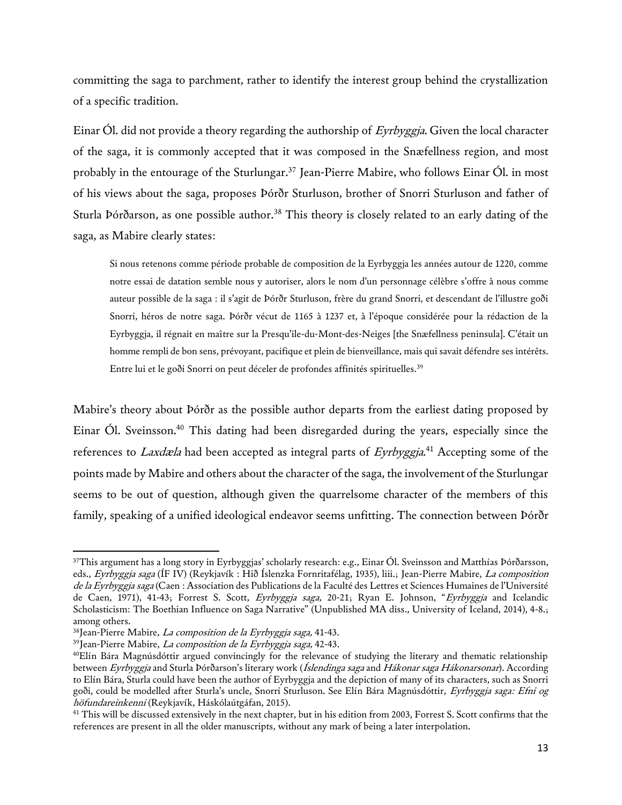committing the saga to parchment, rather to identify the interest group behind the crystallization of a specific tradition.

Einar Ól. did not provide a theory regarding the authorship of Eyrbyggja. Given the local character of the saga, it is commonly accepted that it was composed in the Snæfellness region, and most probably in the entourage of the Sturlungar.<sup>37</sup> Jean-Pierre Mabire, who follows Einar Ól. in most of his views about the saga, proposes Þórðr Sturluson, brother of Snorri Sturluson and father of Sturla Þórðarson, as one possible author.<sup>38</sup> This theory is closely related to an early dating of the saga, as Mabire clearly states:

Si nous retenons comme période probable de composition de la Eyrbyggja les années autour de 1220, comme notre essai de datation semble nous y autoriser, alors le nom d'un personnage célèbre s'offre à nous comme auteur possible de la saga : il s'agit de Þórðr Sturluson, frère du grand Snorri, et descendant de l'illustre goði Snorri, héros de notre saga. Þórðr vécut de 1165 à 1237 et, à l'époque considérée pour la rédaction de la Eyrbyggja, il régnait en maître sur la Presqu'ile-du-Mont-des-Neiges [the Snæfellness peninsula]. C'était un homme rempli de bon sens, prévoyant, pacifique et plein de bienveillance, mais qui savait défendre ses intérêts. Entre lui et le goði Snorri on peut déceler de profondes affinités spirituelles.<sup>39</sup>

Mabire's theory about Þórðr as the possible author departs from the earliest dating proposed by Einar Ól. Sveinsson.<sup>40</sup> This dating had been disregarded during the years, especially since the references to *Laxdæla* had been accepted as integral parts of *Eyrbyggja*.<sup>41</sup> Accepting some of the points made by Mabire and others about the character of the saga, the involvement of the Sturlungar seems to be out of question, although given the quarrelsome character of the members of this family, speaking of a unified ideological endeavor seems unfitting. The connection between Þórðr

<sup>37</sup>This argument has a long story in Eyrbyggjas' scholarly research: e.g., Einar Ól. Sveinsson and Matthías Þórðarsson, eds., Eyrbyggja saga (ÍF IV) (Reykjavík : Hið Íslenzka Fornritafélag, 1935), liii.; Jean-Pierre Mabire, La composition de la Eyrbyggja saga (Caen : Association des Publications de la Faculté des Lettres et Sciences Humaines de l'Université de Caen, 1971), 41-43; Forrest S. Scott, Eyrbyggja saga, 20-21; Ryan E. Johnson, "Eyrbyggja and Icelandic Scholasticism: The Boethian Influence on Saga Narrative" (Unpublished MA diss., University of Iceland, 2014), 4-8.; among others.

<sup>&</sup>lt;sup>38</sup>Jean-Pierre Mabire, La composition de la Eyrbyggja saga, 41-43.

<sup>&</sup>lt;sup>39</sup>Jean-Pierre Mabire, *La composition de la Eyrbyggja saga,* 42-43.

<sup>40</sup>Elín Bára Magnúsdóttir argued convincingly for the relevance of studying the literary and thematic relationship between Eyrbyggja and Sturla Þórðarson's literary work (Íslendinga saga and Hákonar saga Hákonarsonar). According to Elín Bára, Sturla could have been the author of Eyrbyggja and the depiction of many of its characters, such as Snorri goði, could be modelled after Sturla's uncle, Snorri Sturluson. See Elín Bára Magnúsdóttir, Eyrbyggja saga: Efni og höfundareinkenni (Reykjavík, Háskólaútgáfan, 2015).

<sup>&</sup>lt;sup>41</sup> This will be discussed extensively in the next chapter, but in his edition from 2003, Forrest S. Scott confirms that the references are present in all the older manuscripts, without any mark of being a later interpolation.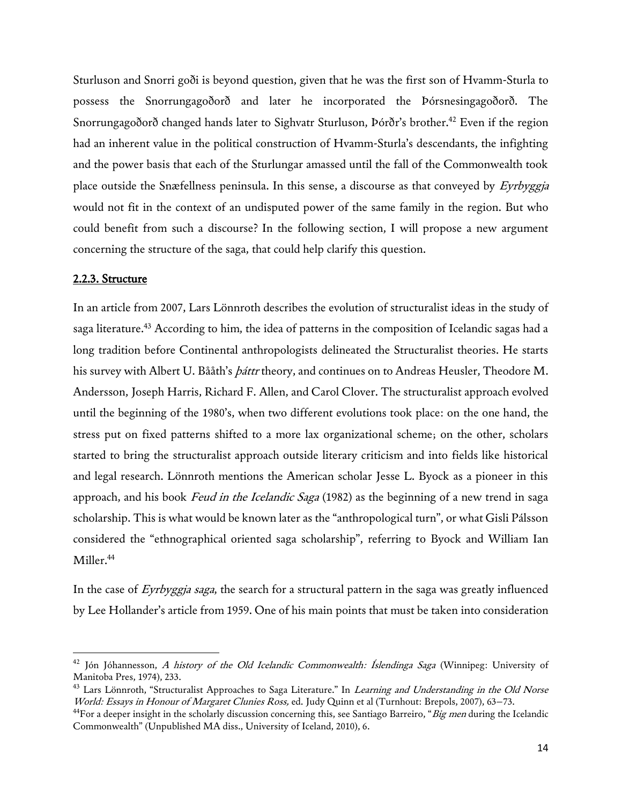Sturluson and Snorri goði is beyond question, given that he was the first son of Hvamm-Sturla to possess the Snorrungagoðorð and later he incorporated the Þórsnesingagoðorð. The Snorrungagoðorð changed hands later to Sighvatr Sturluson, Þórðr's brother.<sup>42</sup> Even if the region had an inherent value in the political construction of Hvamm-Sturla's descendants, the infighting and the power basis that each of the Sturlungar amassed until the fall of the Commonwealth took place outside the Snæfellness peninsula. In this sense, a discourse as that conveyed by Eyrbyggja would not fit in the context of an undisputed power of the same family in the region. But who could benefit from such a discourse? In the following section, I will propose a new argument concerning the structure of the saga, that could help clarify this question.

## 2.2.3. Structure

l

In an article from 2007, Lars Lönnroth describes the evolution of structuralist ideas in the study of saga literature.<sup>43</sup> According to him, the idea of patterns in the composition of Icelandic sagas had a long tradition before Continental anthropologists delineated the Structuralist theories. He starts his survey with Albert U. Bååth's *þáttr* theory, and continues on to Andreas Heusler, Theodore M. Andersson, Joseph Harris, Richard F. Allen, and Carol Clover. The structuralist approach evolved until the beginning of the 1980's, when two different evolutions took place: on the one hand, the stress put on fixed patterns shifted to a more lax organizational scheme; on the other, scholars started to bring the structuralist approach outside literary criticism and into fields like historical and legal research. Lönnroth mentions the American scholar Jesse L. Byock as a pioneer in this approach, and his book Feud in the Icelandic Saga (1982) as the beginning of a new trend in saga scholarship. This is what would be known later as the "anthropological turn", or what Gisli Pálsson considered the "ethnographical oriented saga scholarship", referring to Byock and William Ian Miller.<sup>44</sup>

In the case of Eyrbyggja saga, the search for a structural pattern in the saga was greatly influenced by Lee Hollander's article from 1959. One of his main points that must be taken into consideration

<sup>&</sup>lt;sup>42</sup> Jón Jóhannesson, A history of the Old Icelandic Commonwealth: Íslendinga Saga (Winnipeg: University of Manitoba Pres, 1974), 233.

<sup>&</sup>lt;sup>43</sup> Lars Lönnroth, "Structuralist Approaches to Saga Literature." In *Learning and Understanding in the Old Norse* World: Essays in Honour of Margaret Clunies Ross, ed. Judy Quinn et al (Turnhout: Brepols, 2007), 63–73.

<sup>&</sup>lt;sup>44</sup>For a deeper insight in the scholarly discussion concerning this, see Santiago Barreiro, "*Big men* during the Icelandic Commonwealth" (Unpublished MA diss., University of Iceland, 2010), 6.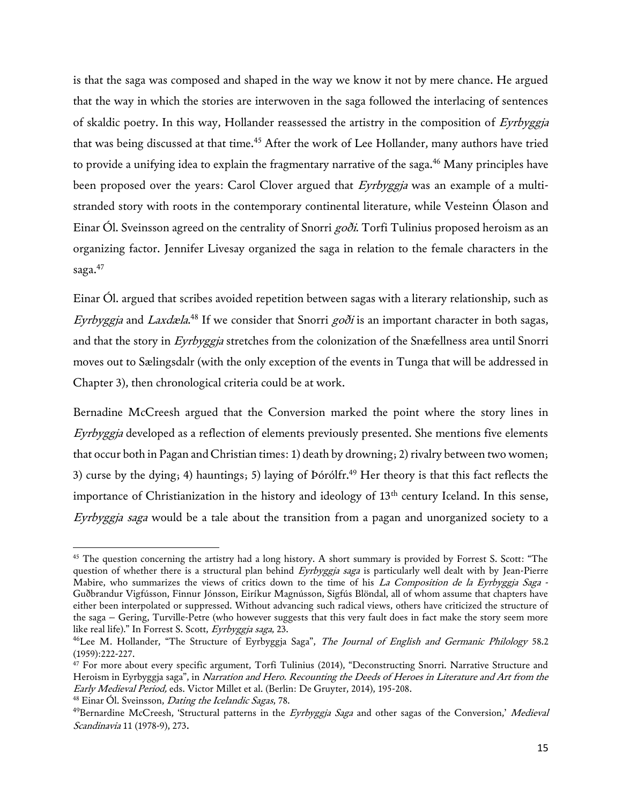is that the saga was composed and shaped in the way we know it not by mere chance. He argued that the way in which the stories are interwoven in the saga followed the interlacing of sentences of skaldic poetry. In this way, Hollander reassessed the artistry in the composition of Eyrbyggja that was being discussed at that time.<sup>45</sup> After the work of Lee Hollander, many authors have tried to provide a unifying idea to explain the fragmentary narrative of the saga.<sup>46</sup> Many principles have been proposed over the years: Carol Clover argued that Eyrbyggia was an example of a multistranded story with roots in the contemporary continental literature, while Vesteinn Ólason and Einar Ól. Sveinsson agreed on the centrality of Snorri *goði*. Torfi Tulinius proposed heroism as an organizing factor. Jennifer Livesay organized the saga in relation to the female characters in the saga.<sup>47</sup>

Einar Ól. argued that scribes avoided repetition between sagas with a literary relationship, such as Eyrbyggja and Laxdæla.<sup>48</sup> If we consider that Snorri goði is an important character in both sagas, and that the story in Eyrbyggja stretches from the colonization of the Snæfellness area until Snorri moves out to Sælingsdalr (with the only exception of the events in Tunga that will be addressed in Chapter 3), then chronological criteria could be at work.

Bernadine McCreesh argued that the Conversion marked the point where the story lines in Eyrbyggja developed as a reflection of elements previously presented. She mentions five elements that occur both in Pagan and Christian times: 1) death by drowning; 2) rivalry between two women; 3) curse by the dying; 4) hauntings; 5) laying of  $\overline{P}$  borodfr.<sup>49</sup> Her theory is that this fact reflects the importance of Christianization in the history and ideology of 13<sup>th</sup> century Iceland. In this sense, Eyrbyggja saga would be a tale about the transition from a pagan and unorganized society to a

l

<sup>&</sup>lt;sup>45</sup> The question concerning the artistry had a long history. A short summary is provided by Forrest S. Scott: "The question of whether there is a structural plan behind Eyrbyggja saga is particularly well dealt with by Jean-Pierre Mabire, who summarizes the views of critics down to the time of his La Composition de la Eyrbyggja Saga -Guðbrandur Vigfússon, Finnur Jónsson, Eiríkur Magnússon, Sigfús Blöndal, all of whom assume that chapters have either been interpolated or suppressed. Without advancing such radical views, others have criticized the structure of the saga – Gering, Turville-Petre (who however suggests that this very fault does in fact make the story seem more like real life)." In Forrest S. Scott, Eyrbyggja saga, 23.

<sup>&</sup>lt;sup>46</sup>Lee M. Hollander, "The Structure of Eyrbyggja Saga", The Journal of English and Germanic Philology 58.2 (1959):222-227.

<sup>&</sup>lt;sup>47</sup> For more about every specific argument, Torfi Tulinius (2014), "Deconstructing Snorri. Narrative Structure and Heroism in Eyrbyggja saga", in Narration and Hero. Recounting the Deeds of Heroes in Literature and Art from the Early Medieval Period, eds. Victor Millet et al. (Berlin: De Gruyter, 2014), 195-208. <sup>48</sup> Einar Ól. Sveinsson, *Dating the Icelandic Sagas*, 78.

<sup>&</sup>lt;sup>49</sup>Bernardine McCreesh, 'Structural patterns in the *Eyrbyggja Saga* and other sagas of the Conversion,' *Medieval* Scandinavia 11 (1978-9), 273.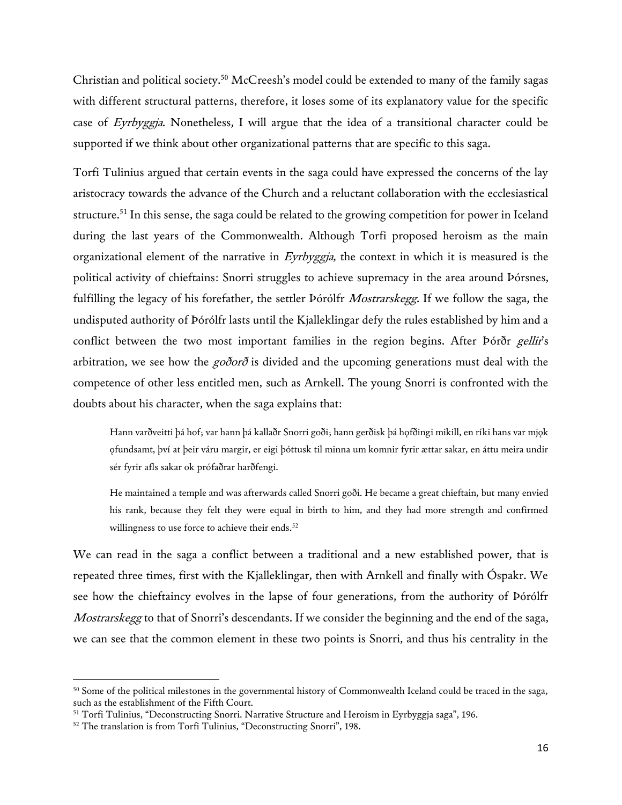Christian and political society.<sup>50</sup> McCreesh's model could be extended to many of the family sagas with different structural patterns, therefore, it loses some of its explanatory value for the specific case of Eyrbyggja. Nonetheless, I will argue that the idea of a transitional character could be supported if we think about other organizational patterns that are specific to this saga.

Torfi Tulinius argued that certain events in the saga could have expressed the concerns of the lay aristocracy towards the advance of the Church and a reluctant collaboration with the ecclesiastical structure.<sup>51</sup> In this sense, the saga could be related to the growing competition for power in Iceland during the last years of the Commonwealth. Although Torfi proposed heroism as the main organizational element of the narrative in Eyrbyggja, the context in which it is measured is the political activity of chieftains: Snorri struggles to achieve supremacy in the area around Þórsnes, fulfilling the legacy of his forefather, the settler Þórólfr *Mostrarskegg*. If we follow the saga, the undisputed authority of Þórólfr lasts until the Kjalleklingar defy the rules established by him and a conflict between the two most important families in the region begins. After Þórðr gellir's arbitration, we see how the godord is divided and the upcoming generations must deal with the competence of other less entitled men, such as Arnkell. The young Snorri is confronted with the doubts about his character, when the saga explains that:

Hann varðveitti þá hof; var hann þá kallaðr Snorri goði; hann gerðisk þá hǫfðingi mikill, en ríki hans var mjǫk ǫfundsamt, því at þeir váru margir, er eigi þóttusk til minna um komnir fyrir ættar sakar, en áttu meira undir sér fyrir afls sakar ok prófaðrar harðfengi.

He maintained a temple and was afterwards called Snorri goði. He became a great chieftain, but many envied his rank, because they felt they were equal in birth to him, and they had more strength and confirmed willingness to use force to achieve their ends.<sup>52</sup>

We can read in the saga a conflict between a traditional and a new established power, that is repeated three times, first with the Kjalleklingar, then with Arnkell and finally with Óspakr. We see how the chieftaincy evolves in the lapse of four generations, from the authority of Þórólfr *Mostrarskegg* to that of Snorri's descendants. If we consider the beginning and the end of the saga, we can see that the common element in these two points is Snorri, and thus his centrality in the

<sup>&</sup>lt;sup>50</sup> Some of the political milestones in the governmental history of Commonwealth Iceland could be traced in the saga, such as the establishment of the Fifth Court.

<sup>51</sup> Torfi Tulinius, "Deconstructing Snorri. Narrative Structure and Heroism in Eyrbyggja saga", 196.

<sup>&</sup>lt;sup>52</sup> The translation is from Torfi Tulinius, "Deconstructing Snorri", 198.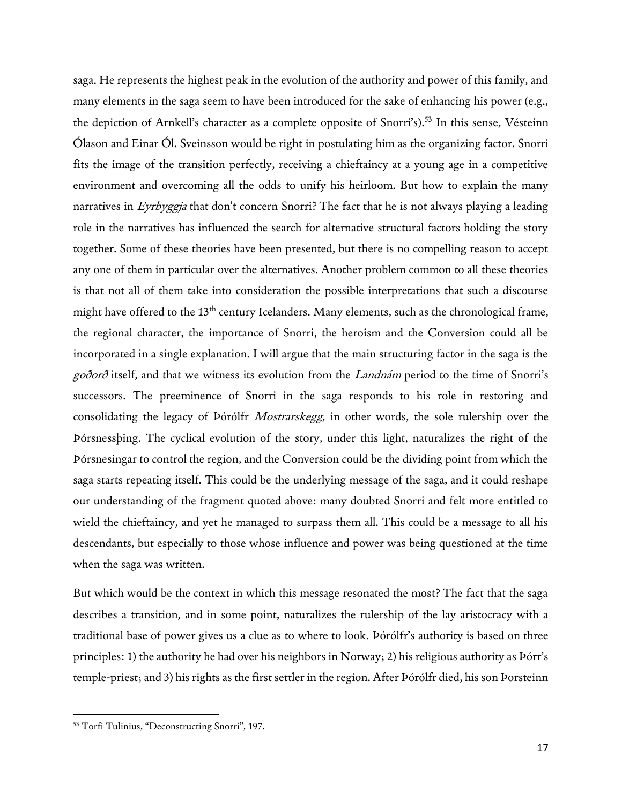saga. He represents the highest peak in the evolution of the authority and power of this family, and many elements in the saga seem to have been introduced for the sake of enhancing his power (e.g., the depiction of Arnkell's character as a complete opposite of Snorri's).<sup>53</sup> In this sense, Vésteinn Ólason and Einar Ól. Sveinsson would be right in postulating him as the organizing factor. Snorri fits the image of the transition perfectly, receiving a chieftaincy at a young age in a competitive environment and overcoming all the odds to unify his heirloom. But how to explain the many narratives in Eyrbyggja that don't concern Snorri? The fact that he is not always playing a leading role in the narratives has influenced the search for alternative structural factors holding the story together. Some of these theories have been presented, but there is no compelling reason to accept any one of them in particular over the alternatives. Another problem common to all these theories is that not all of them take into consideration the possible interpretations that such a discourse might have offered to the 13<sup>th</sup> century Icelanders. Many elements, such as the chronological frame, the regional character, the importance of Snorri, the heroism and the Conversion could all be incorporated in a single explanation. I will argue that the main structuring factor in the saga is the goðorð itself, and that we witness its evolution from the Landnám period to the time of Snorri's successors. The preeminence of Snorri in the saga responds to his role in restoring and consolidating the legacy of Þórólfr Mostrarskegg, in other words, the sole rulership over the Þórsnessþing. The cyclical evolution of the story, under this light, naturalizes the right of the Þórsnesingar to control the region, and the Conversion could be the dividing point from which the saga starts repeating itself. This could be the underlying message of the saga, and it could reshape our understanding of the fragment quoted above: many doubted Snorri and felt more entitled to wield the chieftaincy, and yet he managed to surpass them all. This could be a message to all his descendants, but especially to those whose influence and power was being questioned at the time when the saga was written.

But which would be the context in which this message resonated the most? The fact that the saga describes a transition, and in some point, naturalizes the rulership of the lay aristocracy with a traditional base of power gives us a clue as to where to look. Þórólfr's authority is based on three principles: 1) the authority he had over his neighbors in Norway; 2) his religious authority as Þórr's temple-priest; and 3) his rights as the first settler in the region. After Þórólfr died, his son Þorsteinn

<sup>53</sup> Torfi Tulinius, "Deconstructing Snorri", 197.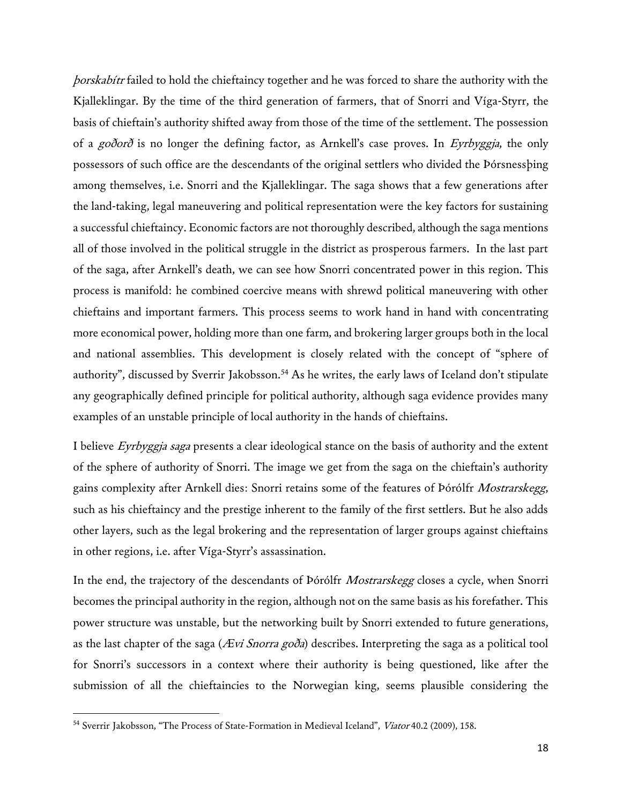þorskabítr failed to hold the chieftaincy together and he was forced to share the authority with the Kjalleklingar. By the time of the third generation of farmers, that of Snorri and Víga-Styrr, the basis of chieftain's authority shifted away from those of the time of the settlement. The possession of a goðorð is no longer the defining factor, as Arnkell's case proves. In Eyrbyggja, the only possessors of such office are the descendants of the original settlers who divided the Þórsnessþing among themselves, i.e. Snorri and the Kjalleklingar. The saga shows that a few generations after the land-taking, legal maneuvering and political representation were the key factors for sustaining a successful chieftaincy. Economic factors are not thoroughly described, although the saga mentions all of those involved in the political struggle in the district as prosperous farmers. In the last part of the saga, after Arnkell's death, we can see how Snorri concentrated power in this region. This process is manifold: he combined coercive means with shrewd political maneuvering with other chieftains and important farmers. This process seems to work hand in hand with concentrating more economical power, holding more than one farm, and brokering larger groups both in the local and national assemblies. This development is closely related with the concept of "sphere of authority", discussed by Sverrir Jakobsson.<sup>54</sup> As he writes, the early laws of Iceland don't stipulate any geographically defined principle for political authority, although saga evidence provides many examples of an unstable principle of local authority in the hands of chieftains.

I believe *Eyrbyggja saga* presents a clear ideological stance on the basis of authority and the extent of the sphere of authority of Snorri. The image we get from the saga on the chieftain's authority gains complexity after Arnkell dies: Snorri retains some of the features of Þórólfr Mostrarskegg, such as his chieftaincy and the prestige inherent to the family of the first settlers. But he also adds other layers, such as the legal brokering and the representation of larger groups against chieftains in other regions, i.e. after Víga-Styrr's assassination.

In the end, the trajectory of the descendants of Þórólfr Mostrarskegg closes a cycle, when Snorri becomes the principal authority in the region, although not on the same basis as his forefather. This power structure was unstable, but the networking built by Snorri extended to future generations, as the last chapter of the saga ( $A$ vi Snorra goða) describes. Interpreting the saga as a political tool for Snorri's successors in a context where their authority is being questioned, like after the submission of all the chieftaincies to the Norwegian king, seems plausible considering the

<sup>&</sup>lt;sup>54</sup> Sverrir Jakobsson, "The Process of State-Formation in Medieval Iceland", *Viator* 40.2 (2009), 158.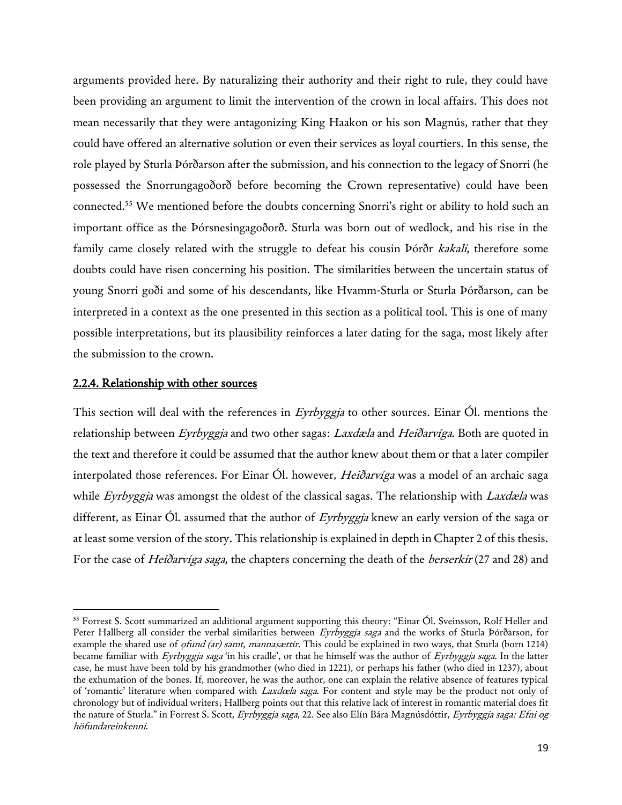arguments provided here. By naturalizing their authority and their right to rule, they could have been providing an argument to limit the intervention of the crown in local affairs. This does not mean necessarily that they were antagonizing King Haakon or his son Magnús, rather that they could have offered an alternative solution or even their services as loyal courtiers. In this sense, the role played by Sturla Þórðarson after the submission, and his connection to the legacy of Snorri (he possessed the Snorrungagoðorð before becoming the Crown representative) could have been connected.<sup>55</sup> We mentioned before the doubts concerning Snorri's right or ability to hold such an important office as the Þórsnesingagoðorð. Sturla was born out of wedlock, and his rise in the family came closely related with the struggle to defeat his cousin Þórðr kakali, therefore some doubts could have risen concerning his position. The similarities between the uncertain status of young Snorri goði and some of his descendants, like Hvamm-Sturla or Sturla Þórðarson, can be interpreted in a context as the one presented in this section as a political tool. This is one of many possible interpretations, but its plausibility reinforces a later dating for the saga, most likely after the submission to the crown.

## 2.2.4. Relationship with other sources

 $\overline{a}$ 

This section will deal with the references in *Eyrbyggja* to other sources. Einar Ól. mentions the relationship between Eyrbyggja and two other sagas: Laxdæla and Heiðarvíga. Both are quoted in the text and therefore it could be assumed that the author knew about them or that a later compiler interpolated those references. For Einar Ól. however, *Heiðarvíga* was a model of an archaic saga while *Eyrbyggja* was amongst the oldest of the classical sagas. The relationship with *Laxdæla* was different, as Einar Ol. assumed that the author of  $Eyrbyggja$  knew an early version of the saga or at least some version of the story. This relationship is explained in depth in Chapter 2 of this thesis. For the case of *Heiðarvíga saga*, the chapters concerning the death of the *berserkir* (27 and 28) and

<sup>&</sup>lt;sup>55</sup> Forrest S. Scott summarized an additional argument supporting this theory: "Einar Ól. Sveinsson, Rolf Heller and Peter Hallberg all consider the verbal similarities between Eyrbyggja saga and the works of Sturla Þórðarson, for example the shared use of *ofund (ar) samt, mannasættir*. This could be explained in two ways, that Sturla (born 1214) became familiar with Eyrbyggja saga 'in his cradle', or that he himself was the author of Eyrbyggja saga. In the latter case, he must have been told by his grandmother (who died in 1221), or perhaps his father (who died in 1237), about the exhumation of the bones. If, moreover, he was the author, one can explain the relative absence of features typical of 'romantic' literature when compared with Laxdœla saga. For content and style may be the product not only of chronology but of individual writers; Hallberg points out that this relative lack of interest in romantic material does fit the nature of Sturla." in Forrest S. Scott, Eyrbyggja saga, 22. See also Elín Bára Magnúsdóttir, Eyrbyggja saga: Efni og höfundareinkenni.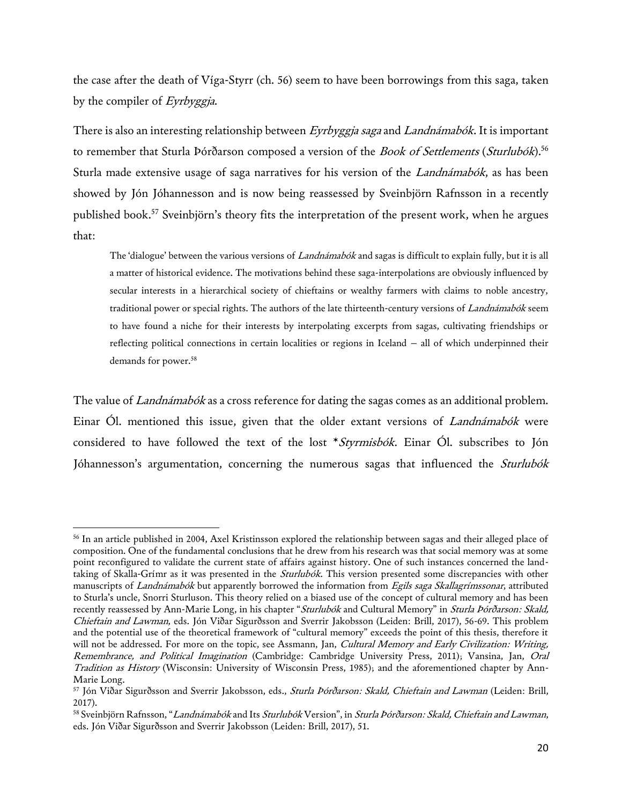the case after the death of Víga-Styrr (ch. 56) seem to have been borrowings from this saga, taken by the compiler of Eyrbyggja.

There is also an interesting relationship between Eyrbyggja saga and Landnámabók. It is important to remember that Sturla Þórðarson composed a version of the *Book of Settlements* (*Sturlubók*).<sup>56</sup> Sturla made extensive usage of saga narratives for his version of the *Landnámabók*, as has been showed by Jón Jóhannesson and is now being reassessed by Sveinbjörn Rafnsson in a recently published book.<sup>57</sup> Sveinbjörn's theory fits the interpretation of the present work, when he argues that:

The 'dialogue' between the various versions of Landnámabók and sagas is difficult to explain fully, but it is all a matter of historical evidence. The motivations behind these saga-interpolations are obviously influenced by secular interests in a hierarchical society of chieftains or wealthy farmers with claims to noble ancestry, traditional power or special rights. The authors of the late thirteenth-century versions of *Landnámabók* seem to have found a niche for their interests by interpolating excerpts from sagas, cultivating friendships or reflecting political connections in certain localities or regions in Iceland – all of which underpinned their demands for power.<sup>58</sup>

The value of *Landnámabók* as a cross reference for dating the sagas comes as an additional problem. Einar Ól. mentioned this issue, given that the older extant versions of *Landnámabók* were considered to have followed the text of the lost  $*Stymisbók$ . Einar Ól. subscribes to Jón Jóhannesson's argumentation, concerning the numerous sagas that influenced the Sturlubók

l

<sup>56</sup> In an article published in 2004, Axel Kristinsson explored the relationship between sagas and their alleged place of composition. One of the fundamental conclusions that he drew from his research was that social memory was at some point reconfigured to validate the current state of affairs against history. One of such instances concerned the landtaking of Skalla-Grímr as it was presented in the *Sturlubók*. This version presented some discrepancies with other manuscripts of Landnámabók but apparently borrowed the information from Egils saga Skallagrímssonar, attributed to Sturla's uncle, Snorri Sturluson. This theory relied on a biased use of the concept of cultural memory and has been recently reassessed by Ann-Marie Long, in his chapter "Sturlubók and Cultural Memory" in Sturla Þórðarson: Skald, Chieftain and Lawman, eds. Jón Viðar Sigurðsson and Sverrir Jakobsson (Leiden: Brill, 2017), 56-69. This problem and the potential use of the theoretical framework of "cultural memory" exceeds the point of this thesis, therefore it will not be addressed. For more on the topic, see Assmann, Jan, Cultural Memory and Early Civilization: Writing, Remembrance, and Political Imagination (Cambridge: Cambridge University Press, 2011); Vansina, Jan, Oral Tradition as History (Wisconsin: University of Wisconsin Press, 1985); and the aforementioned chapter by Ann-Marie Long.

<sup>57</sup> Jón Viðar Sigurðsson and Sverrir Jakobsson, eds., *Sturla Þórðarson: Skald, Chieftain and Lawman* (Leiden: Brill, 2017).

<sup>&</sup>lt;sup>58</sup> Sveinbjörn Rafnsson, "*Landnámabók* and Its *Sturlubók* Version", in *Sturla Þórðarson: Skald, Chieftain and Lawman*, eds. Jón Viðar Sigurðsson and Sverrir Jakobsson (Leiden: Brill, 2017), 51.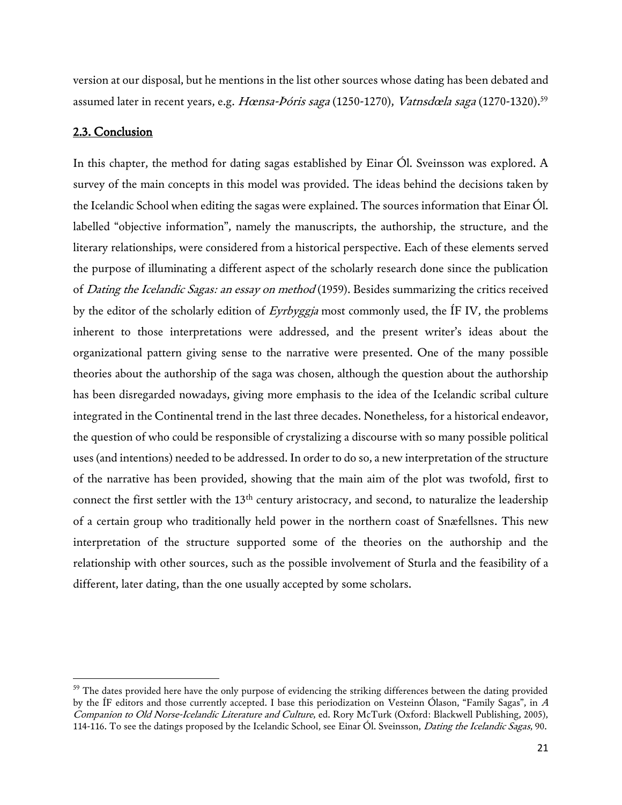version at our disposal, but he mentions in the list other sources whose dating has been debated and assumed later in recent years, e.g. Hœnsa-Þóris saga (1250-1270), Vatnsdæla saga (1270-1320).<sup>59</sup>

## 2.3. Conclusion

 $\overline{\phantom{a}}$ 

In this chapter, the method for dating sagas established by Einar Ól. Sveinsson was explored. A survey of the main concepts in this model was provided. The ideas behind the decisions taken by the Icelandic School when editing the sagas were explained. The sources information that Einar Ól. labelled "objective information", namely the manuscripts, the authorship, the structure, and the literary relationships, were considered from a historical perspective. Each of these elements served the purpose of illuminating a different aspect of the scholarly research done since the publication of Dating the Icelandic Sagas: an essay on method (1959). Besides summarizing the critics received by the editor of the scholarly edition of Eyrbyggja most commonly used, the IF IV, the problems inherent to those interpretations were addressed, and the present writer's ideas about the organizational pattern giving sense to the narrative were presented. One of the many possible theories about the authorship of the saga was chosen, although the question about the authorship has been disregarded nowadays, giving more emphasis to the idea of the Icelandic scribal culture integrated in the Continental trend in the last three decades. Nonetheless, for a historical endeavor, the question of who could be responsible of crystalizing a discourse with so many possible political uses (and intentions) needed to be addressed. In order to do so, a new interpretation of the structure of the narrative has been provided, showing that the main aim of the plot was twofold, first to connect the first settler with the 13<sup>th</sup> century aristocracy, and second, to naturalize the leadership of a certain group who traditionally held power in the northern coast of Snæfellsnes. This new interpretation of the structure supported some of the theories on the authorship and the relationship with other sources, such as the possible involvement of Sturla and the feasibility of a different, later dating, than the one usually accepted by some scholars.

 $59$  The dates provided here have the only purpose of evidencing the striking differences between the dating provided by the ÍF editors and those currently accepted. I base this periodization on Vesteinn Ólason, "Family Sagas", in <sup>A</sup> Companion to Old Norse-Icelandic Literature and Culture, ed. Rory McTurk (Oxford: Blackwell Publishing, 2005), 114-116. To see the datings proposed by the Icelandic School, see Einar Ól. Sveinsson, *Dating the Icelandic Sagas*, 90.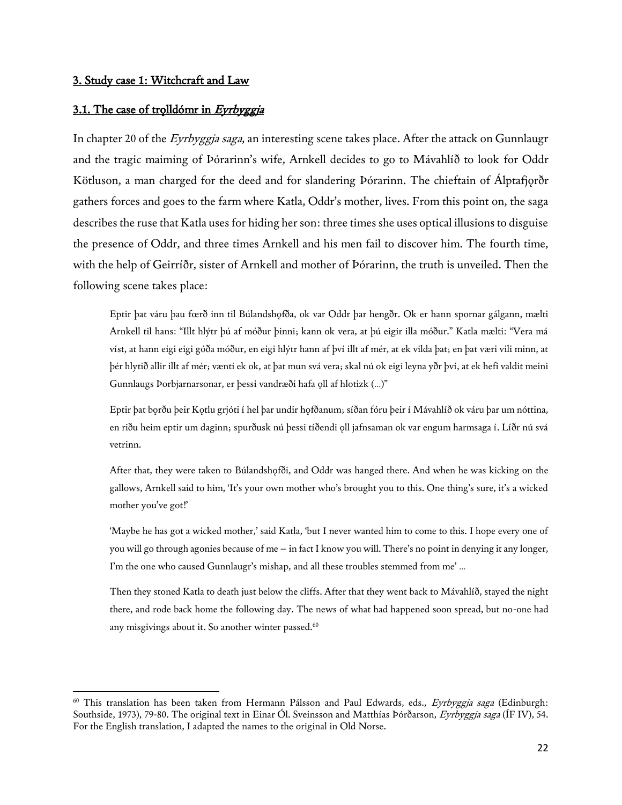## 3. Study case 1: Witchcraft and Law

 $\overline{\phantom{a}}$ 

#### 3.1. The case of trolldómr in Eyrbyggja

In chapter 20 of the *Eyrbyggja saga*, an interesting scene takes place. After the attack on Gunnlaugr and the tragic maiming of Þórarinn's wife, Arnkell decides to go to Mávahlíð to look for Oddr Kötluson, a man charged for the deed and for slandering Þórarinn. The chieftain of Álptafjorðr gathers forces and goes to the farm where Katla, Oddr's mother, lives. From this point on, the saga describes the ruse that Katla uses for hiding her son: three times she uses optical illusions to disguise the presence of Oddr, and three times Arnkell and his men fail to discover him. The fourth time, with the help of Geirríðr, sister of Arnkell and mother of Þórarinn, the truth is unveiled. Then the following scene takes place:

Eptir þat váru þau fœrð inn til Búlandshǫfða, ok var Oddr þar hengðr. Ok er hann spornar gálgann, mælti Arnkell til hans: "Illt hlýtr þú af móður þinni; kann ok vera, at þú eigir illa móður." Katla mælti: "Vera má víst, at hann eigi eigi góða móður, en eigi hlýtr hann af því illt af mér, at ek vilda þat; en þat væri vili minn, at þér hlytið allir illt af mér; vænti ek ok, at þat mun svá vera; skal nú ok eigi leyna yðr því, at ek hefi valdit meini Gunnlaugs Þorbjarnarsonar, er þessi vandræði hafa ǫll af hlotizk (…)"

Eptir þat bǫrðu þeir Kǫtlu grjóti í hel þar undir hǫfðanum; síðan fóru þeir í Mávahlíð ok váru þar um nóttina, en riðu heim eptir um daginn; spurðusk nú þessi tíðendi ǫll jafnsaman ok var engum harmsaga í. Líðr nú svá vetrinn.

After that, they were taken to Búlandshǫfði, and Oddr was hanged there. And when he was kicking on the gallows, Arnkell said to him, 'It's your own mother who's brought you to this. One thing's sure, it's a wicked mother you've got!'

'Maybe he has got a wicked mother,' said Katla, 'but I never wanted him to come to this. I hope every one of you will go through agonies because of me – in fact I know you will. There's no point in denying it any longer, I'm the one who caused Gunnlaugr's mishap, and all these troubles stemmed from me' …

Then they stoned Katla to death just below the cliffs. After that they went back to Mávahlíð, stayed the night there, and rode back home the following day. The news of what had happened soon spread, but no-one had any misgivings about it. So another winter passed.<sup>60</sup>

<sup>&</sup>lt;sup>60</sup> This translation has been taken from Hermann Pálsson and Paul Edwards, eds., *Eyrbyggja saga* (Edinburgh: Southside, 1973), 79-80. The original text in Einar Ól. Sveinsson and Matthías Þórðarson, Eyrbyggja saga (ÍF IV), 54. For the English translation, I adapted the names to the original in Old Norse.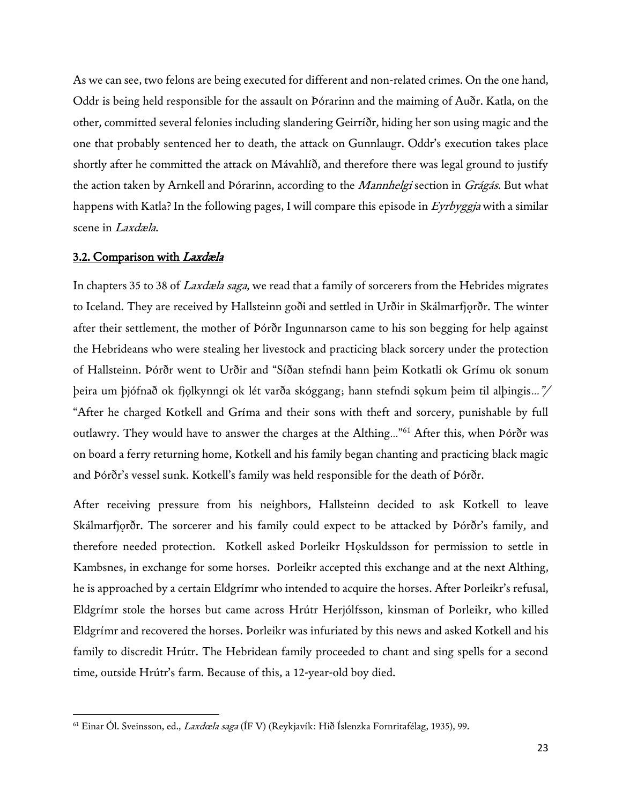As we can see, two felons are being executed for different and non-related crimes. On the one hand, Oddr is being held responsible for the assault on Þórarinn and the maiming of Auðr. Katla, on the other, committed several felonies including slandering Geirríðr, hiding her son using magic and the one that probably sentenced her to death, the attack on Gunnlaugr. Oddr's execution takes place shortly after he committed the attack on Mávahlíð, and therefore there was legal ground to justify the action taken by Arnkell and Þórarinn, according to the *Mannhelgi* section in *Grágás*. But what happens with Katla? In the following pages, I will compare this episode in Eyrbyggja with a similar scene in Laxdæla.

## 3.2. Comparison with Laxdæla

 $\overline{\phantom{a}}$ 

In chapters 35 to 38 of *Laxdæla saga*, we read that a family of sorcerers from the Hebrides migrates to Iceland. They are received by Hallsteinn goði and settled in Urðir in Skálmarfjorðr. The winter after their settlement, the mother of Þórðr Ingunnarson came to his son begging for help against the Hebrideans who were stealing her livestock and practicing black sorcery under the protection of Hallsteinn. Þórðr went to Urðir and "Síðan stefndi hann þeim Kotkatli ok Grímu ok sonum þeira um þjófnað ok fjǫlkynngi ok lét varða skóggang; hann stefndi sǫkum þeim til alþingis…"/ "After he charged Kotkell and Gríma and their sons with theft and sorcery, punishable by full outlawry. They would have to answer the charges at the Althing…"<sup>61</sup> After this, when Þórðr was on board a ferry returning home, Kotkell and his family began chanting and practicing black magic and Þórðr's vessel sunk. Kotkell's family was held responsible for the death of Þórðr.

After receiving pressure from his neighbors, Hallsteinn decided to ask Kotkell to leave Skálmarfjorðr. The sorcerer and his family could expect to be attacked by Þórðr's family, and therefore needed protection. Kotkell asked Þorleikr Hǫskuldsson for permission to settle in Kambsnes, in exchange for some horses. Þorleikr accepted this exchange and at the next Althing, he is approached by a certain Eldgrímr who intended to acquire the horses. After Þorleikr's refusal, Eldgrímr stole the horses but came across Hrútr Herjólfsson, kinsman of Þorleikr, who killed Eldgrímr and recovered the horses. Þorleikr was infuriated by this news and asked Kotkell and his family to discredit Hrútr. The Hebridean family proceeded to chant and sing spells for a second time, outside Hrútr's farm. Because of this, a 12-year-old boy died.

<sup>&</sup>lt;sup>61</sup> Einar Ól. Sveinsson, ed., *Laxdœla saga* (ÍF V) (Reykjavík: Hið Íslenzka Fornritafélag, 1935), 99.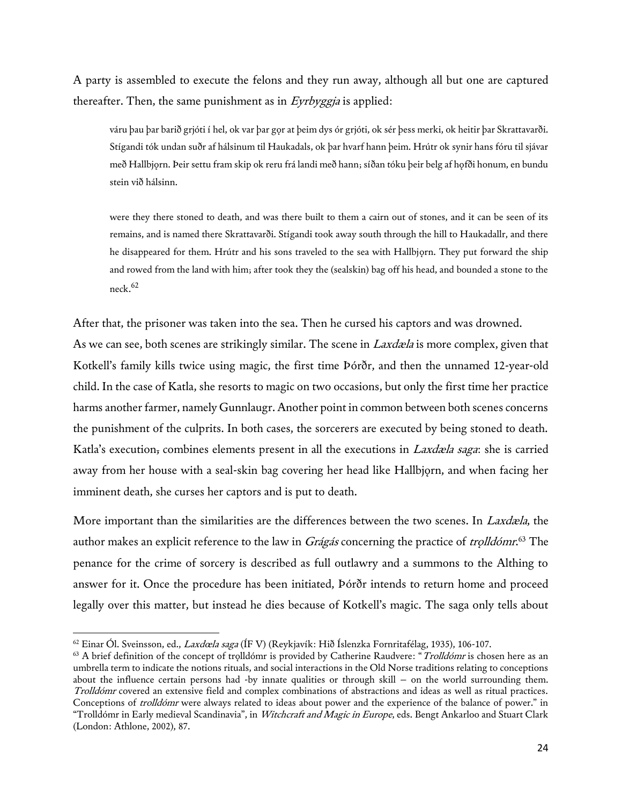A party is assembled to execute the felons and they run away, although all but one are captured thereafter. Then, the same punishment as in Eyrbyggia is applied:

váru þau þar barið grjóti í hel, ok var þar gor at þeim dys ór grjóti, ok sér þess merki, ok heitir þar Skrattavarði. Stígandi tók undan suðr af hálsinum til Haukadals, ok þar hvarf hann þeim. Hrútr ok synir hans fóru til sjávar með Hallbjǫrn. Þeir settu fram skip ok reru frá landi með hann; síðan tóku þeir belg af hǫfði honum, en bundu stein við hálsinn.

were they there stoned to death, and was there built to them a cairn out of stones, and it can be seen of its remains, and is named there Skrattavarði. Stígandi took away south through the hill to Haukadallr, and there he disappeared for them. Hrútr and his sons traveled to the sea with Hallbjørn. They put forward the ship and rowed from the land with him; after took they the (sealskin) bag off his head, and bounded a stone to the  $neck<sup>62</sup>$ 

After that, the prisoner was taken into the sea. Then he cursed his captors and was drowned. As we can see, both scenes are strikingly similar. The scene in *Laxdæla* is more complex, given that Kotkell's family kills twice using magic, the first time Þórðr, and then the unnamed 12-year-old child. In the case of Katla, she resorts to magic on two occasions, but only the first time her practice harms another farmer, namely Gunnlaugr. Another point in common between both scenes concerns the punishment of the culprits. In both cases, the sorcerers are executed by being stoned to death. Katla's execution, combines elements present in all the executions in *Laxdæla saga*: she is carried away from her house with a seal-skin bag covering her head like Hallbjorn, and when facing her imminent death, she curses her captors and is put to death.

More important than the similarities are the differences between the two scenes. In *Laxdæla*, the author makes an explicit reference to the law in *Grágás* concerning the practice of *trolldómr.*<sup>63</sup> The penance for the crime of sorcery is described as full outlawry and a summons to the Althing to answer for it. Once the procedure has been initiated, Þórðr intends to return home and proceed legally over this matter, but instead he dies because of Kotkell's magic. The saga only tells about

 $^{62}$  Einar Ól. Sveinsson, ed., *Laxdœla saga* (ÍF V) (Reykjavík: Hið Íslenzka Fornritafélag, 1935), 106-107.

 $63$  A brief definition of the concept of trolldómr is provided by Catherine Raudvere: "*Trolldómr* is chosen here as an umbrella term to indicate the notions rituals, and social interactions in the Old Norse traditions relating to conceptions about the influence certain persons had -by innate qualities or through skill – on the world surrounding them. Trolldómr covered an extensive field and complex combinations of abstractions and ideas as well as ritual practices. Conceptions of trolldómr were always related to ideas about power and the experience of the balance of power." in "Trolldómr in Early medieval Scandinavia", in Witchcraft and Magic in Europe, eds. Bengt Ankarloo and Stuart Clark (London: Athlone, 2002), 87.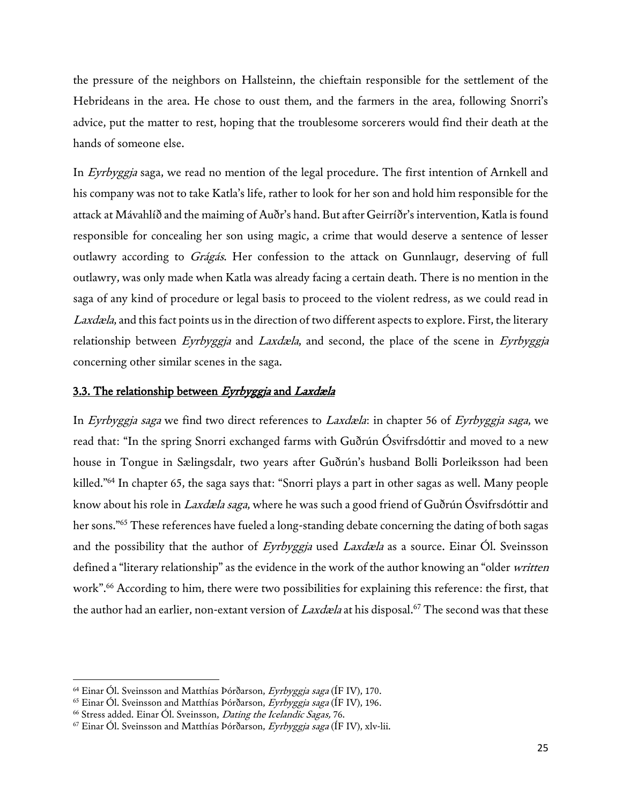the pressure of the neighbors on Hallsteinn, the chieftain responsible for the settlement of the Hebrideans in the area. He chose to oust them, and the farmers in the area, following Snorri's advice, put the matter to rest, hoping that the troublesome sorcerers would find their death at the hands of someone else.

In Eyrbyggja saga, we read no mention of the legal procedure. The first intention of Arnkell and his company was not to take Katla's life, rather to look for her son and hold him responsible for the attack at Mávahlíð and the maiming of Auðr's hand. But after Geirríðr's intervention, Katla is found responsible for concealing her son using magic, a crime that would deserve a sentence of lesser outlawry according to Grágás. Her confession to the attack on Gunnlaugr, deserving of full outlawry, was only made when Katla was already facing a certain death. There is no mention in the saga of any kind of procedure or legal basis to proceed to the violent redress, as we could read in Laxdæla, and this fact points us in the direction of two different aspects to explore. First, the literary relationship between Eyrbyggja and Laxdæla, and second, the place of the scene in Eyrbyggja concerning other similar scenes in the saga.

## 3.3. The relationship between Eyrbyggja and Laxdæla

In Eyrbyggja saga we find two direct references to Laxdæla: in chapter 56 of Eyrbyggja saga, we read that: "In the spring Snorri exchanged farms with Guðrún Ósvifrsdóttir and moved to a new house in Tongue in Sælingsdalr, two years after Guðrún's husband Bolli Þorleiksson had been killed."<sup>64</sup> In chapter 65, the saga says that: "Snorri plays a part in other sagas as well. Many people know about his role in Laxdæla saga, where he was such a good friend of Guðrún Ósvifrsdóttir and her sons."<sup>65</sup> These references have fueled a long-standing debate concerning the dating of both sagas and the possibility that the author of Eyrbyggja used Laxdæla as a source. Einar Ól. Sveinsson defined a "literary relationship" as the evidence in the work of the author knowing an "older written work".<sup>66</sup> According to him, there were two possibilities for explaining this reference: the first, that the author had an earlier, non-extant version of Laxdæla at his disposal.<sup>67</sup> The second was that these

<sup>&</sup>lt;sup>64</sup> Einar Ól. Sveinsson and Matthías Þórðarson, Eyrbyggja saga (ÍF IV), 170.

<sup>&</sup>lt;sup>65</sup> Einar Ól. Sveinsson and Matthías Þórðarson, Eyrbyggja saga (ÍF IV), 196.

<sup>&</sup>lt;sup>66</sup> Stress added. Einar Ól. Sveinsson, Dating the Icelandic Sagas, 76.

 $67$  Einar Ól. Sveinsson and Matthías Þórðarson, Eyrbyggja saga (ÍF IV), xlv-lii.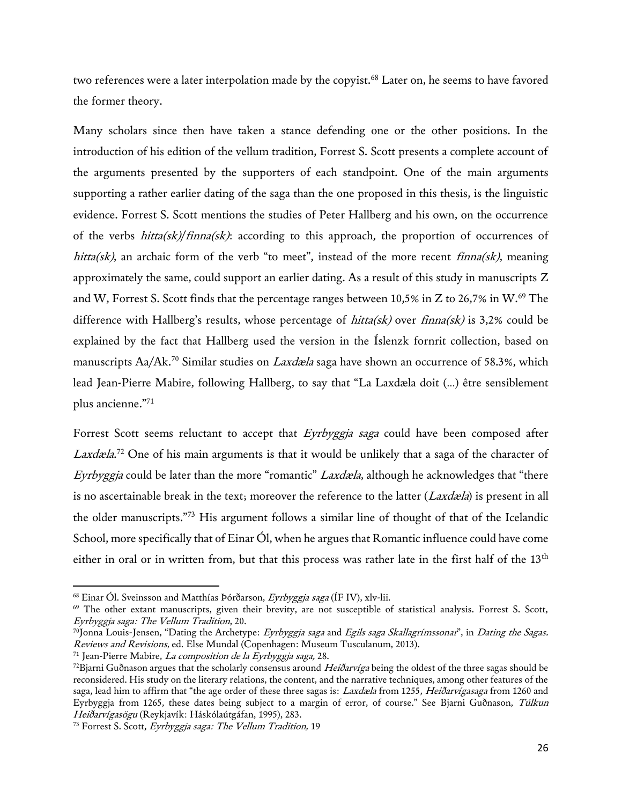two references were a later interpolation made by the copyist.<sup>68</sup> Later on, he seems to have favored the former theory.

Many scholars since then have taken a stance defending one or the other positions. In the introduction of his edition of the vellum tradition, Forrest S. Scott presents a complete account of the arguments presented by the supporters of each standpoint. One of the main arguments supporting a rather earlier dating of the saga than the one proposed in this thesis, is the linguistic evidence. Forrest S. Scott mentions the studies of Peter Hallberg and his own, on the occurrence of the verbs *hitta(sk)/finna(sk)*: according to this approach, the proportion of occurrences of hitta(sk), an archaic form of the verb "to meet", instead of the more recent  $finna(sk)$ , meaning approximately the same, could support an earlier dating. As a result of this study in manuscripts Z and W, Forrest S. Scott finds that the percentage ranges between 10,5% in Z to 26,7% in W.<sup>69</sup> The difference with Hallberg's results, whose percentage of  $hitta(sk)$  over  $finna(sk)$  is 3,2% could be explained by the fact that Hallberg used the version in the Íslenzk fornrit collection, based on manuscripts Aa/Ak.<sup>70</sup> Similar studies on *Laxdæla* saga have shown an occurrence of 58.3%, which lead Jean-Pierre Mabire, following Hallberg, to say that "La Laxdæla doit (…) être sensiblement plus ancienne."<sup>71</sup>

Forrest Scott seems reluctant to accept that Eyrbyggja saga could have been composed after Laxdæla.<sup>72</sup> One of his main arguments is that it would be unlikely that a saga of the character of Eyrbyggja could be later than the more "romantic" Laxdæla, although he acknowledges that "there is no ascertainable break in the text; moreover the reference to the latter ( $Laxdæla$ ) is present in all the older manuscripts."<sup>73</sup> His argument follows a similar line of thought of that of the Icelandic School, more specifically that of Einar Ól, when he argues that Romantic influence could have come either in oral or in written from, but that this process was rather late in the first half of the 13<sup>th</sup>

 $68$  Einar Ól. Sveinsson and Matthías Þórðarson, Eyrbyggja saga (ÍF IV), xlv-lii.

<sup>69</sup> The other extant manuscripts, given their brevity, are not susceptible of statistical analysis. Forrest S. Scott, Eyrbyggja saga: The Vellum Tradition, 20.

 $^{70}$ Jonna Louis-Jensen, "Dating the Archetype: Eyrbyggja saga and Egils saga Skallagrímssonar", in Dating the Sagas. Reviews and Revisions, ed. Else Mundal (Copenhagen: Museum Tusculanum, 2013).

<sup>71</sup> Jean-Pierre Mabire, La composition de la Eyrbyggja saga, 28.

<sup>&</sup>lt;sup>72</sup>Bjarni Guðnason argues that the scholarly consensus around Heiðarvíga being the oldest of the three sagas should be reconsidered. His study on the literary relations, the content, and the narrative techniques, among other features of the saga, lead him to affirm that "the age order of these three sagas is: Laxdæla from 1255, Heiðarvígasaga from 1260 and Eyrbyggja from 1265, these dates being subject to a margin of error, of course." See Bjarni Guðnason, Túlkun Heiðarvígasögu (Reykjavík: Háskólaútgáfan, 1995), 283.

<sup>&</sup>lt;sup>73</sup> Forrest S. Scott, Eyrbyggja saga: The Vellum Tradition, 19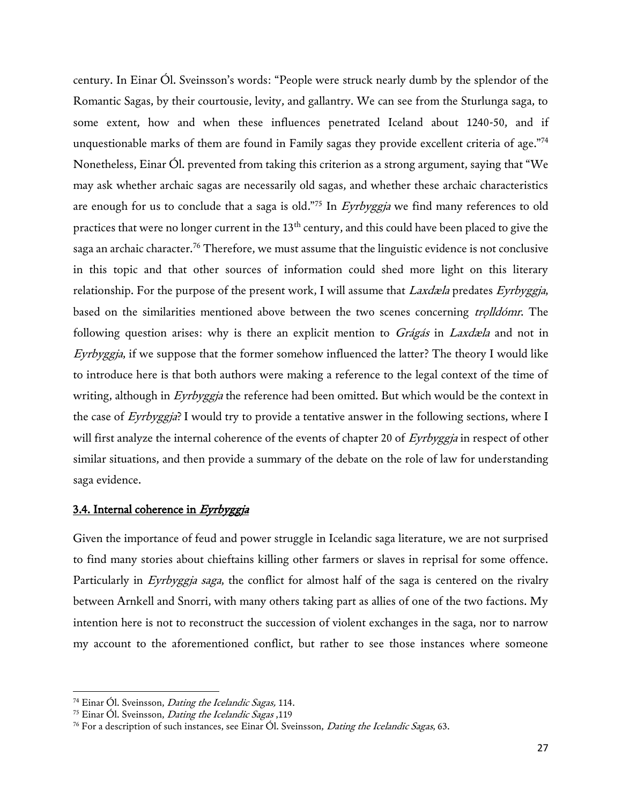century. In Einar Ól. Sveinsson's words: "People were struck nearly dumb by the splendor of the Romantic Sagas, by their courtousie, levity, and gallantry. We can see from the Sturlunga saga, to some extent, how and when these influences penetrated Iceland about 1240-50, and if unquestionable marks of them are found in Family sagas they provide excellent criteria of age."<sup>74</sup> Nonetheless, Einar Ól. prevented from taking this criterion as a strong argument, saying that "We may ask whether archaic sagas are necessarily old sagas, and whether these archaic characteristics are enough for us to conclude that a saga is old."<sup>75</sup> In *Eyrbyggja* we find many references to old practices that were no longer current in the 13th century, and this could have been placed to give the saga an archaic character.<sup>76</sup> Therefore, we must assume that the linguistic evidence is not conclusive in this topic and that other sources of information could shed more light on this literary relationship. For the purpose of the present work, I will assume that *Laxdæla* predates Eyrbyggja, based on the similarities mentioned above between the two scenes concerning trolldómr. The following question arises: why is there an explicit mention to Grágás in Laxdæla and not in Eyrbyggja, if we suppose that the former somehow influenced the latter? The theory I would like to introduce here is that both authors were making a reference to the legal context of the time of writing, although in Eyrbyggja the reference had been omitted. But which would be the context in the case of Eyrbyggja? I would try to provide a tentative answer in the following sections, where I will first analyze the internal coherence of the events of chapter 20 of Eyrbyggja in respect of other similar situations, and then provide a summary of the debate on the role of law for understanding saga evidence.

## 3.4. Internal coherence in Eyrbyggja

Given the importance of feud and power struggle in Icelandic saga literature, we are not surprised to find many stories about chieftains killing other farmers or slaves in reprisal for some offence. Particularly in Eyrbyggja saga, the conflict for almost half of the saga is centered on the rivalry between Arnkell and Snorri, with many others taking part as allies of one of the two factions. My intention here is not to reconstruct the succession of violent exchanges in the saga, nor to narrow my account to the aforementioned conflict, but rather to see those instances where someone

<sup>&</sup>lt;sup>74</sup> Einar Ól. Sveinsson, *Dating the Icelandic Sagas*, 114.

<sup>&</sup>lt;sup>75</sup> Einar Ól. Sveinsson, *Dating the Icelandic Sagas*, 119

<sup>&</sup>lt;sup>76</sup> For a description of such instances, see Einar Ól. Sveinsson, *Dating the Icelandic Sagas*, 63.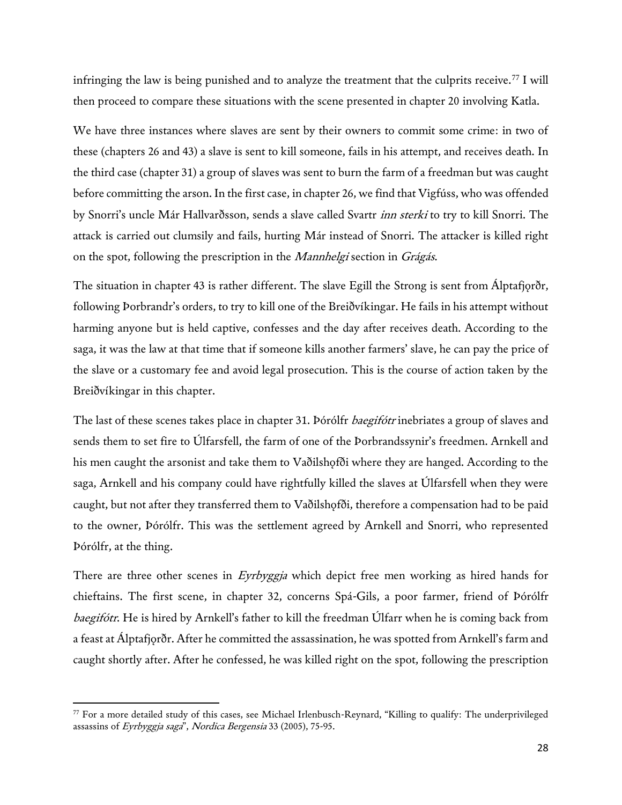infringing the law is being punished and to analyze the treatment that the culprits receive.<sup>77</sup> I will then proceed to compare these situations with the scene presented in chapter 20 involving Katla.

We have three instances where slaves are sent by their owners to commit some crime: in two of these (chapters 26 and 43) a slave is sent to kill someone, fails in his attempt, and receives death. In the third case (chapter 31) a group of slaves was sent to burn the farm of a freedman but was caught before committing the arson. In the first case, in chapter 26, we find that Vigfúss, who was offended by Snorri's uncle Már Hallvarðsson, sends a slave called Svartr *inn sterki* to try to kill Snorri. The attack is carried out clumsily and fails, hurting Már instead of Snorri. The attacker is killed right on the spot, following the prescription in the Mannhelgi section in Grágás.

The situation in chapter 43 is rather different. The slave Egill the Strong is sent from Álptafjorðr, following Þorbrandr's orders, to try to kill one of the Breiðvíkingar. He fails in his attempt without harming anyone but is held captive, confesses and the day after receives death. According to the saga, it was the law at that time that if someone kills another farmers' slave, he can pay the price of the slave or a customary fee and avoid legal prosecution. This is the course of action taken by the Breiðvíkingar in this chapter.

The last of these scenes takes place in chapter 31. Þórólfr *baegifótr* inebriates a group of slaves and sends them to set fire to Úlfarsfell, the farm of one of the Þorbrandssynir's freedmen. Arnkell and his men caught the arsonist and take them to Vaðilshofði where they are hanged. According to the saga, Arnkell and his company could have rightfully killed the slaves at Úlfarsfell when they were caught, but not after they transferred them to Vaðilshofði, therefore a compensation had to be paid to the owner, Þórólfr. This was the settlement agreed by Arnkell and Snorri, who represented Þórólfr, at the thing.

There are three other scenes in *Eyrbyggja* which depict free men working as hired hands for chieftains. The first scene, in chapter 32, concerns Spá-Gils, a poor farmer, friend of Þórólfr baegifótr. He is hired by Arnkell's father to kill the freedman Úlfarr when he is coming back from a feast at Álptafjǫrðr. After he committed the assassination, he was spotted from Arnkell's farm and caught shortly after. After he confessed, he was killed right on the spot, following the prescription

<sup>77</sup> For a more detailed study of this cases, see Michael Irlenbusch-Reynard, "Killing to qualify: The underprivileged assassins of Eyrbyggja saga", Nordica Bergensia 33 (2005), 75-95.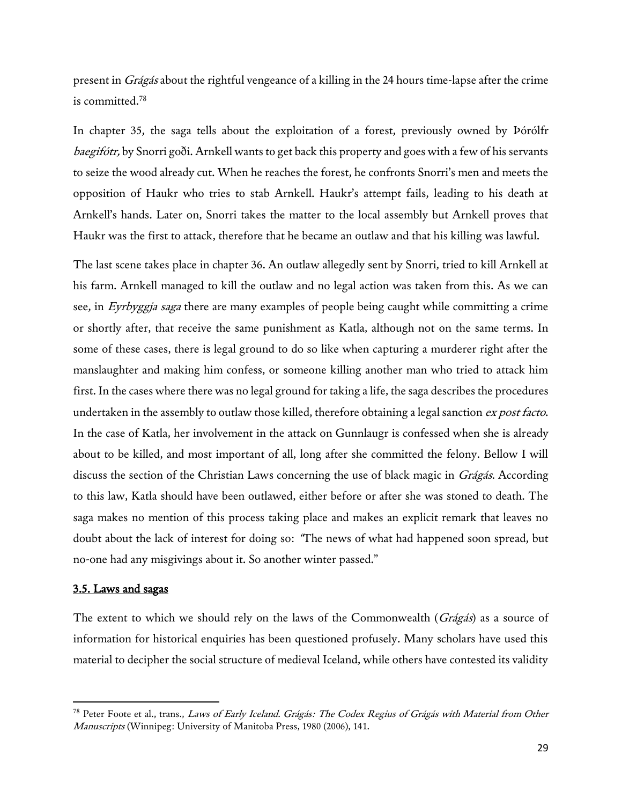present in Grágás about the rightful vengeance of a killing in the 24 hours time-lapse after the crime is committed.<sup>78</sup>

In chapter 35, the saga tells about the exploitation of a forest, previously owned by Þórólfr baegifótr, by Snorri goði. Arnkell wants to get back this property and goes with a few of his servants to seize the wood already cut. When he reaches the forest, he confronts Snorri's men and meets the opposition of Haukr who tries to stab Arnkell. Haukr's attempt fails, leading to his death at Arnkell's hands. Later on, Snorri takes the matter to the local assembly but Arnkell proves that Haukr was the first to attack, therefore that he became an outlaw and that his killing was lawful.

The last scene takes place in chapter 36. An outlaw allegedly sent by Snorri, tried to kill Arnkell at his farm. Arnkell managed to kill the outlaw and no legal action was taken from this. As we can see, in Eyrbyggja saga there are many examples of people being caught while committing a crime or shortly after, that receive the same punishment as Katla, although not on the same terms. In some of these cases, there is legal ground to do so like when capturing a murderer right after the manslaughter and making him confess, or someone killing another man who tried to attack him first. In the cases where there was no legal ground for taking a life, the saga describes the procedures undertaken in the assembly to outlaw those killed, therefore obtaining a legal sanction ex post facto. In the case of Katla, her involvement in the attack on Gunnlaugr is confessed when she is already about to be killed, and most important of all, long after she committed the felony. Bellow I will discuss the section of the Christian Laws concerning the use of black magic in *Grágás*. According to this law, Katla should have been outlawed, either before or after she was stoned to death. The saga makes no mention of this process taking place and makes an explicit remark that leaves no doubt about the lack of interest for doing so: "The news of what had happened soon spread, but no-one had any misgivings about it. So another winter passed."

## 3.5. Laws and sagas

l

The extent to which we should rely on the laws of the Commonwealth ( $Grágás$ ) as a source of information for historical enquiries has been questioned profusely. Many scholars have used this material to decipher the social structure of medieval Iceland, while others have contested its validity

<sup>&</sup>lt;sup>78</sup> Peter Foote et al., trans., Laws of Early Iceland. Grágás: The Codex Regius of Grágás with Material from Other Manuscripts (Winnipeg: University of Manitoba Press, 1980 (2006), 141.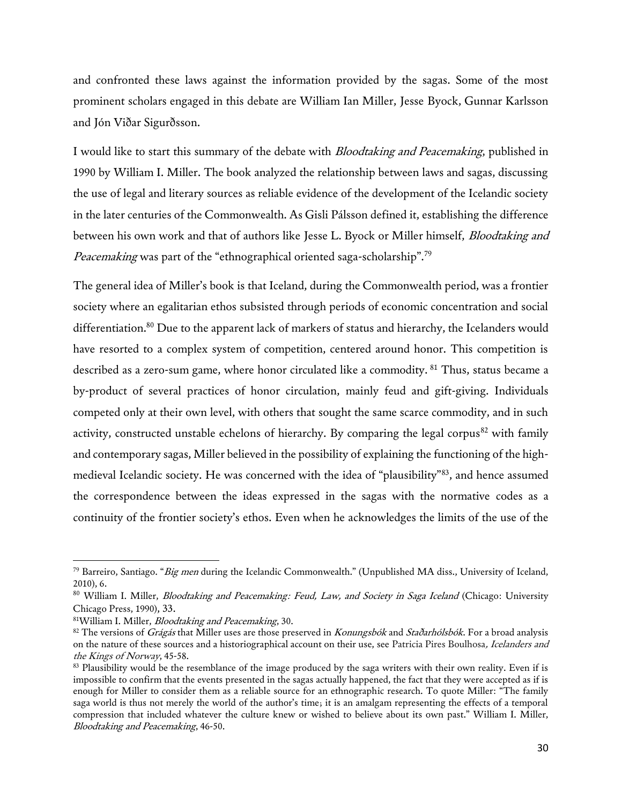and confronted these laws against the information provided by the sagas. Some of the most prominent scholars engaged in this debate are William Ian Miller, Jesse Byock, Gunnar Karlsson and Jón Viðar Sigurðsson.

I would like to start this summary of the debate with *Bloodtaking and Peacemaking*, published in 1990 by William I. Miller. The book analyzed the relationship between laws and sagas, discussing the use of legal and literary sources as reliable evidence of the development of the Icelandic society in the later centuries of the Commonwealth. As Gisli Pálsson defined it, establishing the difference between his own work and that of authors like Jesse L. Byock or Miller himself, *Bloodtaking and* Peacemaking was part of the "ethnographical oriented saga-scholarship".<sup>79</sup>

The general idea of Miller's book is that Iceland, during the Commonwealth period, was a frontier society where an egalitarian ethos subsisted through periods of economic concentration and social differentiation.<sup>80</sup> Due to the apparent lack of markers of status and hierarchy, the Icelanders would have resorted to a complex system of competition, centered around honor. This competition is described as a zero-sum game, where honor circulated like a commodity. <sup>81</sup> Thus, status became a by-product of several practices of honor circulation, mainly feud and gift-giving. Individuals competed only at their own level, with others that sought the same scarce commodity, and in such activity, constructed unstable echelons of hierarchy. By comparing the legal corpus<sup>82</sup> with family and contemporary sagas, Miller believed in the possibility of explaining the functioning of the highmedieval Icelandic society. He was concerned with the idea of "plausibility"<sup>83</sup>, and hence assumed the correspondence between the ideas expressed in the sagas with the normative codes as a continuity of the frontier society's ethos. Even when he acknowledges the limits of the use of the

 $^{79}$  Barreiro, Santiago. "*Big men* during the Icelandic Commonwealth." (Unpublished MA diss., University of Iceland, 2010), 6.

<sup>80</sup> William I. Miller, *Bloodtaking and Peacemaking: Feud, Law, and Society in Saga Iceland* (Chicago: University Chicago Press, 1990), 33.

<sup>81</sup>William I. Miller, Bloodtaking and Peacemaking, 30.

<sup>82</sup> The versions of Grágás that Miller uses are those preserved in Konungsbók and Staðarhólsbók. For a broad analysis on the nature of these sources and a historiographical account on their use, see Patricia Pires Boulhosa, Icelanders and the Kings of Norway, 45-58.

<sup>&</sup>lt;sup>83</sup> Plausibility would be the resemblance of the image produced by the saga writers with their own reality. Even if is impossible to confirm that the events presented in the sagas actually happened, the fact that they were accepted as if is enough for Miller to consider them as a reliable source for an ethnographic research. To quote Miller: "The family saga world is thus not merely the world of the author's time; it is an amalgam representing the effects of a temporal compression that included whatever the culture knew or wished to believe about its own past." William I. Miller, Bloodtaking and Peacemaking, 46-50.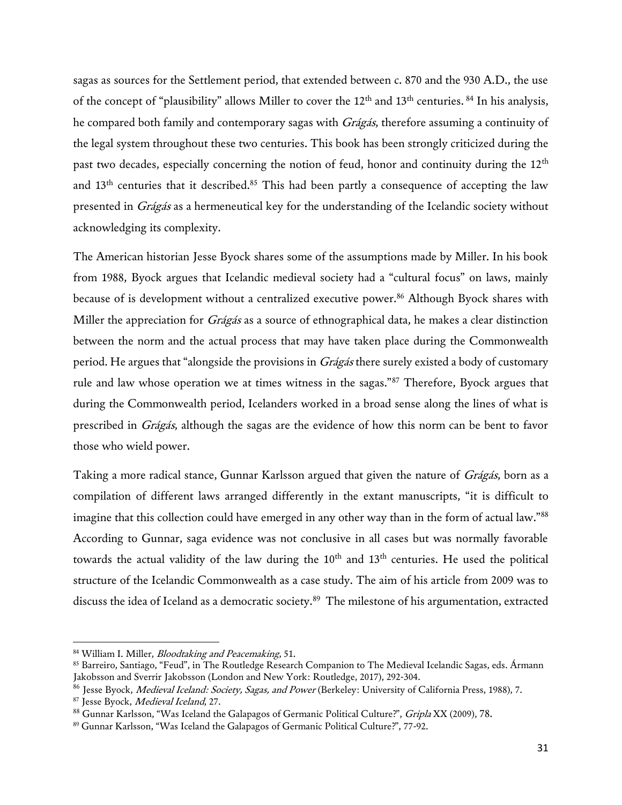sagas as sources for the Settlement period, that extended between c. 870 and the 930 A.D., the use of the concept of "plausibility" allows Miller to cover the  $12<sup>th</sup>$  and  $13<sup>th</sup>$  centuries. <sup>84</sup> In his analysis, he compared both family and contemporary sagas with Grágás, therefore assuming a continuity of the legal system throughout these two centuries. This book has been strongly criticized during the past two decades, especially concerning the notion of feud, honor and continuity during the 12<sup>th</sup> and  $13<sup>th</sup>$  centuries that it described.<sup>85</sup> This had been partly a consequence of accepting the law presented in Grágás as a hermeneutical key for the understanding of the Icelandic society without acknowledging its complexity.

The American historian Jesse Byock shares some of the assumptions made by Miller. In his book from 1988, Byock argues that Icelandic medieval society had a "cultural focus" on laws, mainly because of is development without a centralized executive power.<sup>86</sup> Although Byock shares with Miller the appreciation for *Grágás* as a source of ethnographical data, he makes a clear distinction between the norm and the actual process that may have taken place during the Commonwealth period. He argues that "alongside the provisions in *Grágás* there surely existed a body of customary rule and law whose operation we at times witness in the sagas."<sup>87</sup> Therefore, Byock argues that during the Commonwealth period, Icelanders worked in a broad sense along the lines of what is prescribed in Grágás, although the sagas are the evidence of how this norm can be bent to favor those who wield power.

Taking a more radical stance, Gunnar Karlsson argued that given the nature of *Grágás*, born as a compilation of different laws arranged differently in the extant manuscripts, "it is difficult to imagine that this collection could have emerged in any other way than in the form of actual law."<sup>88</sup> According to Gunnar, saga evidence was not conclusive in all cases but was normally favorable towards the actual validity of the law during the  $10<sup>th</sup>$  and  $13<sup>th</sup>$  centuries. He used the political structure of the Icelandic Commonwealth as a case study. The aim of his article from 2009 was to discuss the idea of Iceland as a democratic society.<sup>89</sup> The milestone of his argumentation, extracted

<sup>84</sup> William I. Miller, *Bloodtaking and Peacemaking*, 51.

<sup>85</sup> Barreiro, Santiago, "Feud", in The Routledge Research Companion to The Medieval Icelandic Sagas, eds. Ármann Jakobsson and Sverrir Jakobsson (London and New York: Routledge, 2017), 292-304.

<sup>&</sup>lt;sup>86</sup> Jesse Byock, *Medieval Iceland: Society, Sagas, and Power* (Berkeley: University of California Press, 1988), 7.

<sup>87</sup> Jesse Byock, Medieval Iceland, 27.

<sup>88</sup> Gunnar Karlsson, "Was Iceland the Galapagos of Germanic Political Culture?", Gripla XX (2009), 78.

<sup>89</sup> Gunnar Karlsson, "Was Iceland the Galapagos of Germanic Political Culture?", 77-92.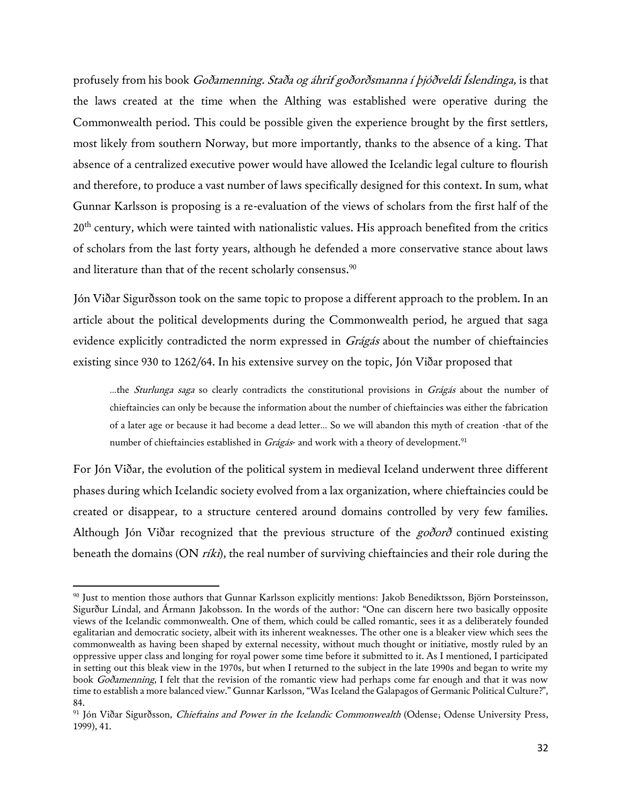profusely from his book Goðamenning. Staða og áhrif goðorðsmanna í þjóðveldi Íslendinga, is that the laws created at the time when the Althing was established were operative during the Commonwealth period. This could be possible given the experience brought by the first settlers, most likely from southern Norway, but more importantly, thanks to the absence of a king. That absence of a centralized executive power would have allowed the Icelandic legal culture to flourish and therefore, to produce a vast number of laws specifically designed for this context. In sum, what Gunnar Karlsson is proposing is a re-evaluation of the views of scholars from the first half of the 20<sup>th</sup> century, which were tainted with nationalistic values. His approach benefited from the critics of scholars from the last forty years, although he defended a more conservative stance about laws and literature than that of the recent scholarly consensus.<sup>90</sup>

Jón Viðar Sigurðsson took on the same topic to propose a different approach to the problem. In an article about the political developments during the Commonwealth period, he argued that saga evidence explicitly contradicted the norm expressed in Grágás about the number of chieftaincies existing since 930 to 1262/64. In his extensive survey on the topic, Jón Viðar proposed that

…the Sturlunga saga so clearly contradicts the constitutional provisions in Grágás about the number of chieftaincies can only be because the information about the number of chieftaincies was either the fabrication of a later age or because it had become a dead letter… So we will abandon this myth of creation -that of the number of chieftaincies established in *Grágás*- and work with a theory of development.<sup>91</sup>

For Jón Viðar, the evolution of the political system in medieval Iceland underwent three different phases during which Icelandic society evolved from a lax organization, where chieftaincies could be created or disappear, to a structure centered around domains controlled by very few families. Although Jón Viðar recognized that the previous structure of the  $g \circ \partial \circ \circ \partial$  continued existing beneath the domains (ON ríki), the real number of surviving chieftaincies and their role during the

<sup>90</sup> Just to mention those authors that Gunnar Karlsson explicitly mentions: Jakob Benediktsson, Björn Þorsteinsson, Sigurður Líndal, and Ármann Jakobsson. In the words of the author: "One can discern here two basically opposite views of the Icelandic commonwealth. One of them, which could be called romantic, sees it as a deliberately founded egalitarian and democratic society, albeit with its inherent weaknesses. The other one is a bleaker view which sees the commonwealth as having been shaped by external necessity, without much thought or initiative, mostly ruled by an oppressive upper class and longing for royal power some time before it submitted to it. As I mentioned, I participated in setting out this bleak view in the 1970s, but when I returned to the subject in the late 1990s and began to write my book Goðamenning, I felt that the revision of the romantic view had perhaps come far enough and that it was now time to establish a more balanced view." Gunnar Karlsson, "Was Iceland the Galapagos of Germanic Political Culture?", 84.

<sup>&</sup>lt;sup>91</sup> Jón Viðar Sigurðsson, *Chieftains and Power in the Icelandic Commonwealth* (Odense; Odense University Press, 1999), 41.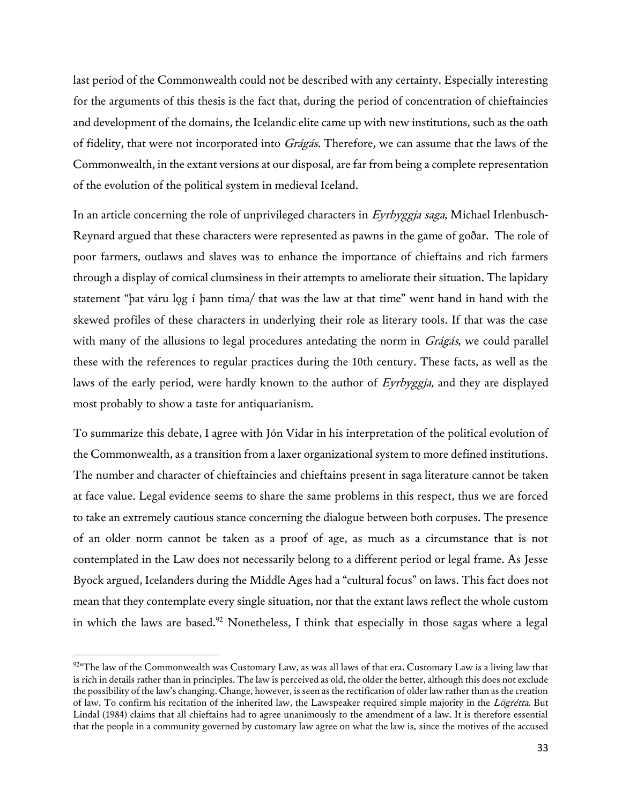last period of the Commonwealth could not be described with any certainty. Especially interesting for the arguments of this thesis is the fact that, during the period of concentration of chieftaincies and development of the domains, the Icelandic elite came up with new institutions, such as the oath of fidelity, that were not incorporated into Grágás. Therefore, we can assume that the laws of the Commonwealth, in the extant versions at our disposal, are far from being a complete representation of the evolution of the political system in medieval Iceland.

In an article concerning the role of unprivileged characters in Eyrbyggja saga, Michael Irlenbusch-Reynard argued that these characters were represented as pawns in the game of goðar. The role of poor farmers, outlaws and slaves was to enhance the importance of chieftains and rich farmers through a display of comical clumsiness in their attempts to ameliorate their situation. The lapidary statement "þat váru log í þann tíma/ that was the law at that time" went hand in hand with the skewed profiles of these characters in underlying their role as literary tools. If that was the case with many of the allusions to legal procedures antedating the norm in Grágás, we could parallel these with the references to regular practices during the 10th century. These facts, as well as the laws of the early period, were hardly known to the author of Eyrbyggja, and they are displayed most probably to show a taste for antiquarianism.

To summarize this debate, I agree with Jón Vidar in his interpretation of the political evolution of the Commonwealth, as a transition from a laxer organizational system to more defined institutions. The number and character of chieftaincies and chieftains present in saga literature cannot be taken at face value. Legal evidence seems to share the same problems in this respect, thus we are forced to take an extremely cautious stance concerning the dialogue between both corpuses. The presence of an older norm cannot be taken as a proof of age, as much as a circumstance that is not contemplated in the Law does not necessarily belong to a different period or legal frame. As Jesse Byock argued, Icelanders during the Middle Ages had a "cultural focus" on laws. This fact does not mean that they contemplate every single situation, nor that the extant laws reflect the whole custom in which the laws are based.<sup>92</sup> Nonetheless, I think that especially in those sagas where a legal

l

 $92^{\omega}$ The law of the Commonwealth was Customary Law, as was all laws of that era. Customary Law is a living law that is rich in details rather than in principles. The law is perceived as old, the older the better, although this does not exclude the possibility of the law's changing. Change, however, is seen as the rectification of older law rather than as the creation of law. To confirm his recitation of the inherited law, the Lawspeaker required simple majority in the Lögrétta. But Lindal (1984) claims that all chieftains had to agree unanimously to the amendment of a law. It is therefore essential that the people in a community governed by customary law agree on what the law is, since the motives of the accused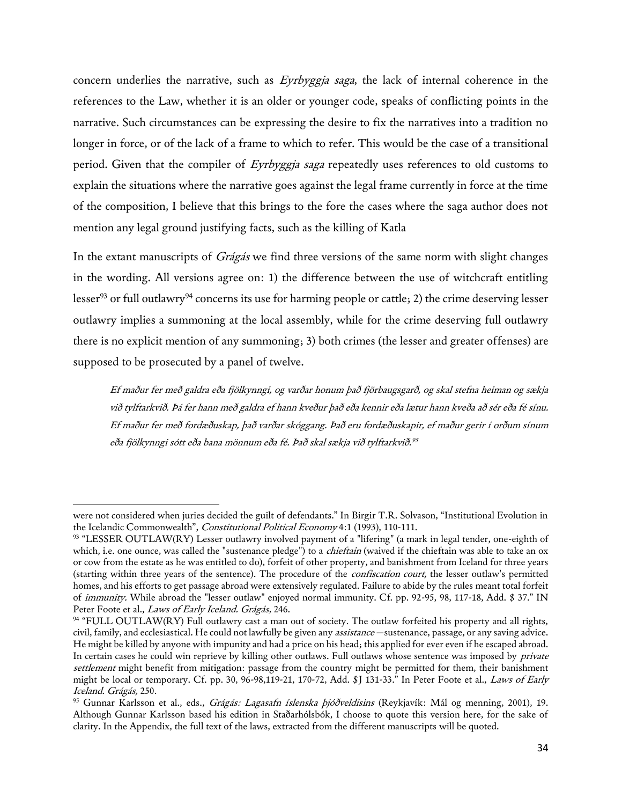concern underlies the narrative, such as Eyrbyggja saga, the lack of internal coherence in the references to the Law, whether it is an older or younger code, speaks of conflicting points in the narrative. Such circumstances can be expressing the desire to fix the narratives into a tradition no longer in force, or of the lack of a frame to which to refer. This would be the case of a transitional period. Given that the compiler of Eyrbyggja saga repeatedly uses references to old customs to explain the situations where the narrative goes against the legal frame currently in force at the time of the composition, I believe that this brings to the fore the cases where the saga author does not mention any legal ground justifying facts, such as the killing of Katla

In the extant manuscripts of *Grágás* we find three versions of the same norm with slight changes in the wording. All versions agree on: 1) the difference between the use of witchcraft entitling lesser<sup>93</sup> or full outlawry<sup>94</sup> concerns its use for harming people or cattle; 2) the crime deserving lesser outlawry implies a summoning at the local assembly, while for the crime deserving full outlawry there is no explicit mention of any summoning; 3) both crimes (the lesser and greater offenses) are supposed to be prosecuted by a panel of twelve.

Ef maður fer með galdra eða fjölkynngi, og varðar honum það fjörbaugsgarð, og skal stefna heiman og sækja við tylftarkvið. Þá fer hann með galdra ef hann kveður það eða kennir eða lætur hann kveða að sér eða fé sínu. Ef maður fer með fordæðuskap, það varðar skóggang. Það eru fordæðuskapir, ef maður gerir í orðum sínum eða fjölkynngi sótt eða bana mönnum eða fé. Það skal sækja við tylftarkvið. 95

were not considered when juries decided the guilt of defendants." In Birgir T.R. Solvason, "Institutional Evolution in the Icelandic Commonwealth", Constitutional Political Economy 4:1 (1993), 110-111.

<sup>93</sup> "LESSER OUTLAW(RY) Lesser outlawry involved payment of a "lifering" (a mark in legal tender, one-eighth of which, i.e. one ounce, was called the "sustenance pledge") to a *chieftain* (waived if the chieftain was able to take an ox or cow from the estate as he was entitled to do), forfeit of other property, and banishment from Iceland for three years (starting within three years of the sentence). The procedure of the confiscation court, the lesser outlaw's permitted homes, and his efforts to get passage abroad were extensively regulated. Failure to abide by the rules meant total forfeit of immunity. While abroad the "lesser outlaw" enjoyed normal immunity. Cf. pp. 92-95, 98, 117-18, Add. \$ 37." IN Peter Foote et al., Laws of Early Iceland. Grágás, 246.

<sup>94</sup> "FULL OUTLAW(RY) Full outlawry cast a man out of society. The outlaw forfeited his property and all rights, civil, family, and ecclesiastical. He could not lawfully be given any assistance —sustenance, passage, or any saving advice. He might be killed by anyone with impunity and had a price on his head; this applied for ever even if he escaped abroad. In certain cases he could win reprieve by killing other outlaws. Full outlaws whose sentence was imposed by *private* settlement might benefit from mitigation: passage from the country might be permitted for them, their banishment might be local or temporary. Cf. pp. 30, 96-98,119-21, 170-72, Add. \$J 131-33." In Peter Foote et al., Laws of Early Iceland. Grágás, 250.

<sup>95</sup> Gunnar Karlsson et al., eds., Grágás: Lagasafn íslenska þjóðveldisins (Reykjavík: Mál og menning, 2001), 19. Although Gunnar Karlsson based his edition in Staðarhólsbók, I choose to quote this version here, for the sake of clarity. In the Appendix, the full text of the laws, extracted from the different manuscripts will be quoted.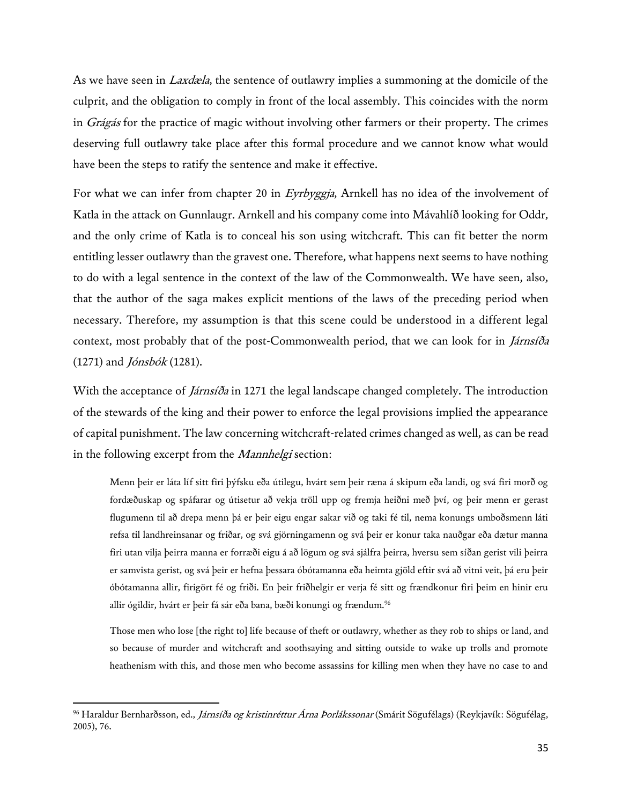As we have seen in *Laxdæla*, the sentence of outlawry implies a summoning at the domicile of the culprit, and the obligation to comply in front of the local assembly. This coincides with the norm in Grágás for the practice of magic without involving other farmers or their property. The crimes deserving full outlawry take place after this formal procedure and we cannot know what would have been the steps to ratify the sentence and make it effective.

For what we can infer from chapter 20 in *Eyrbyggja*, Arnkell has no idea of the involvement of Katla in the attack on Gunnlaugr. Arnkell and his company come into Mávahlíð looking for Oddr, and the only crime of Katla is to conceal his son using witchcraft. This can fit better the norm entitling lesser outlawry than the gravest one. Therefore, what happens next seems to have nothing to do with a legal sentence in the context of the law of the Commonwealth. We have seen, also, that the author of the saga makes explicit mentions of the laws of the preceding period when necessary. Therefore, my assumption is that this scene could be understood in a different legal context, most probably that of the post-Commonwealth period, that we can look for in *Járnsíða*  $(1271)$  and *Jónsbók* (1281).

With the acceptance of *Járnsíða* in 1271 the legal landscape changed completely. The introduction of the stewards of the king and their power to enforce the legal provisions implied the appearance of capital punishment. The law concerning witchcraft-related crimes changed as well, as can be read in the following excerpt from the *Mannhelgi* section:

Menn þeir er láta líf sitt firi þýfsku eða útilegu, hvárt sem þeir ræna á skipum eða landi, og svá firi morð og fordæðuskap og spáfarar og útisetur að vekja tröll upp og fremja heiðni með því, og þeir menn er gerast flugumenn til að drepa menn þá er þeir eigu engar sakar við og taki fé til, nema konungs umboðsmenn láti refsa til landhreinsanar og friðar, og svá gjörningamenn og svá þeir er konur taka nauðgar eða dætur manna firi utan vilja þeirra manna er forræði eigu á að lögum og svá sjálfra þeirra, hversu sem síðan gerist vili þeirra er samvista gerist, og svá þeir er hefna þessara óbótamanna eða heimta gjöld eftir svá að vitni veit, þá eru þeir óbótamanna allir, firigört fé og friði. En þeir friðhelgir er verja fé sitt og frændkonur firi þeim en hinir eru allir ógildir, hvárt er þeir fá sár eða bana, bæði konungi og frændum.<sup>96</sup>

Those men who lose [the right to] life because of theft or outlawry, whether as they rob to ships or land, and so because of murder and witchcraft and soothsaying and sitting outside to wake up trolls and promote heathenism with this, and those men who become assassins for killing men when they have no case to and

<sup>&</sup>lt;sup>96</sup> Haraldur Bernharðsson, ed., *Járnsíða og kristinréttur Árna Þorlákssonar* (Smárit Sögufélags) (Reykjavík: Sögufélag, 2005), 76.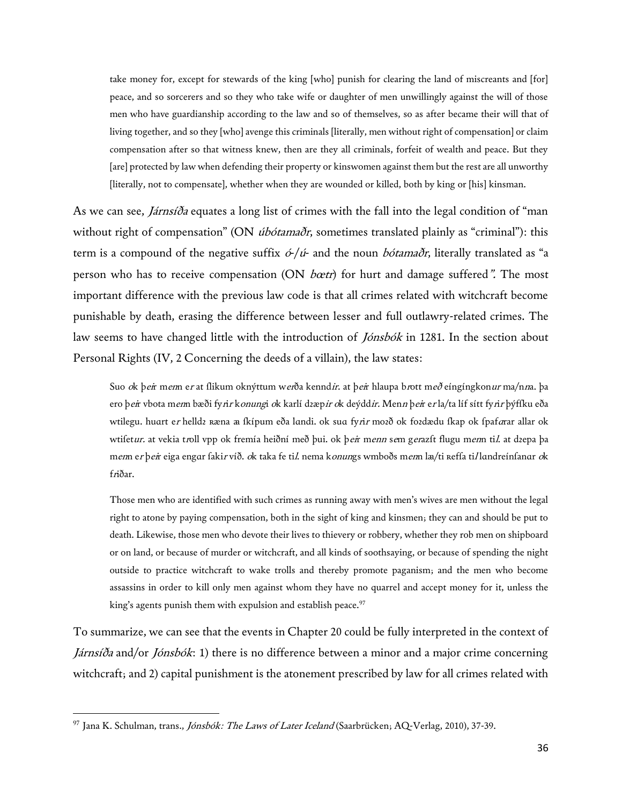take money for, except for stewards of the king [who] punish for clearing the land of miscreants and [for] peace, and so sorcerers and so they who take wife or daughter of men unwillingly against the will of those men who have guardianship according to the law and so of themselves, so as after became their will that of living together, and so they [who] avenge this criminals [literally, men without right of compensation] or claim compensation after so that witness knew, then are they all criminals, forfeit of wealth and peace. But they [are] protected by law when defending their property or kinswomen against them but the rest are all unworthy [literally, not to compensate], whether when they are wounded or killed, both by king or [his] kinsman.

As we can see, *Járnsíða* equates a long list of crimes with the fall into the legal condition of "man without right of compensation" (ON *úbótamaðr*, sometimes translated plainly as "criminal"): this term is a compound of the negative suffix  $\acute{o}/\acute{u}$ - and the noun *bótamaðr*, literally translated as "a person who has to receive compensation (ON *bœtr*) for hurt and damage suffered". The most important difference with the previous law code is that all crimes related with witchcraft become punishable by death, erasing the difference between lesser and full outlawry-related crimes. The law seems to have changed little with the introduction of *Jónsbók* in 1281. In the section about Personal Rights (IV, 2 Concerning the deeds of a villain), the law states:

Suo *ok þeir menn er* at flikum oknýttum w*er*ða kennd*ir*. at þ*ei*r hlaupa b*r*ott með eíngíngkon*ur* ma/n*n*a. þa ero þ*ei*r vbota m*en*n bæði fy*rir* k*onung*i *o*k karlí dzæp*ir o*k deýdd*ir. Menn* þ*ei*r e*r* la/ta líf sítt fy*rir* þýffku eða wtilegu. huart e*r* helldz ʀæna æ ſkípum eða lɑndi. ok sua fy*rir* mozð ok fozdædu ſkap ok ſpaf*a*rar allar ok wtifet*ur*. at vekia troll vpp ok fremía heiðní með þui. ok þ*ei*r menn sem gerazft flugu menn til. at dzepa þa mem er þeir eiga engɑr fakir víð. *o*k taka fe til. nema konungs wmboðs menn læ/ti reffa til lɑndreínfanɑr *o*k friðar.

Those men who are identified with such crimes as running away with men's wives are men without the legal right to atone by paying compensation, both in the sight of king and kinsmen; they can and should be put to death. Likewise, those men who devote their lives to thievery or robbery, whether they rob men on shipboard or on land, or because of murder or witchcraft, and all kinds of soothsaying, or because of spending the night outside to practice witchcraft to wake trolls and thereby promote paganism; and the men who become assassins in order to kill only men against whom they have no quarrel and accept money for it, unless the king's agents punish them with expulsion and establish peace.<sup>97</sup>

To summarize, we can see that the events in Chapter 20 could be fully interpreted in the context of Járnsíða and/or Jónsbók: 1) there is no difference between a minor and a major crime concerning witchcraft; and 2) capital punishment is the atonement prescribed by law for all crimes related with

<sup>97</sup> Jana K. Schulman, trans., *Jónsbók: The Laws of Later Iceland* (Saarbrücken; AQ-Verlag, 2010), 37-39.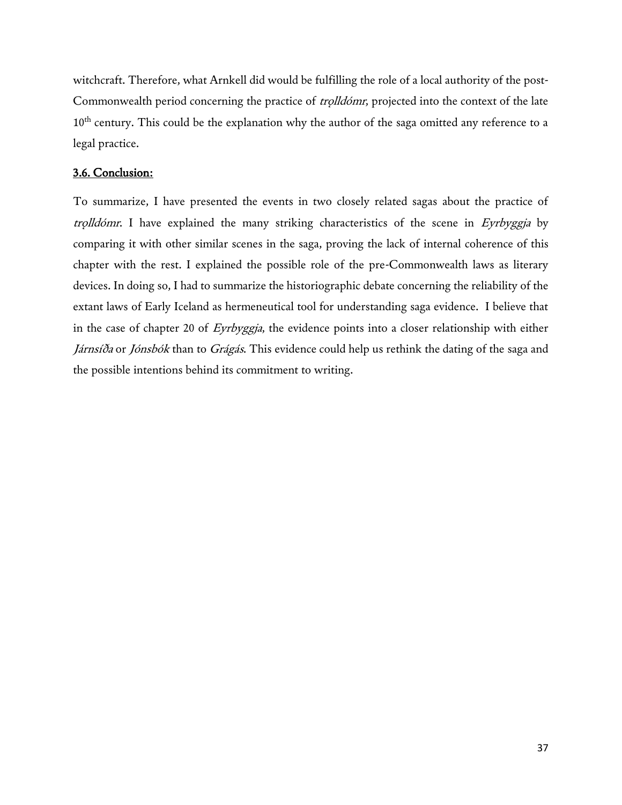witchcraft. Therefore, what Arnkell did would be fulfilling the role of a local authority of the post-Commonwealth period concerning the practice of *trolldómr*, projected into the context of the late 10<sup>th</sup> century. This could be the explanation why the author of the saga omitted any reference to a legal practice.

## 3.6. Conclusion:

To summarize, I have presented the events in two closely related sagas about the practice of trolldómr. I have explained the many striking characteristics of the scene in Eyrbyggja by comparing it with other similar scenes in the saga, proving the lack of internal coherence of this chapter with the rest. I explained the possible role of the pre-Commonwealth laws as literary devices. In doing so, I had to summarize the historiographic debate concerning the reliability of the extant laws of Early Iceland as hermeneutical tool for understanding saga evidence. I believe that in the case of chapter 20 of Eyrbyggja, the evidence points into a closer relationship with either Járnsíða or Jónsbók than to Grágás. This evidence could help us rethink the dating of the saga and the possible intentions behind its commitment to writing.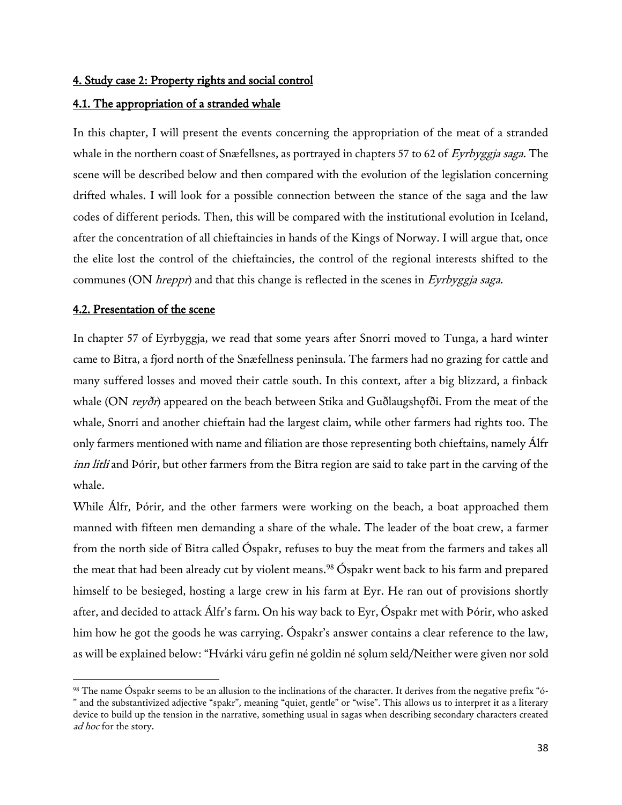## 4. Study case 2: Property rights and social control

## 4.1. The appropriation of a stranded whale

In this chapter, I will present the events concerning the appropriation of the meat of a stranded whale in the northern coast of Snæfellsnes, as portrayed in chapters 57 to 62 of Eyrbyggja saga. The scene will be described below and then compared with the evolution of the legislation concerning drifted whales. I will look for a possible connection between the stance of the saga and the law codes of different periods. Then, this will be compared with the institutional evolution in Iceland, after the concentration of all chieftaincies in hands of the Kings of Norway. I will argue that, once the elite lost the control of the chieftaincies, the control of the regional interests shifted to the communes (ON *hreppr*) and that this change is reflected in the scenes in *Eyrbyggja saga*.

## 4.2. Presentation of the scene

 $\overline{a}$ 

In chapter 57 of Eyrbyggja, we read that some years after Snorri moved to Tunga, a hard winter came to Bitra, a fjord north of the Snæfellness peninsula. The farmers had no grazing for cattle and many suffered losses and moved their cattle south. In this context, after a big blizzard, a finback whale (ON reyðr) appeared on the beach between Stika and Guðlaugshofði. From the meat of the whale, Snorri and another chieftain had the largest claim, while other farmers had rights too. The only farmers mentioned with name and filiation are those representing both chieftains, namely Álfr inn litli and Þórir, but other farmers from the Bitra region are said to take part in the carving of the whale.

While Álfr, Þórir, and the other farmers were working on the beach, a boat approached them manned with fifteen men demanding a share of the whale. The leader of the boat crew, a farmer from the north side of Bitra called Óspakr, refuses to buy the meat from the farmers and takes all the meat that had been already cut by violent means.<sup>98</sup> Óspakr went back to his farm and prepared himself to be besieged, hosting a large crew in his farm at Eyr. He ran out of provisions shortly after, and decided to attack Álfr's farm. On his way back to Eyr, Óspakr met with Þórir, who asked him how he got the goods he was carrying. Óspakr's answer contains a clear reference to the law, as will be explained below: "Hvárki váru gefin né goldin né solum seld/Neither were given nor sold

<sup>98</sup> The name Óspakr seems to be an allusion to the inclinations of the character. It derives from the negative prefix "ó- " and the substantivized adjective "spakr", meaning "quiet, gentle" or "wise". This allows us to interpret it as a literary device to build up the tension in the narrative, something usual in sagas when describing secondary characters created ad hoc for the story.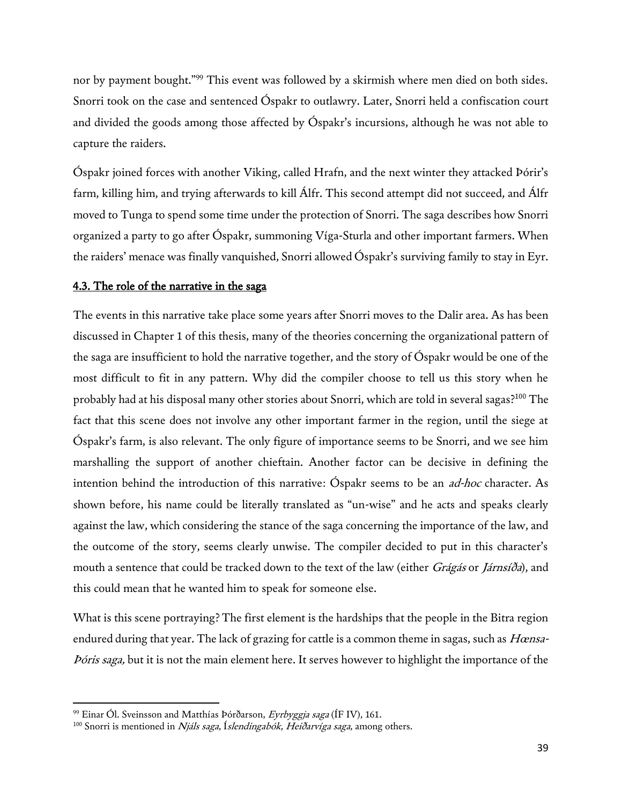nor by payment bought."<sup>99</sup> This event was followed by a skirmish where men died on both sides. Snorri took on the case and sentenced Óspakr to outlawry. Later, Snorri held a confiscation court and divided the goods among those affected by Óspakr's incursions, although he was not able to capture the raiders.

Óspakr joined forces with another Viking, called Hrafn, and the next winter they attacked Þórir's farm, killing him, and trying afterwards to kill Álfr. This second attempt did not succeed, and Álfr moved to Tunga to spend some time under the protection of Snorri. The saga describes how Snorri organized a party to go after Óspakr, summoning Víga-Sturla and other important farmers. When the raiders' menace was finally vanquished, Snorri allowed Óspakr's surviving family to stay in Eyr.

## 4.3. The role of the narrative in the saga

The events in this narrative take place some years after Snorri moves to the Dalir area. As has been discussed in Chapter 1 of this thesis, many of the theories concerning the organizational pattern of the saga are insufficient to hold the narrative together, and the story of Óspakr would be one of the most difficult to fit in any pattern. Why did the compiler choose to tell us this story when he probably had at his disposal many other stories about Snorri, which are told in several sagas?<sup>100</sup> The fact that this scene does not involve any other important farmer in the region, until the siege at Óspakr's farm, is also relevant. The only figure of importance seems to be Snorri, and we see him marshalling the support of another chieftain. Another factor can be decisive in defining the intention behind the introduction of this narrative: Óspakr seems to be an *ad-hoc* character. As shown before, his name could be literally translated as "un-wise" and he acts and speaks clearly against the law, which considering the stance of the saga concerning the importance of the law, and the outcome of the story, seems clearly unwise. The compiler decided to put in this character's mouth a sentence that could be tracked down to the text of the law (either Grágás or Járnsíða), and this could mean that he wanted him to speak for someone else.

What is this scene portraying? The first element is the hardships that the people in the Bitra region endured during that year. The lack of grazing for cattle is a common theme in sagas, such as *Hœnsa-*Þóris saga, but it is not the main element here. It serves however to highlight the importance of the

 $^{99}$  Einar Ól. Sveinsson and Matthías Þórðarson, *Eyrbyggja saga* (ÍF IV), 161.

<sup>&</sup>lt;sup>100</sup> Snorri is mentioned in Njáls saga, Íslendingabók, Heiðarvíga saga, among others.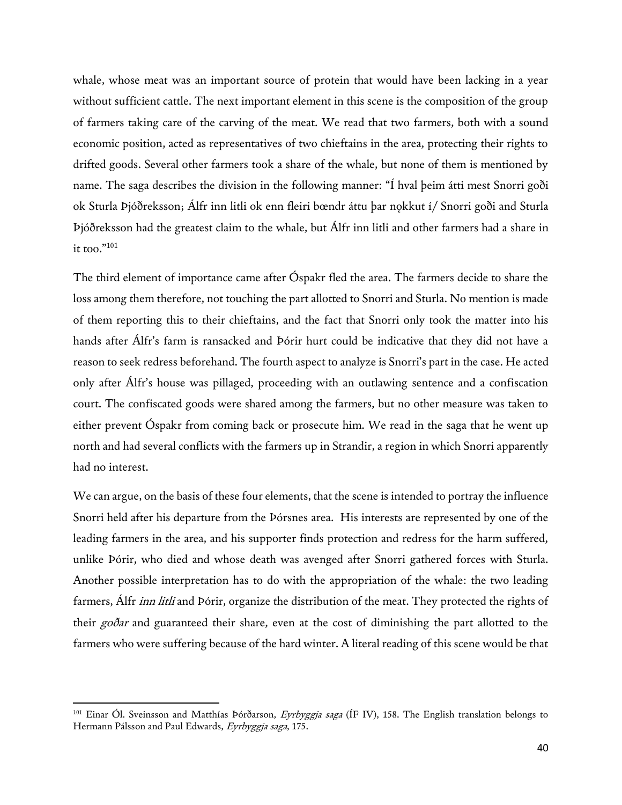whale, whose meat was an important source of protein that would have been lacking in a year without sufficient cattle. The next important element in this scene is the composition of the group of farmers taking care of the carving of the meat. We read that two farmers, both with a sound economic position, acted as representatives of two chieftains in the area, protecting their rights to drifted goods. Several other farmers took a share of the whale, but none of them is mentioned by name. The saga describes the division in the following manner: "Í hval þeim átti mest Snorri goði ok Sturla Þjóðreksson; Álfr inn litli ok enn fleiri bœndr áttu þar nǫkkut í/ Snorri goði and Sturla Þjóðreksson had the greatest claim to the whale, but Álfr inn litli and other farmers had a share in it too."<sup>101</sup>

The third element of importance came after Óspakr fled the area. The farmers decide to share the loss among them therefore, not touching the part allotted to Snorri and Sturla. No mention is made of them reporting this to their chieftains, and the fact that Snorri only took the matter into his hands after Álfr's farm is ransacked and Þórir hurt could be indicative that they did not have a reason to seek redress beforehand. The fourth aspect to analyze is Snorri's part in the case. He acted only after Álfr's house was pillaged, proceeding with an outlawing sentence and a confiscation court. The confiscated goods were shared among the farmers, but no other measure was taken to either prevent Óspakr from coming back or prosecute him. We read in the saga that he went up north and had several conflicts with the farmers up in Strandir, a region in which Snorri apparently had no interest.

We can argue, on the basis of these four elements, that the scene is intended to portray the influence Snorri held after his departure from the Þórsnes area. His interests are represented by one of the leading farmers in the area, and his supporter finds protection and redress for the harm suffered, unlike Þórir, who died and whose death was avenged after Snorri gathered forces with Sturla. Another possible interpretation has to do with the appropriation of the whale: the two leading farmers, Alfr *inn litli* and Þórir, organize the distribution of the meat. They protected the rights of their goðar and guaranteed their share, even at the cost of diminishing the part allotted to the farmers who were suffering because of the hard winter. A literal reading of this scene would be that

<sup>&</sup>lt;sup>101</sup> Einar Ól. Sveinsson and Matthías Þórðarson, *Eyrbyggja saga* (ÍF IV), 158. The English translation belongs to Hermann Pálsson and Paul Edwards, Eyrbyggja saga, 175.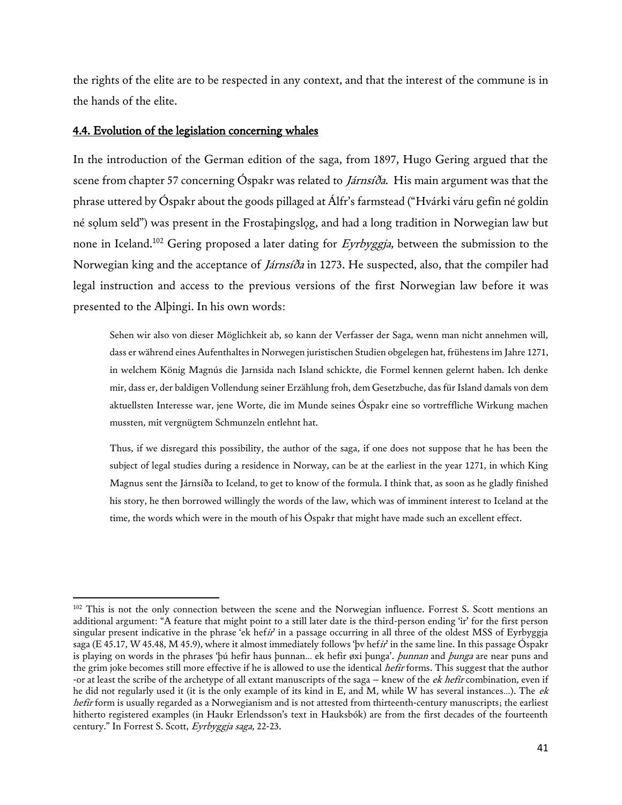the rights of the elite are to be respected in any context, and that the interest of the commune is in the hands of the elite.

## 4.4. Evolution of the legislation concerning whales

l

In the introduction of the German edition of the saga, from 1897, Hugo Gering argued that the scene from chapter 57 concerning Óspakr was related to *Járnsíða*. His main argument was that the phrase uttered by Óspakr about the goods pillaged at Álfr's farmstead ("Hvárki váru gefin né goldin né solum seld") was present in the Frostabingslog, and had a long tradition in Norwegian law but none in Iceland.<sup>102</sup> Gering proposed a later dating for Eyrbyggja, between the submission to the Norwegian king and the acceptance of Járnsíða in 1273. He suspected, also, that the compiler had legal instruction and access to the previous versions of the first Norwegian law before it was presented to the Alþingi. In his own words:

Sehen wir also von dieser Möglichkeit ab, so kann der Verfasser der Saga, wenn man nicht annehmen will, dass er während eines Aufenthaltes in Norwegen juristischen Studien obgelegen hat, frühestens im Jahre 1271, in welchem König Magnús die Jarnsida nach Island schickte, die Formel kennen gelernt haben. Ich denke mir, dass er, der baldigen Vollendung seiner Erzählung froh, dem Gesetzbuche, das für Island damals von dem aktuellsten Interesse war, jene Worte, die im Munde seines Óspakr eine so vortreffliche Wirkung machen mussten, mit vergnügtem Schmunzeln entlehnt hat.

Thus, if we disregard this possibility, the author of the saga, if one does not suppose that he has been the subject of legal studies during a residence in Norway, can be at the earliest in the year 1271, in which King Magnus sent the Járnsíða to Iceland, to get to know of the formula. I think that, as soon as he gladly finished his story, he then borrowed willingly the words of the law, which was of imminent interest to Iceland at the time, the words which were in the mouth of his Óspakr that might have made such an excellent effect.

<sup>&</sup>lt;sup>102</sup> This is not the only connection between the scene and the Norwegian influence. Forrest S. Scott mentions an additional argument: "A feature that might point to a still later date is the third-person ending 'ir' for the first person singular present indicative in the phrase 'ek hefir' in a passage occurring in all three of the oldest MSS of Eyrbyggja saga (E 45.17, W 45.48, M 45.9), where it almost immediately follows 'þv hefir' in the same line. In this passage Óspakr is playing on words in the phrases 'þú hefir haus þunnan... ek hefir øxi þunga'. *þunnan* and *þunga* are near puns and the grim joke becomes still more effective if he is allowed to use the identical *hefir* forms. This suggest that the author -or at least the scribe of the archetype of all extant manuscripts of the saga – knew of the *ek hefir* combination, even if he did not regularly used it (it is the only example of its kind in E, and M, while W has several instances...). The ek hefir form is usually regarded as a Norwegianism and is not attested from thirteenth-century manuscripts; the earliest hitherto registered examples (in Haukr Erlendsson's text in Hauksbók) are from the first decades of the fourteenth century." In Forrest S. Scott, Eyrbyggja saga, 22-23.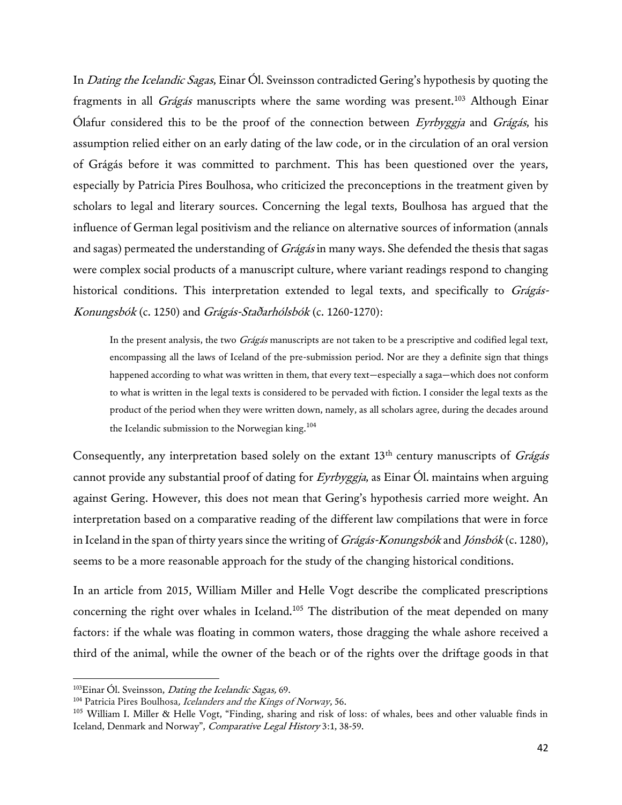In *Dating the Icelandic Sagas*, Einar Ol. Sveinsson contradicted Gering's hypothesis by quoting the fragments in all *Grágás* manuscripts where the same wording was present.<sup>103</sup> Although Einar Ólafur considered this to be the proof of the connection between Eyrbyggja and Grágás, his assumption relied either on an early dating of the law code, or in the circulation of an oral version of Grágás before it was committed to parchment. This has been questioned over the years, especially by Patricia Pires Boulhosa, who criticized the preconceptions in the treatment given by scholars to legal and literary sources. Concerning the legal texts, Boulhosa has argued that the influence of German legal positivism and the reliance on alternative sources of information (annals and sagas) permeated the understanding of *Grágás* in many ways. She defended the thesis that sagas were complex social products of a manuscript culture, where variant readings respond to changing historical conditions. This interpretation extended to legal texts, and specifically to Grágás-Konungsbók (c. 1250) and Grágás-Staðarhólsbók (c. 1260-1270):

In the present analysis, the two Grágás manuscripts are not taken to be a prescriptive and codified legal text, encompassing all the laws of Iceland of the pre-submission period. Nor are they a definite sign that things happened according to what was written in them, that every text—especially a saga—which does not conform to what is written in the legal texts is considered to be pervaded with fiction. I consider the legal texts as the product of the period when they were written down, namely, as all scholars agree, during the decades around the Icelandic submission to the Norwegian king.<sup>104</sup>

Consequently, any interpretation based solely on the extant  $13<sup>th</sup>$  century manuscripts of *Grágás* cannot provide any substantial proof of dating for Eyrbyggja, as Einar Ól. maintains when arguing against Gering. However, this does not mean that Gering's hypothesis carried more weight. An interpretation based on a comparative reading of the different law compilations that were in force in Iceland in the span of thirty years since the writing of Grágás-Konungsbók and Jónsbók (c. 1280), seems to be a more reasonable approach for the study of the changing historical conditions.

In an article from 2015, William Miller and Helle Vogt describe the complicated prescriptions concerning the right over whales in Iceland.<sup>105</sup> The distribution of the meat depended on many factors: if the whale was floating in common waters, those dragging the whale ashore received a third of the animal, while the owner of the beach or of the rights over the driftage goods in that

<sup>&</sup>lt;sup>103</sup>Einar Ól. Sveinsson, *Dating the Icelandic Sagas*, 69.

<sup>&</sup>lt;sup>104</sup> Patricia Pires Boulhosa, Icelanders and the Kings of Norway, 56.

 $105$  William I. Miller & Helle Vogt, "Finding, sharing and risk of loss: of whales, bees and other valuable finds in Iceland, Denmark and Norway", Comparative Legal History 3:1, 38-59.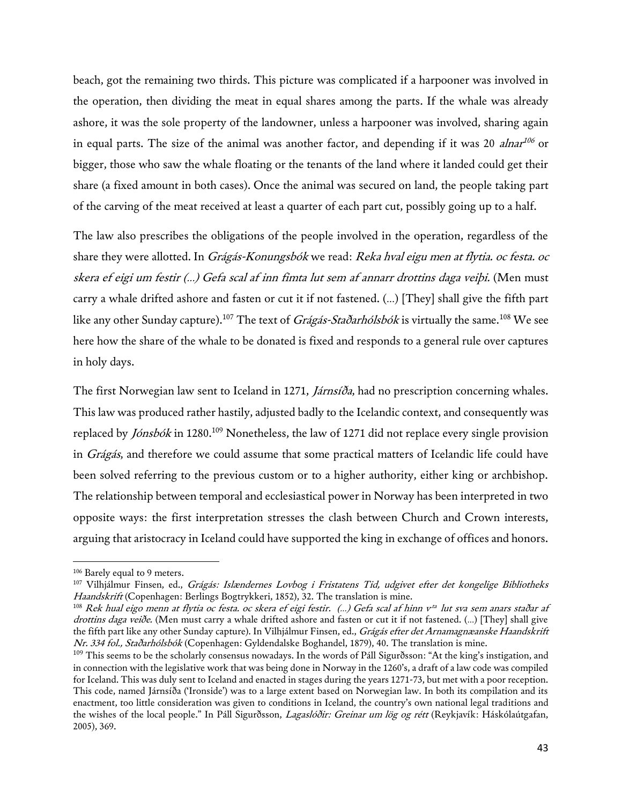beach, got the remaining two thirds. This picture was complicated if a harpooner was involved in the operation, then dividing the meat in equal shares among the parts. If the whale was already ashore, it was the sole property of the landowner, unless a harpooner was involved, sharing again in equal parts. The size of the animal was another factor, and depending if it was 20 *alnar<sup>106</sup>* or bigger, those who saw the whale floating or the tenants of the land where it landed could get their share (a fixed amount in both cases). Once the animal was secured on land, the people taking part of the carving of the meat received at least a quarter of each part cut, possibly going up to a half.

The law also prescribes the obligations of the people involved in the operation, regardless of the share they were allotted. In Grágás-Konungsbók we read: Reka hval eigu men at flytia. oc festa. oc skera ef eigi um festir (…) Gefa scal af inn fimta lut sem af annarr drottins daga veiþi. (Men must carry a whale drifted ashore and fasten or cut it if not fastened. (…) [They] shall give the fifth part like any other Sunday capture).<sup>107</sup> The text of *Grágás-Staðarhólsbók* is virtually the same.<sup>108</sup> We see here how the share of the whale to be donated is fixed and responds to a general rule over captures in holy days.

The first Norwegian law sent to Iceland in 1271, *Járnsíða*, had no prescription concerning whales. This law was produced rather hastily, adjusted badly to the Icelandic context, and consequently was replaced by *Jónsbók* in 1280.<sup>109</sup> Nonetheless, the law of 1271 did not replace every single provision in Grágás, and therefore we could assume that some practical matters of Icelandic life could have been solved referring to the previous custom or to a higher authority, either king or archbishop. The relationship between temporal and ecclesiastical power in Norway has been interpreted in two opposite ways: the first interpretation stresses the clash between Church and Crown interests, arguing that aristocracy in Iceland could have supported the king in exchange of offices and honors.

<sup>106</sup> Barely equal to 9 meters.

<sup>&</sup>lt;sup>107</sup> Vilhjálmur Finsen, ed., Grágás: Islændernes Lovbog i Fristatens Tid, udgivet efter det kongelige Bibliotheks Haandskrift (Copenhagen: Berlings Bogtrykkeri, 1852), 32. The translation is mine.

 $^{108}$  Rek hual eigo menn at flytia oc festa. oc skera ef eigi festir. (...) Gefa scal af hinn v $^{\rm ta}$  lut sva sem anars staðar af drottins daga veiðe. (Men must carry a whale drifted ashore and fasten or cut it if not fastened. (...) [They] shall give the fifth part like any other Sunday capture). In Vilhjálmur Finsen, ed., Grágás efter det Arnamagnæanske Haandskrift Nr. 334 fol., Staðarhólsbók (Copenhagen: Gyldendalske Boghandel, 1879), 40. The translation is mine.

<sup>&</sup>lt;sup>109</sup> This seems to be the scholarly consensus nowadays. In the words of Páll Sigurðsson: "At the king's instigation, and in connection with the legislative work that was being done in Norway in the 1260's, a draft of a law code was compiled for Iceland. This was duly sent to Iceland and enacted in stages during the years 1271-73, but met with a poor reception. This code, named Járnsíða ('Ironside') was to a large extent based on Norwegian law. In both its compilation and its enactment, too little consideration was given to conditions in Iceland, the country's own national legal traditions and the wishes of the local people." In Páll Sigurðsson, Lagaslóðir: Greinar um lög og rétt (Reykjavík: Háskólaútgafan, 2005), 369.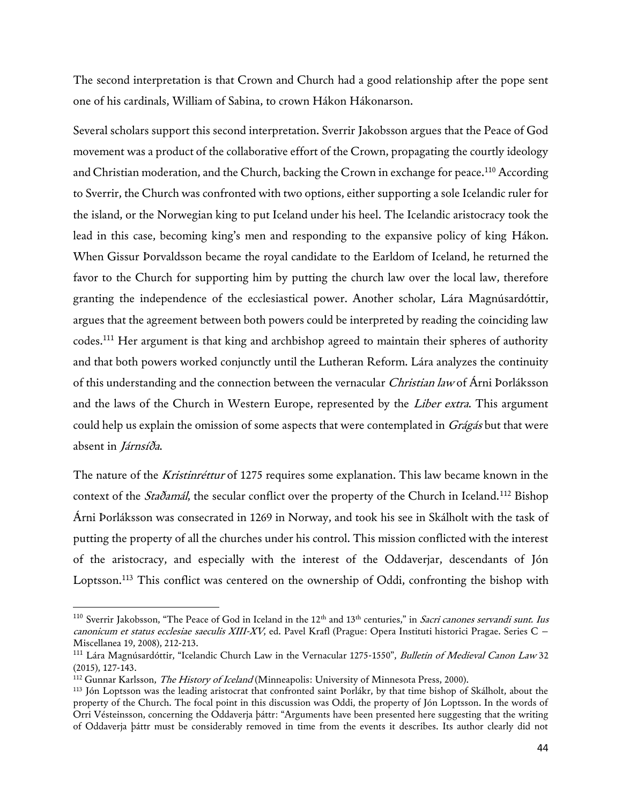The second interpretation is that Crown and Church had a good relationship after the pope sent one of his cardinals, William of Sabina, to crown Hákon Hákonarson.

Several scholars support this second interpretation. Sverrir Jakobsson argues that the Peace of God movement was a product of the collaborative effort of the Crown, propagating the courtly ideology and Christian moderation, and the Church, backing the Crown in exchange for peace.<sup>110</sup> According to Sverrir, the Church was confronted with two options, either supporting a sole Icelandic ruler for the island, or the Norwegian king to put Iceland under his heel. The Icelandic aristocracy took the lead in this case, becoming king's men and responding to the expansive policy of king Hákon. When Gissur Þorvaldsson became the royal candidate to the Earldom of Iceland, he returned the favor to the Church for supporting him by putting the church law over the local law, therefore granting the independence of the ecclesiastical power. Another scholar, Lára Magnúsardóttir, argues that the agreement between both powers could be interpreted by reading the coinciding law codes.<sup>111</sup> Her argument is that king and archbishop agreed to maintain their spheres of authority and that both powers worked conjunctly until the Lutheran Reform. Lára analyzes the continuity of this understanding and the connection between the vernacular *Christian law* of Árni Þorláksson and the laws of the Church in Western Europe, represented by the Liber extra. This argument could help us explain the omission of some aspects that were contemplated in Grágás but that were absent in Járnsíða.

The nature of the *Kristinréttur* of 1275 requires some explanation. This law became known in the context of the *Staðamál*, the secular conflict over the property of the Church in Iceland.<sup>112</sup> Bishop Árni Þorláksson was consecrated in 1269 in Norway, and took his see in Skálholt with the task of putting the property of all the churches under his control. This mission conflicted with the interest of the aristocracy, and especially with the interest of the Oddaverjar, descendants of Jón Loptsson.<sup>113</sup> This conflict was centered on the ownership of Oddi, confronting the bishop with

<sup>&</sup>lt;sup>110</sup> Sverrir Jakobsson, "The Peace of God in Iceland in the 12<sup>th</sup> and 13<sup>th</sup> centuries," in Sacri canones servandi sunt. Ius canonicum et status ecclesiae saeculis XIII-XV, ed. Pavel Krafl (Prague: Opera Instituti historici Pragae. Series C – Miscellanea 19, 2008), 212-213.

<sup>&</sup>lt;sup>111</sup> Lára Magnúsardóttir, "Icelandic Church Law in the Vernacular 1275-1550", *Bulletin of Medieval Canon Law* 32 (2015), 127-143.

<sup>&</sup>lt;sup>112</sup> Gunnar Karlsson, *The History of Iceland* (Minneapolis: University of Minnesota Press, 2000).

<sup>113</sup> Jón Loptsson was the leading aristocrat that confronted saint Þorlákr, by that time bishop of Skálholt, about the property of the Church. The focal point in this discussion was Oddi, the property of Jón Loptsson. In the words of Orri Vésteinsson, concerning the Oddaverja þáttr: "Arguments have been presented here suggesting that the writing of Oddaverja þáttr must be considerably removed in time from the events it describes. Its author clearly did not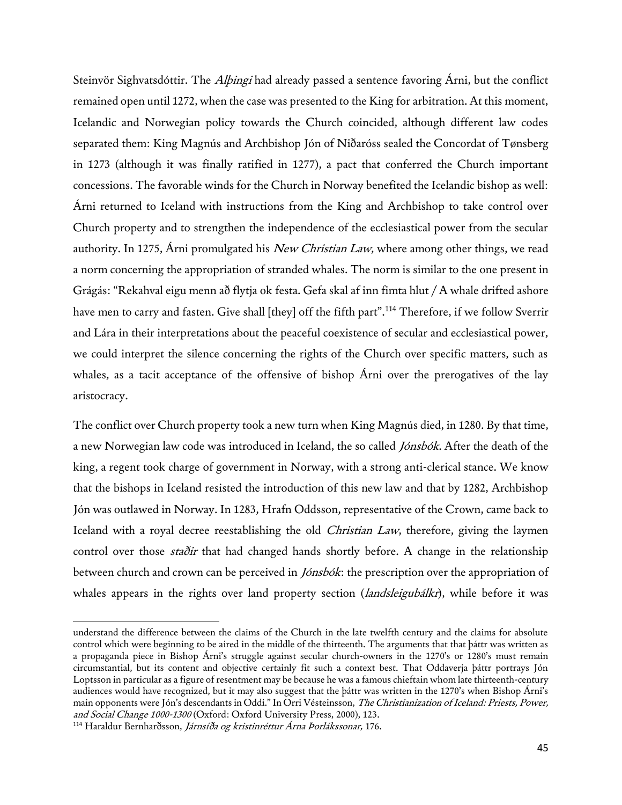Steinvör Sighvatsdóttir. The *Alþingi* had already passed a sentence favoring Árni, but the conflict remained open until 1272, when the case was presented to the King for arbitration. At this moment, Icelandic and Norwegian policy towards the Church coincided, although different law codes separated them: King Magnús and Archbishop Jón of Niðaróss sealed the Concordat of Tønsberg in 1273 (although it was finally ratified in 1277), a pact that conferred the Church important concessions. The favorable winds for the Church in Norway benefited the Icelandic bishop as well: Árni returned to Iceland with instructions from the King and Archbishop to take control over Church property and to strengthen the independence of the ecclesiastical power from the secular authority. In 1275, Arni promulgated his New Christian Law, where among other things, we read a norm concerning the appropriation of stranded whales. The norm is similar to the one present in Grágás: "Rekahval eigu menn að flytja ok festa. Gefa skal af inn fimta hlut / A whale drifted ashore have men to carry and fasten. Give shall [they] off the fifth part".<sup>114</sup> Therefore, if we follow Sverrir and Lára in their interpretations about the peaceful coexistence of secular and ecclesiastical power, we could interpret the silence concerning the rights of the Church over specific matters, such as whales, as a tacit acceptance of the offensive of bishop Árni over the prerogatives of the lay aristocracy.

The conflict over Church property took a new turn when King Magnús died, in 1280. By that time, a new Norwegian law code was introduced in Iceland, the so called *Jónsbók*. After the death of the king, a regent took charge of government in Norway, with a strong anti-clerical stance. We know that the bishops in Iceland resisted the introduction of this new law and that by 1282, Archbishop Jón was outlawed in Norway. In 1283, Hrafn Oddsson, representative of the Crown, came back to Iceland with a royal decree reestablishing the old *Christian Law*, therefore, giving the laymen control over those *staðir* that had changed hands shortly before. A change in the relationship between church and crown can be perceived in *Jónsbók*: the prescription over the appropriation of whales appears in the rights over land property section (*landsleigubálkr*), while before it was

understand the difference between the claims of the Church in the late twelfth century and the claims for absolute control which were beginning to be aired in the middle of the thirteenth. The arguments that that þáttr was written as a propaganda piece in Bishop Árni's struggle against secular church-owners in the 1270's or 1280's must remain circumstantial, but its content and objective certainly fit such a context best. That Oddaverja þáttr portrays Jón Loptsson in particular as a figure of resentment may be because he was a famous chieftain whom late thirteenth-century audiences would have recognized, but it may also suggest that the þáttr was written in the 1270's when Bishop Árni's main opponents were Jón's descendants in Oddi." In Orri Vésteinsson, The Christianization of Iceland: Priests, Power, and Social Change 1000-1300 (Oxford: Oxford University Press, 2000), 123.

<sup>&</sup>lt;sup>114</sup> Haraldur Bernharðsson, Járnsíða og kristinréttur Árna Þorlákssonar, 176.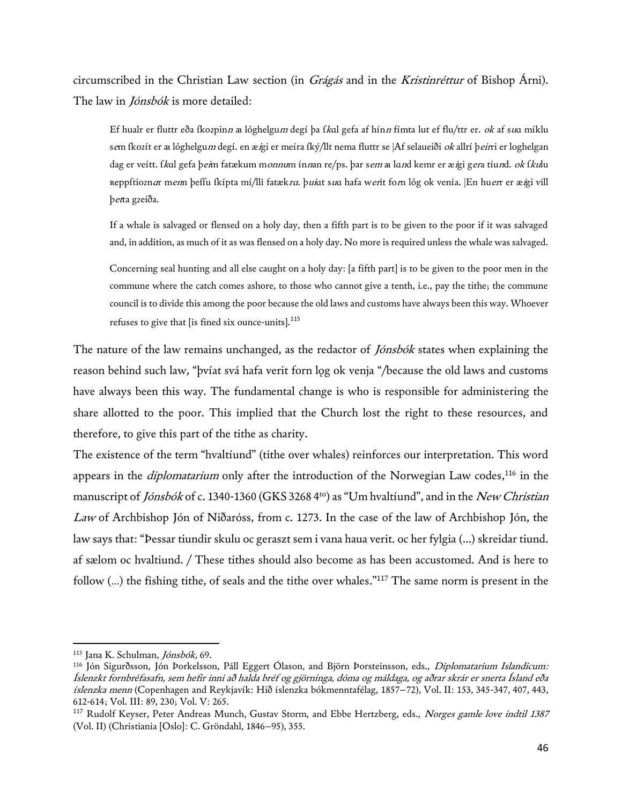circumscribed in the Christian Law section (in Grágás and in the Kristinréttur of Bishop Árni). The law in *Jónsbók* is more detailed:

Ef hualr er fluttr eða fkozpinn a lóghelgum degí þa f*k*al gefa af hínn fímta lut ef flu/ttr er. ok af s*u*a míklu s*e*m íkozít er æ lóghelgu*m* degí, en æ*i*gi er meíra íký/llt nema fluttr se |Af selaueiði *ok* allrí þ*eir*ri er loghelgan dag er veítt. í*k*al gefa þ*ei*m fatækum m*onnu*m ín*n*an re/ps. þar s*em* a la*n*d kemr er æ*i*gi g*er*a tíu*n*d. *ok* í*ku*lu reppftioznar menn þeffu fkípta mí/lli fatækra. þuiαt sua hafa werit forn lỏg ok venía. |En huerr er æigi vill þetta gꝛeiða.

If a whale is salvaged or flensed on a holy day, then a fifth part is to be given to the poor if it was salvaged and, in addition, as much of it as was flensed on a holy day. No more is required unless the whale was salvaged.

Concerning seal hunting and all else caught on a holy day: [a fifth part] is to be given to the poor men in the commune where the catch comes ashore, to those who cannot give a tenth, i.e., pay the tithe; the commune council is to divide this among the poor because the old laws and customs have always been this way. Whoever refuses to give that [is fined six ounce-units].<sup>115</sup>

The nature of the law remains unchanged, as the redactor of *Jónsbók* states when explaining the reason behind such law, "þvíat svá hafa verit forn log ok venja "/because the old laws and customs have always been this way. The fundamental change is who is responsible for administering the share allotted to the poor. This implied that the Church lost the right to these resources, and therefore, to give this part of the tithe as charity.

The existence of the term "hvaltíund" (tithe over whales) reinforces our interpretation. This word appears in the *diplomatarium* only after the introduction of the Norwegian Law codes,<sup>116</sup> in the manuscript of Jónsbók of c. 1340-1360 (GKS 3268 4<sup>to</sup>) as "Um hvaltíund", and in the New Christian Law of Archbishop Jón of Niðaróss, from c. 1273. In the case of the law of Archbishop Jón, the law says that: "Þessar tiundir skulu oc geraszt sem i vana haua verit. oc her fylgia (...) skreidar tiund. af sælom oc hvaltiund. / These tithes should also become as has been accustomed. And is here to follow (...) the fishing tithe, of seals and the tithe over whales."<sup>117</sup> The same norm is present in the

<sup>115</sup> Jana K. Schulman, Jónsbók, 69.

<sup>116</sup> Jón Sigurðsson, Jón Þorkelsson, Páll Eggert Ólason, and Björn Þorsteinsson, eds., Diplomatarium Islandicum: Íslenzkt fornbréfasafn, sem hefir inni að halda bréf og gjörninga, dóma og máldaga, og aðrar skrár er snerta Ísland eða íslenzka menn (Copenhagen and Reykjavík: Hið íslenzka bókmenntafélag, 1857−72), Vol. II: 153, 345-347, 407, 443, 612-614; Vol. III: 89, 230; Vol. V: 265.

<sup>&</sup>lt;sup>117</sup> Rudolf Keyser, Peter Andreas Munch, Gustav Storm, and Ebbe Hertzberg, eds., Norges gamle love indtil 1387 (Vol. II) (Christiania [Oslo]: C. Gröndahl, 1846−95), 355.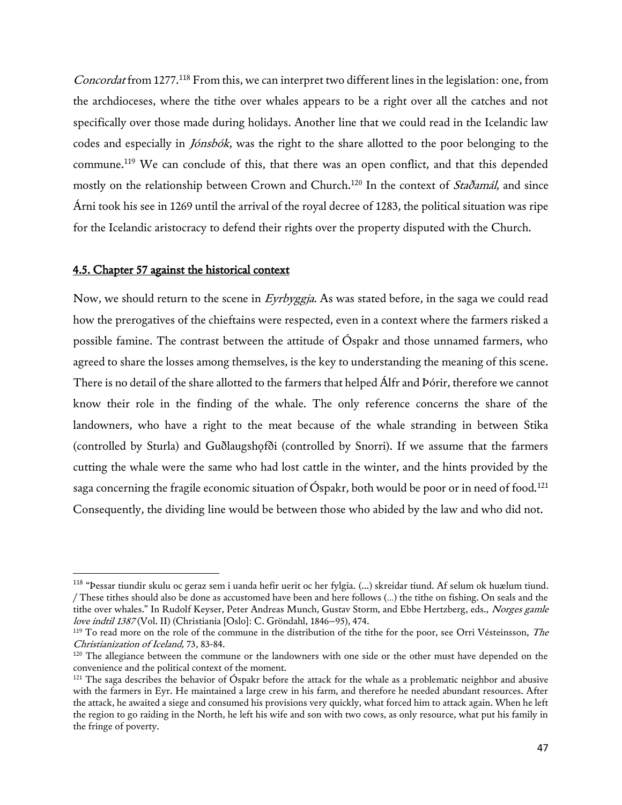Concordat from 1277.<sup>118</sup> From this, we can interpret two different lines in the legislation: one, from the archdioceses, where the tithe over whales appears to be a right over all the catches and not specifically over those made during holidays. Another line that we could read in the Icelandic law codes and especially in Jónsbók, was the right to the share allotted to the poor belonging to the commune.<sup>119</sup> We can conclude of this, that there was an open conflict, and that this depended mostly on the relationship between Crown and Church.<sup>120</sup> In the context of *Staðamál*, and since Árni took his see in 1269 until the arrival of the royal decree of 1283, the political situation was ripe for the Icelandic aristocracy to defend their rights over the property disputed with the Church.

## 4.5. Chapter 57 against the historical context

 $\overline{\phantom{a}}$ 

Now, we should return to the scene in Eyrbyggja. As was stated before, in the saga we could read how the prerogatives of the chieftains were respected, even in a context where the farmers risked a possible famine. The contrast between the attitude of Óspakr and those unnamed farmers, who agreed to share the losses among themselves, is the key to understanding the meaning of this scene. There is no detail of the share allotted to the farmers that helped Álfr and Þórir, therefore we cannot know their role in the finding of the whale. The only reference concerns the share of the landowners, who have a right to the meat because of the whale stranding in between Stika (controlled by Sturla) and Guðlaugshofði (controlled by Snorri). If we assume that the farmers cutting the whale were the same who had lost cattle in the winter, and the hints provided by the saga concerning the fragile economic situation of Óspakr, both would be poor or in need of food.<sup>121</sup> Consequently, the dividing line would be between those who abided by the law and who did not.

<sup>&</sup>lt;sup>118</sup> "Þessar tiundir skulu oc geraz sem i uanda hefir uerit oc her fylgia. (…) skreidar tiund. Af selum ok huælum tiund. / These tithes should also be done as accustomed have been and here follows (…) the tithe on fishing. On seals and the tithe over whales." In Rudolf Keyser, Peter Andreas Munch, Gustav Storm, and Ebbe Hertzberg, eds., Norges gamle love indtil 1387 (Vol. II) (Christiania [Oslo]: C. Gröndahl, 1846−95), 474.

<sup>&</sup>lt;sup>119</sup> To read more on the role of the commune in the distribution of the tithe for the poor, see Orri Vésteinsson, The Christianization of Iceland, 73, 83-84.

<sup>&</sup>lt;sup>120</sup> The allegiance between the commune or the landowners with one side or the other must have depended on the convenience and the political context of the moment.

 $121$  The saga describes the behavior of Óspakr before the attack for the whale as a problematic neighbor and abusive with the farmers in Eyr. He maintained a large crew in his farm, and therefore he needed abundant resources. After the attack, he awaited a siege and consumed his provisions very quickly, what forced him to attack again. When he left the region to go raiding in the North, he left his wife and son with two cows, as only resource, what put his family in the fringe of poverty.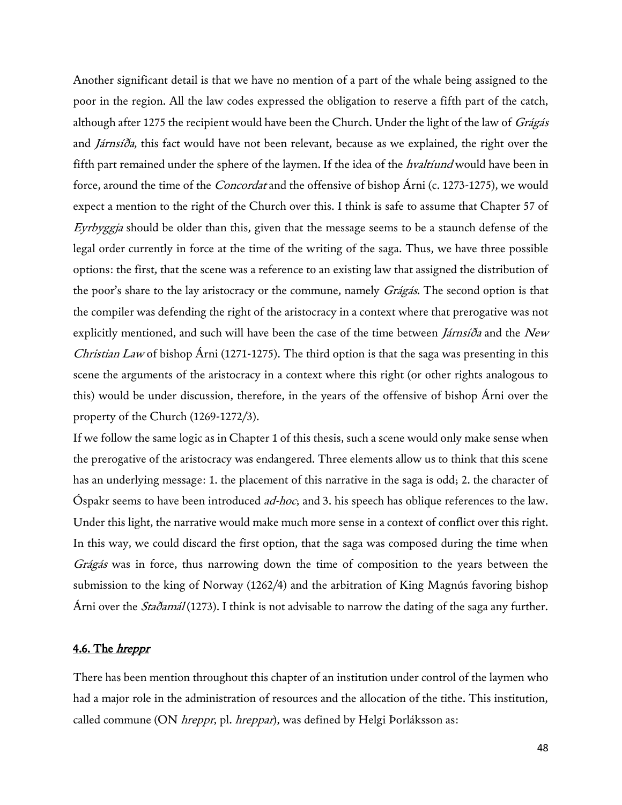Another significant detail is that we have no mention of a part of the whale being assigned to the poor in the region. All the law codes expressed the obligation to reserve a fifth part of the catch, although after 1275 the recipient would have been the Church. Under the light of the law of Grágás and Járnsíða, this fact would have not been relevant, because as we explained, the right over the fifth part remained under the sphere of the laymen. If the idea of the *hvaltiund* would have been in force, around the time of the *Concordat* and the offensive of bishop Árni (c. 1273-1275), we would expect a mention to the right of the Church over this. I think is safe to assume that Chapter 57 of Eyrbyggja should be older than this, given that the message seems to be a staunch defense of the legal order currently in force at the time of the writing of the saga. Thus, we have three possible options: the first, that the scene was a reference to an existing law that assigned the distribution of the poor's share to the lay aristocracy or the commune, namely *Grágás*. The second option is that the compiler was defending the right of the aristocracy in a context where that prerogative was not explicitly mentioned, and such will have been the case of the time between *Járnsíða* and the New Christian Law of bishop Árni (1271-1275). The third option is that the saga was presenting in this scene the arguments of the aristocracy in a context where this right (or other rights analogous to this) would be under discussion, therefore, in the years of the offensive of bishop Árni over the property of the Church (1269-1272/3).

If we follow the same logic as in Chapter 1 of this thesis, such a scene would only make sense when the prerogative of the aristocracy was endangered. Three elements allow us to think that this scene has an underlying message: 1. the placement of this narrative in the saga is odd; 2. the character of Óspakr seems to have been introduced ad-hoc; and 3. his speech has oblique references to the law. Under this light, the narrative would make much more sense in a context of conflict over this right. In this way, we could discard the first option, that the saga was composed during the time when Grágás was in force, thus narrowing down the time of composition to the years between the submission to the king of Norway (1262/4) and the arbitration of King Magnús favoring bishop Árni over the *Staðamál* (1273). I think is not advisable to narrow the dating of the saga any further.

## 4.6. The *hreppr*

There has been mention throughout this chapter of an institution under control of the laymen who had a major role in the administration of resources and the allocation of the tithe. This institution, called commune (ON *hreppr*, pl. *hreppar*), was defined by Helgi Þorláksson as: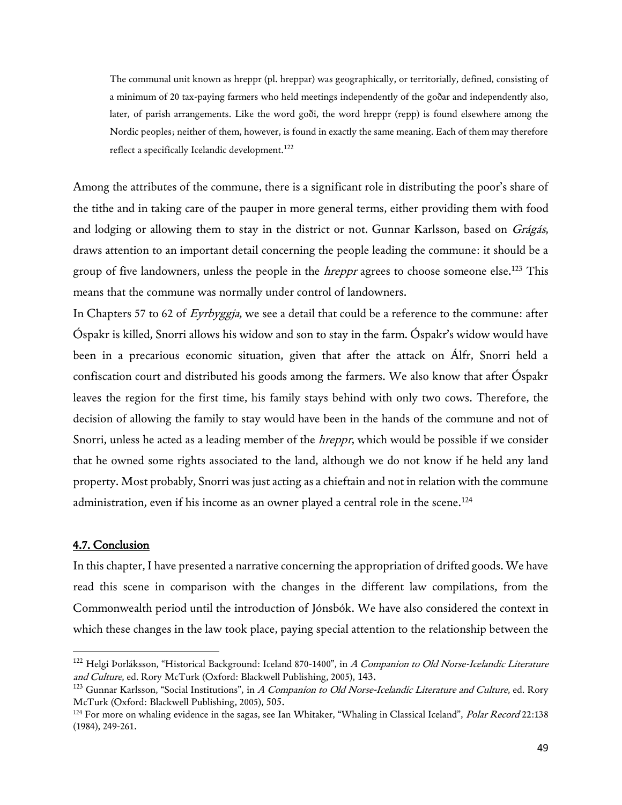The communal unit known as hreppr (pl. hreppar) was geographically, or territorially, defined, consisting of a minimum of 20 tax-paying farmers who held meetings independently of the goðar and independently also, later, of parish arrangements. Like the word goði, the word hreppr (repp) is found elsewhere among the Nordic peoples; neither of them, however, is found in exactly the same meaning. Each of them may therefore reflect a specifically Icelandic development.<sup>122</sup>

Among the attributes of the commune, there is a significant role in distributing the poor's share of the tithe and in taking care of the pauper in more general terms, either providing them with food and lodging or allowing them to stay in the district or not. Gunnar Karlsson, based on Grágás, draws attention to an important detail concerning the people leading the commune: it should be a group of five landowners, unless the people in the *hreppr* agrees to choose someone else.<sup>123</sup> This means that the commune was normally under control of landowners.

In Chapters 57 to 62 of Eyrbyggja, we see a detail that could be a reference to the commune: after Óspakr is killed, Snorri allows his widow and son to stay in the farm. Óspakr's widow would have been in a precarious economic situation, given that after the attack on Álfr, Snorri held a confiscation court and distributed his goods among the farmers. We also know that after Óspakr leaves the region for the first time, his family stays behind with only two cows. Therefore, the decision of allowing the family to stay would have been in the hands of the commune and not of Snorri, unless he acted as a leading member of the *hreppr*, which would be possible if we consider that he owned some rights associated to the land, although we do not know if he held any land property. Most probably, Snorri was just acting as a chieftain and not in relation with the commune administration, even if his income as an owner played a central role in the scene.<sup>124</sup>

## 4.7. Conclusion

 $\overline{\phantom{a}}$ 

In this chapter, I have presented a narrative concerning the appropriation of drifted goods. We have read this scene in comparison with the changes in the different law compilations, from the Commonwealth period until the introduction of Jónsbók. We have also considered the context in which these changes in the law took place, paying special attention to the relationship between the

<sup>&</sup>lt;sup>122</sup> Helgi Þorláksson, "Historical Background: Iceland 870-1400", in A Companion to Old Norse-Icelandic Literature and Culture, ed. Rory McTurk (Oxford: Blackwell Publishing, 2005), 143.

 $123$  Gunnar Karlsson, "Social Institutions", in A Companion to Old Norse-Icelandic Literature and Culture, ed. Rory McTurk (Oxford: Blackwell Publishing, 2005), 505.

<sup>&</sup>lt;sup>124</sup> For more on whaling evidence in the sagas, see Ian Whitaker, "Whaling in Classical Iceland", *Polar Record* 22:138 (1984), 249-261.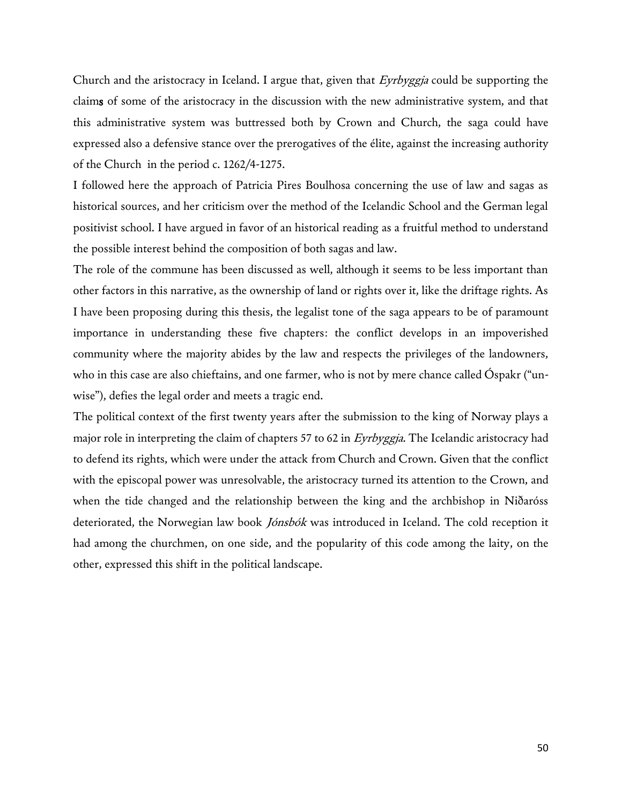Church and the aristocracy in Iceland. I argue that, given that *Eyrbyggja* could be supporting the claims of some of the aristocracy in the discussion with the new administrative system, and that this administrative system was buttressed both by Crown and Church, the saga could have expressed also a defensive stance over the prerogatives of the élite, against the increasing authority of the Church in the period c. 1262/4-1275.

I followed here the approach of Patricia Pires Boulhosa concerning the use of law and sagas as historical sources, and her criticism over the method of the Icelandic School and the German legal positivist school. I have argued in favor of an historical reading as a fruitful method to understand the possible interest behind the composition of both sagas and law.

The role of the commune has been discussed as well, although it seems to be less important than other factors in this narrative, as the ownership of land or rights over it, like the driftage rights. As I have been proposing during this thesis, the legalist tone of the saga appears to be of paramount importance in understanding these five chapters: the conflict develops in an impoverished community where the majority abides by the law and respects the privileges of the landowners, who in this case are also chieftains, and one farmer, who is not by mere chance called Óspakr ("unwise"), defies the legal order and meets a tragic end.

The political context of the first twenty years after the submission to the king of Norway plays a major role in interpreting the claim of chapters 57 to 62 in Eyrbyggja. The Icelandic aristocracy had to defend its rights, which were under the attack from Church and Crown. Given that the conflict with the episcopal power was unresolvable, the aristocracy turned its attention to the Crown, and when the tide changed and the relationship between the king and the archbishop in Niðaróss deteriorated, the Norwegian law book *Jónsbók* was introduced in Iceland. The cold reception it had among the churchmen, on one side, and the popularity of this code among the laity, on the other, expressed this shift in the political landscape.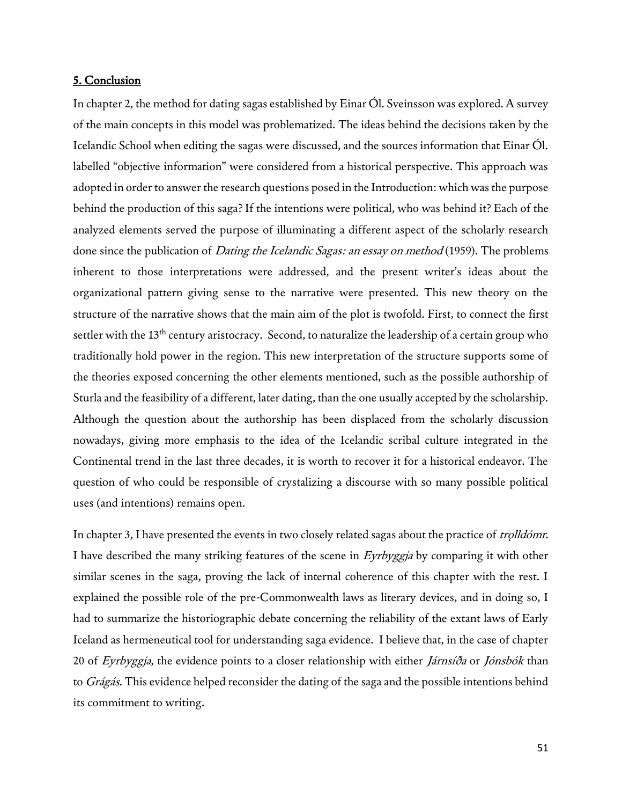#### 5. Conclusion

In chapter 2, the method for dating sagas established by Einar Ól. Sveinsson was explored. A survey of the main concepts in this model was problematized. The ideas behind the decisions taken by the Icelandic School when editing the sagas were discussed, and the sources information that Einar Ól. labelled "objective information" were considered from a historical perspective. This approach was adopted in order to answer the research questions posed in the Introduction: which was the purpose behind the production of this saga? If the intentions were political, who was behind it? Each of the analyzed elements served the purpose of illuminating a different aspect of the scholarly research done since the publication of *Dating the Icelandic Sagas: an essay on method* (1959). The problems inherent to those interpretations were addressed, and the present writer's ideas about the organizational pattern giving sense to the narrative were presented. This new theory on the structure of the narrative shows that the main aim of the plot is twofold. First, to connect the first settler with the 13<sup>th</sup> century aristocracy. Second, to naturalize the leadership of a certain group who traditionally hold power in the region. This new interpretation of the structure supports some of the theories exposed concerning the other elements mentioned, such as the possible authorship of Sturla and the feasibility of a different, later dating, than the one usually accepted by the scholarship. Although the question about the authorship has been displaced from the scholarly discussion nowadays, giving more emphasis to the idea of the Icelandic scribal culture integrated in the Continental trend in the last three decades, it is worth to recover it for a historical endeavor. The question of who could be responsible of crystalizing a discourse with so many possible political uses (and intentions) remains open.

In chapter 3, I have presented the events in two closely related sagas about the practice of *trolldómr*. I have described the many striking features of the scene in Eyrbyggja by comparing it with other similar scenes in the saga, proving the lack of internal coherence of this chapter with the rest. I explained the possible role of the pre-Commonwealth laws as literary devices, and in doing so, I had to summarize the historiographic debate concerning the reliability of the extant laws of Early Iceland as hermeneutical tool for understanding saga evidence. I believe that, in the case of chapter 20 of Eyrbyggja, the evidence points to a closer relationship with either Járnsíða or Jónsbók than to Grágás. This evidence helped reconsider the dating of the saga and the possible intentions behind its commitment to writing.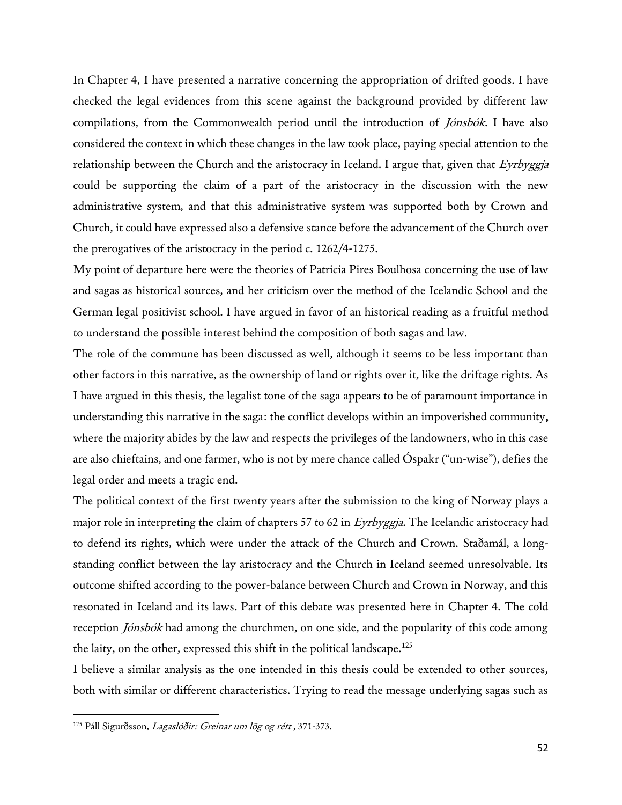In Chapter 4, I have presented a narrative concerning the appropriation of drifted goods. I have checked the legal evidences from this scene against the background provided by different law compilations, from the Commonwealth period until the introduction of Jónsbók. I have also considered the context in which these changes in the law took place, paying special attention to the relationship between the Church and the aristocracy in Iceland. I argue that, given that Eyrbyggja could be supporting the claim of a part of the aristocracy in the discussion with the new administrative system, and that this administrative system was supported both by Crown and Church, it could have expressed also a defensive stance before the advancement of the Church over the prerogatives of the aristocracy in the period c. 1262/4-1275.

My point of departure here were the theories of Patricia Pires Boulhosa concerning the use of law and sagas as historical sources, and her criticism over the method of the Icelandic School and the German legal positivist school. I have argued in favor of an historical reading as a fruitful method to understand the possible interest behind the composition of both sagas and law.

The role of the commune has been discussed as well, although it seems to be less important than other factors in this narrative, as the ownership of land or rights over it, like the driftage rights. As I have argued in this thesis, the legalist tone of the saga appears to be of paramount importance in understanding this narrative in the saga: the conflict develops within an impoverished community, where the majority abides by the law and respects the privileges of the landowners, who in this case are also chieftains, and one farmer, who is not by mere chance called Óspakr ("un-wise"), defies the legal order and meets a tragic end.

The political context of the first twenty years after the submission to the king of Norway plays a major role in interpreting the claim of chapters 57 to 62 in Eyrbyggja. The Icelandic aristocracy had to defend its rights, which were under the attack of the Church and Crown. Staðamál, a longstanding conflict between the lay aristocracy and the Church in Iceland seemed unresolvable. Its outcome shifted according to the power-balance between Church and Crown in Norway, and this resonated in Iceland and its laws. Part of this debate was presented here in Chapter 4. The cold reception *Jónsbók* had among the churchmen, on one side, and the popularity of this code among the laity, on the other, expressed this shift in the political landscape.<sup>125</sup>

I believe a similar analysis as the one intended in this thesis could be extended to other sources, both with similar or different characteristics. Trying to read the message underlying sagas such as

<sup>&</sup>lt;sup>125</sup> Páll Sigurðsson, Lagaslóðir: Greinar um lög og rétt, 371-373.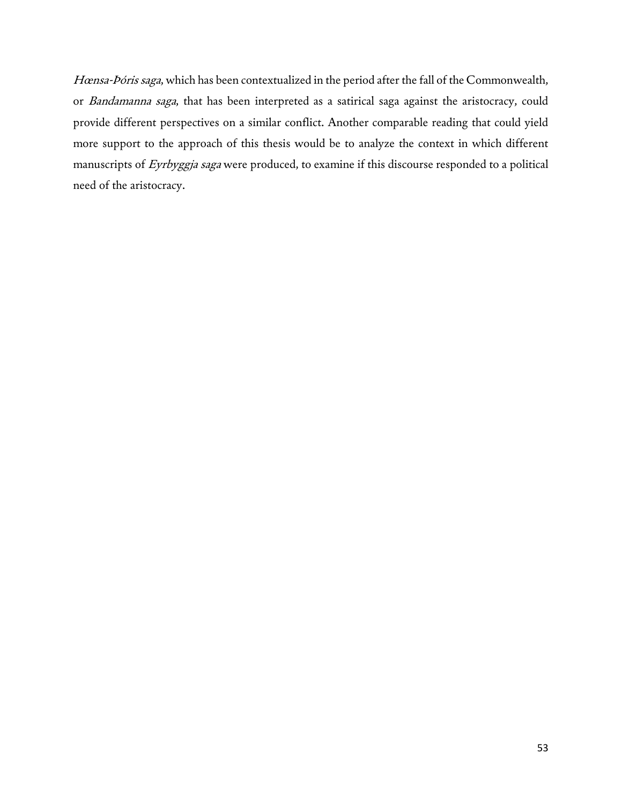Hœnsa-Þóris saga, which has been contextualized in the period after the fall of the Commonwealth, or Bandamanna saga, that has been interpreted as a satirical saga against the aristocracy, could provide different perspectives on a similar conflict. Another comparable reading that could yield more support to the approach of this thesis would be to analyze the context in which different manuscripts of Eyrbyggja saga were produced, to examine if this discourse responded to a political need of the aristocracy.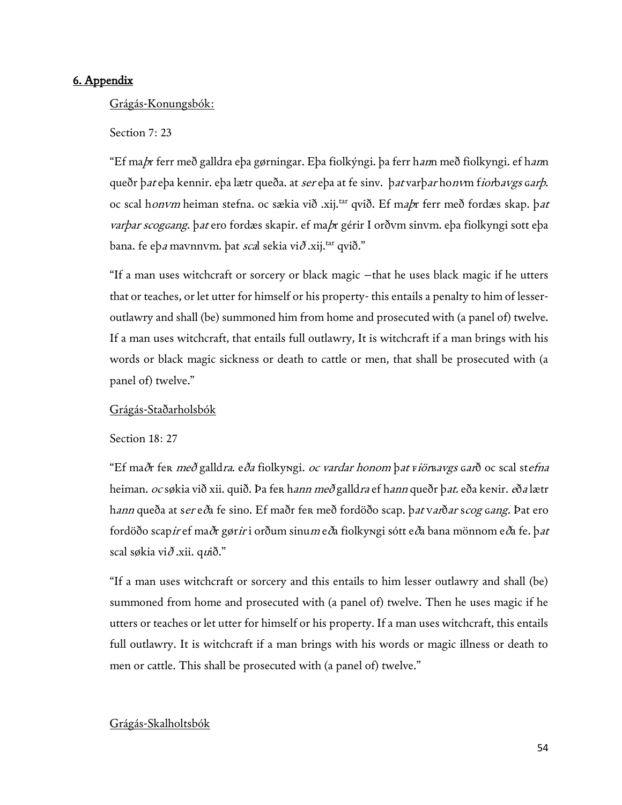## 6. Appendix

## Grágás-Konungsbók:

## Section 7: 23

"Ef ma*þ*r ferr með galldra eþa gørningar. Eþa fiolkýngi. þa ferr h*an*n með fiolkyngi. ef hann queðr þat eþa kennir. eþa lætr queða. at ser eþa at fe sinv. þat varþar hon vm fiorbavgs garþ. oc scal honvm heiman stefna. oc sækia við .xij.<sup>tar</sup> qvið. Ef ma*b*r ferr með fordæs skap. þat varþar scogcang. þat ero fordæs skapir. ef ma*þ*r gérir I orðvm sinvm. eþa fiolkyngi sott eþa bana. fe eþ*a* mavnnvm. þat scal sekia við .xij.<sup>tar</sup> qvið."

"If a man uses witchcraft or sorcery or black magic –that he uses black magic if he utters that or teaches, or let utter for himself or his property- this entails a penalty to him of lesseroutlawry and shall (be) summoned him from home and prosecuted with (a panel of) twelve. If a man uses witchcraft, that entails full outlawry, It is witchcraft if a man brings with his words or black magic sickness or death to cattle or men, that shall be prosecuted with (a panel of) twelve."

## Grágás-Staðarholsbók

Section 18: 27

"Ef maðr fer *með* galldra. e*ða* fiolkyngi. *oc vardar honom þat viör bavgs gar*ð oc scal st*efna* heiman. *oc søkia við xii. quið. Þa fer hann með galldra ef hann queðr þat. eða kenir. eða lætr* h*ann* queða at s*er* e*ð*a fe sino. Ef maðr fer með fordöðo scap. þ*at* v*ar*ð*ar scog cang.* Þat ero fordöðo scap*ir* ef ma*ð*r gør*ir* i orðum sinu*m* e*ð*a fiolkyngi sótt e*ð*a bana mönnom e*ð*a fe. þ*at* scal søkia vi $\delta$ .xii. qui $\delta$ ."

"If a man uses witchcraft or sorcery and this entails to him lesser outlawry and shall (be) summoned from home and prosecuted with (a panel of) twelve. Then he uses magic if he utters or teaches or let utter for himself or his property. If a man uses witchcraft, this entails full outlawry. It is witchcraft if a man brings with his words or magic illness or death to men or cattle. This shall be prosecuted with (a panel of) twelve."

## Grágás-Skalholtsbók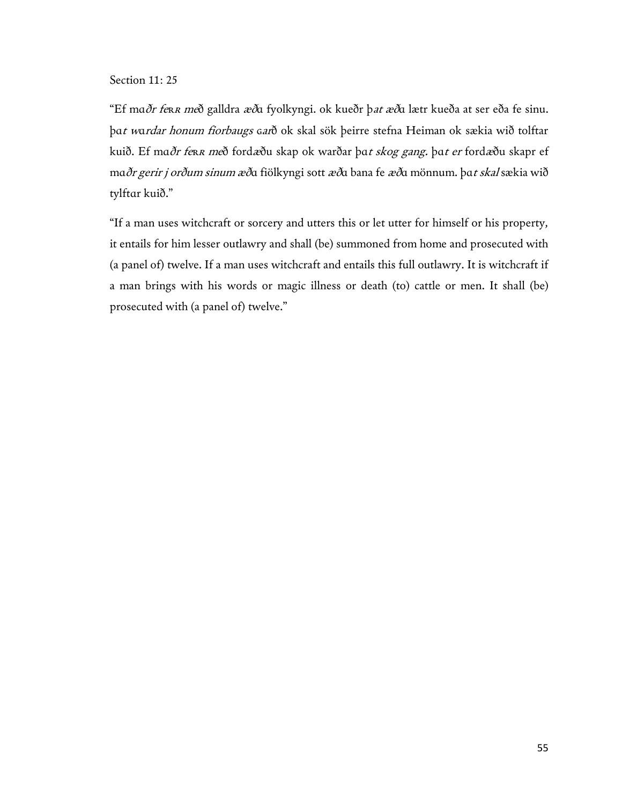## Section 11: 25

"Ef mɑðr feʀ<sup>ʀ</sup> með galldra æðɑ fyolkyngi. ok kueðr þat æðɑ lætr kueða at ser eða fe sinu. þat wardar honum fiorbaugs garð ok skal sök þeirre stefna Heiman ok sækia wið tolftar kuið. Ef mɑðr feʀ<sup>ʀ</sup> með fordæðu skap ok warðar þɑt skog gang. þɑt er fordæðu skapr ef mɑðr gerir j orðum sinum æðɑ fiölkyngi sott æðɑ bana fe æðɑ mönnum. þɑt skal sækia wið tylftɑr kuið."

"If a man uses witchcraft or sorcery and utters this or let utter for himself or his property, it entails for him lesser outlawry and shall (be) summoned from home and prosecuted with (a panel of) twelve. If a man uses witchcraft and entails this full outlawry. It is witchcraft if a man brings with his words or magic illness or death (to) cattle or men. It shall (be) prosecuted with (a panel of) twelve."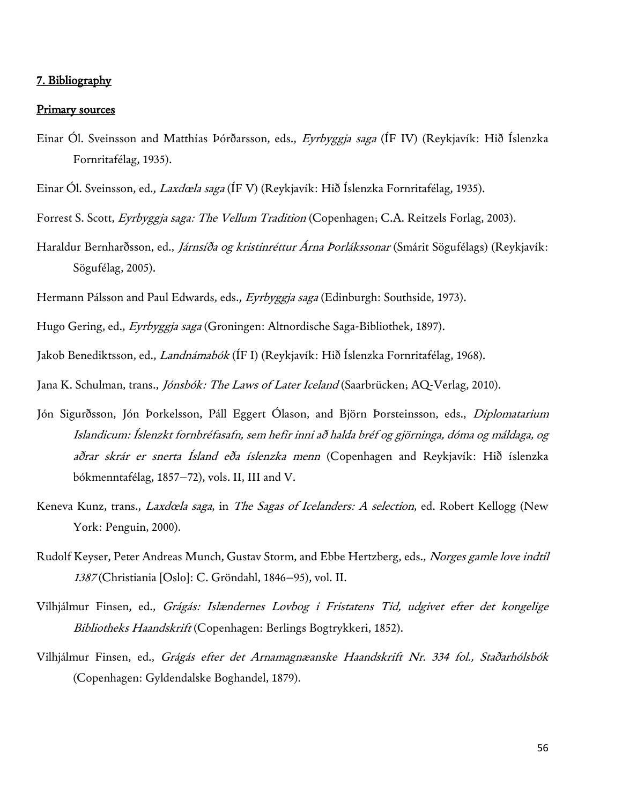## 7. Bibliography

#### Primary sources

- Einar Ól. Sveinsson and Matthías Þórðarsson, eds., Eyrbyggja saga (ÍF IV) (Reykjavík: Hið Íslenzka Fornritafélag, 1935).
- Einar Ól. Sveinsson, ed., *Laxdœla saga* (ÍF V) (Reykjavík: Hið Íslenzka Fornritafélag, 1935).
- Forrest S. Scott, Eyrbyggja saga: The Vellum Tradition (Copenhagen; C.A. Reitzels Forlag, 2003).
- Haraldur Bernharðsson, ed., Járnsíða og kristinréttur Árna Þorlákssonar (Smárit Sögufélags) (Reykjavík: Sögufélag, 2005).
- Hermann Pálsson and Paul Edwards, eds., *Eyrbyggja saga* (Edinburgh: Southside, 1973).
- Hugo Gering, ed., Eyrbyggja saga (Groningen: Altnordische Saga-Bibliothek, 1897).
- Jakob Benediktsson, ed., *Landnámabók* (ÍF I) (Reykjavík: Hið Íslenzka Fornritafélag, 1968).

Jana K. Schulman, trans., *Jónsbók: The Laws of Later Iceland* (Saarbrücken; AQ-Verlag, 2010).

- Jón Sigurðsson, Jón Þorkelsson, Páll Eggert Ólason, and Björn Þorsteinsson, eds., Diplomatarium Islandicum: Íslenzkt fornbréfasafn, sem hefir inni að halda bréf og gjörninga, dóma og máldaga, og aðrar skrár er snerta Ísland eða íslenzka menn (Copenhagen and Reykjavík: Hið íslenzka bókmenntafélag, 1857−72), vols. II, III and V.
- Keneva Kunz, trans., *Laxdœla saga*, in *The Sagas of Icelanders: A selection*, ed. Robert Kellogg (New York: Penguin, 2000).
- Rudolf Keyser, Peter Andreas Munch, Gustav Storm, and Ebbe Hertzberg, eds., *Norges gamle love indtil* <sup>1387</sup> (Christiania [Oslo]: C. Gröndahl, 1846−95), vol. II.
- Vilhjálmur Finsen, ed., Grágás: Islændernes Lovbog i Fristatens Tid, udgivet efter det kongelige Bibliotheks Haandskrift (Copenhagen: Berlings Bogtrykkeri, 1852).
- Vilhjálmur Finsen, ed., Grágás efter det Arnamagnæanske Haandskrift Nr. 334 fol., Staðarhólsbók (Copenhagen: Gyldendalske Boghandel, 1879).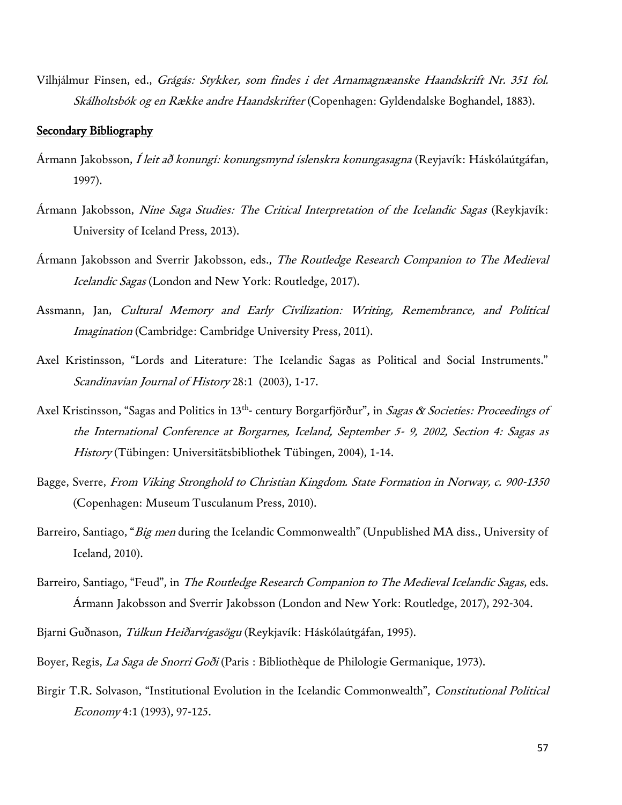Vilhjálmur Finsen, ed., Grágás: Stykker, som findes i det Arnamagnæanske Haandskrift Nr. 351 fol. Skálholtsbók og en Række andre Haandskrifter (Copenhagen: Gyldendalske Boghandel, 1883).

## Secondary Bibliography

- Ármann Jakobsson, Í leit að konungi: konungsmynd íslenskra konungasagna (Reyjavík: Háskólaútgáfan, 1997).
- Ármann Jakobsson, Nine Saga Studies: The Critical Interpretation of the Icelandic Sagas (Reykjavík: University of Iceland Press, 2013).
- Ármann Jakobsson and Sverrir Jakobsson, eds., The Routledge Research Companion to The Medieval Icelandic Sagas (London and New York: Routledge, 2017).
- Assmann, Jan, Cultural Memory and Early Civilization: Writing, Remembrance, and Political Imagination (Cambridge: Cambridge University Press, 2011).
- Axel Kristinsson, "Lords and Literature: The Icelandic Sagas as Political and Social Instruments." Scandinavian Journal of History 28:1 (2003), 1-17.
- Axel Kristinsson, "Sagas and Politics in 13<sup>th</sup>- century Borgarfjörður", in *Sagas & Societies: Proceedings of* the International Conference at Borgarnes, Iceland, September 5- 9, 2002, Section 4: Sagas as History (Tübingen: Universitätsbibliothek Tübingen, 2004), 1-14.
- Bagge, Sverre, From Viking Stronghold to Christian Kingdom. State Formation in Norway, c. 900-1350 (Copenhagen: Museum Tusculanum Press, 2010).
- Barreiro, Santiago, "*Big men* during the Icelandic Commonwealth" (Unpublished MA diss., University of Iceland, 2010).
- Barreiro, Santiago, "Feud", in The Routledge Research Companion to The Medieval Icelandic Sagas, eds. Ármann Jakobsson and Sverrir Jakobsson (London and New York: Routledge, 2017), 292-304.
- Bjarni Guðnason, *Túlkun Heiðarvígasögu* (Reykjavík: Háskólaútgáfan, 1995).
- Boyer, Regis, La Saga de Snorri Goði (Paris : Bibliothèque de Philologie Germanique, 1973).
- Birgir T.R. Solvason, "Institutional Evolution in the Icelandic Commonwealth", Constitutional Political Economy 4:1 (1993), 97-125.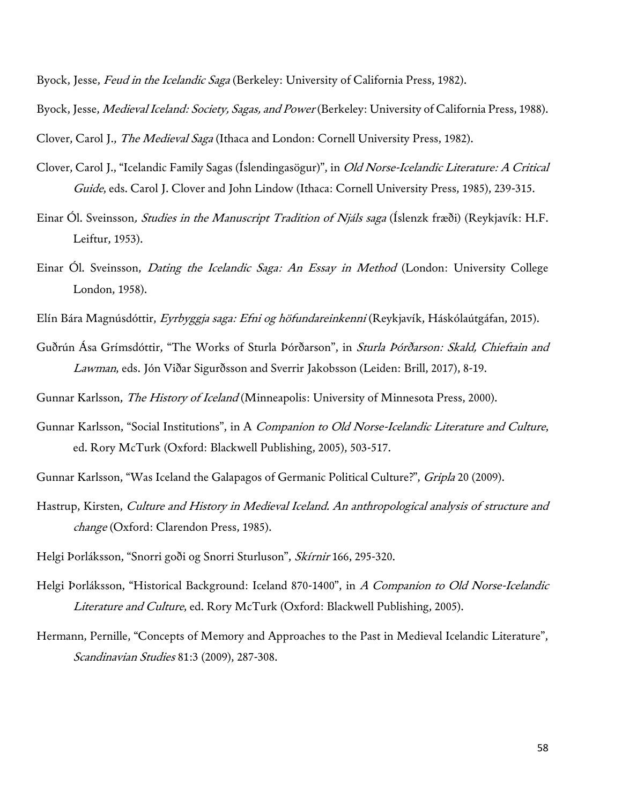Byock, Jesse, *Feud in the Icelandic Saga* (Berkeley: University of California Press, 1982).

Byock, Jesse, *Medieval Iceland: Society, Sagas, and Power* (Berkeley: University of California Press, 1988).

Clover, Carol J., *The Medieval Saga* (Ithaca and London: Cornell University Press, 1982).

- Clover, Carol J., "Icelandic Family Sagas (Íslendingasögur)", in Old Norse-Icelandic Literature: A Critical Guide, eds. Carol J. Clover and John Lindow (Ithaca: Cornell University Press, 1985), 239-315.
- Einar Ól. Sveinsson, *Studies in the Manuscript Tradition of Njáls saga* (Íslenzk fræði) (Reykjavík: H.F. Leiftur, 1953).
- Einar Ól. Sveinsson, *Dating the Icelandic Saga: An Essay in Method* (London: University College London, 1958).
- Elín Bára Magnúsdóttir, *Eyrbyggja saga: Efni og höfundareinkenni* (Reykjavík, Háskólaútgáfan, 2015).
- Guðrún Ása Grímsdóttir, "The Works of Sturla Þórðarson", in Sturla Þórðarson: Skald, Chieftain and Lawman, eds. Jón Viðar Sigurðsson and Sverrir Jakobsson (Leiden: Brill, 2017), 8-19.
- Gunnar Karlsson, The History of Iceland (Minneapolis: University of Minnesota Press, 2000).
- Gunnar Karlsson, "Social Institutions", in A Companion to Old Norse-Icelandic Literature and Culture, ed. Rory McTurk (Oxford: Blackwell Publishing, 2005), 503-517.
- Gunnar Karlsson, "Was Iceland the Galapagos of Germanic Political Culture?", *Gripla* 20 (2009).
- Hastrup, Kirsten, Culture and History in Medieval Iceland. An anthropological analysis of structure and change (Oxford: Clarendon Press, 1985).
- Helgi Þorláksson, "Snorri goði og Snorri Sturluson", Skírnir 166, 295-320.
- Helgi Þorláksson, "Historical Background: Iceland 870-1400", in A Companion to Old Norse-Icelandic Literature and Culture, ed. Rory McTurk (Oxford: Blackwell Publishing, 2005).
- Hermann, Pernille, "Concepts of Memory and Approaches to the Past in Medieval Icelandic Literature", Scandinavian Studies 81:3 (2009), 287-308.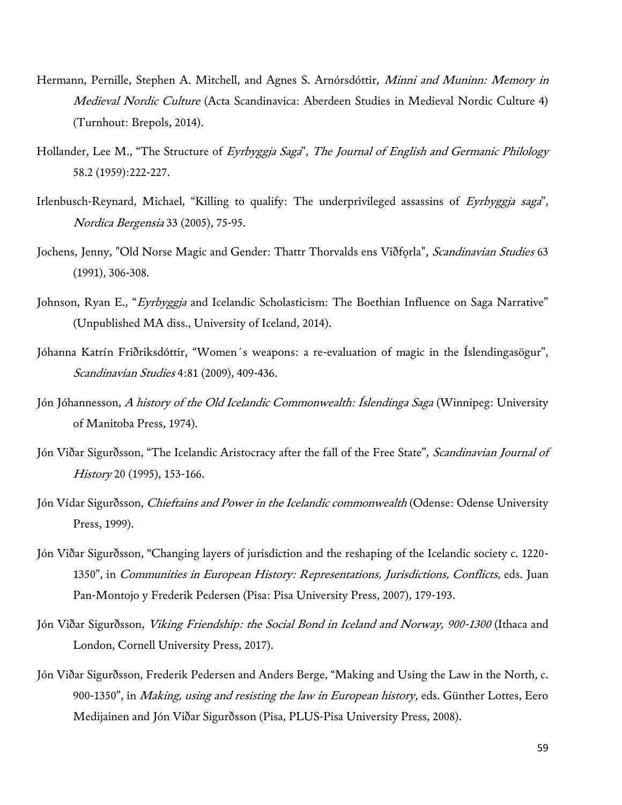- Hermann, Pernille, Stephen A. Mitchell, and Agnes S. Arnórsdóttir, Minni and Muninn: Memory in Medieval Nordic Culture (Acta Scandinavica: Aberdeen Studies in Medieval Nordic Culture 4) (Turnhout: Brepols, 2014).
- Hollander, Lee M., "The Structure of Eyrbyggja Saga", The Journal of English and Germanic Philology 58.2 (1959):222-227.
- Irlenbusch-Reynard, Michael, "Killing to qualify: The underprivileged assassins of Eyrbyggja saga", Nordica Bergensia 33 (2005), 75-95.
- Jochens, Jenny, "Old Norse Magic and Gender: Thattr Thorvalds ens Viðforla", Scandinavian Studies 63 (1991), 306-308.
- Johnson, Ryan E., "Eyrbyggja and Icelandic Scholasticism: The Boethian Influence on Saga Narrative" (Unpublished MA diss., University of Iceland, 2014).
- Jóhanna Katrín Friðriksdóttir, "Women´s weapons: a re-evaluation of magic in the Íslendingasögur", Scandinavian Studies 4:81 (2009), 409-436.
- Jón Jóhannesson, A history of the Old Icelandic Commonwealth: Íslendinga Saga (Winnipeg: University of Manitoba Press, 1974).
- Jón Viðar Sigurðsson, "The Icelandic Aristocracy after the fall of the Free State", Scandinavian Journal of History 20 (1995), 153-166.
- Jón Vídar Sigurðsson, Chieftains and Power in the Icelandic commonwealth (Odense: Odense University Press, 1999).
- Jón Viðar Sigurðsson, "Changing layers of jurisdiction and the reshaping of the Icelandic society c. 1220- 1350", in Communities in European History: Representations, Jurisdictions, Conflicts, eds. Juan Pan-Montojo y Frederik Pedersen (Pisa: Pisa University Press, 2007), 179-193.
- Jón Viðar Sigurðsson, Viking Friendship: the Social Bond in Iceland and Norway, 900-1300 (Ithaca and London, Cornell University Press, 2017).
- Jón Viðar Sigurðsson, Frederik Pedersen and Anders Berge, "Making and Using the Law in the North, c. 900-1350", in Making, using and resisting the law in European history, eds. Günther Lottes, Eero Medijainen and Jón Viðar Sigurðsson (Pisa, PLUS-Pisa University Press, 2008).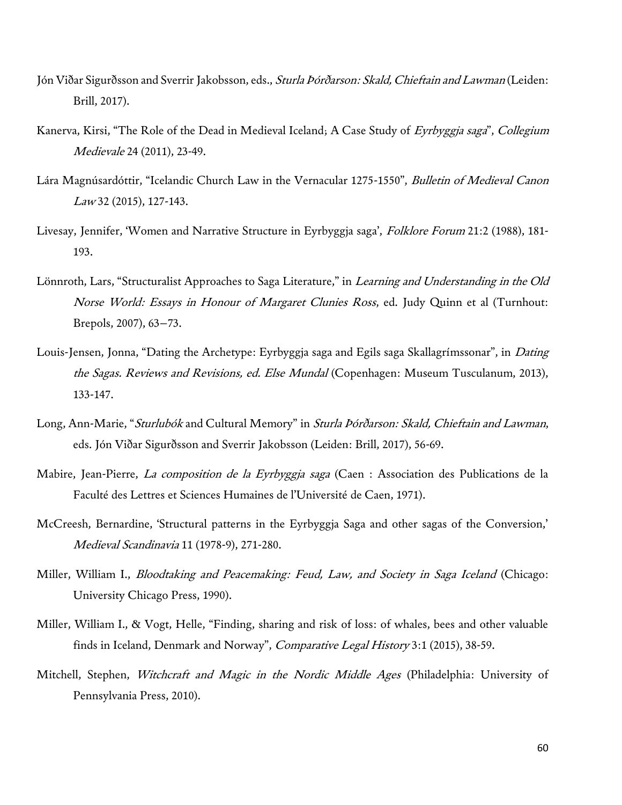- Jón Viðar Sigurðsson and Sverrir Jakobsson, eds., Sturla Þórðarson: Skald, Chieftain and Lawman (Leiden: Brill, 2017).
- Kanerva, Kirsi, "The Role of the Dead in Medieval Iceland; A Case Study of Eyrbyggja saga", Collegium Medievale 24 (2011), 23-49.
- Lára Magnúsardóttir, "Icelandic Church Law in the Vernacular 1275-1550", Bulletin of Medieval Canon Law 32 (2015), 127-143.
- Livesay, Jennifer, 'Women and Narrative Structure in Eyrbyggja saga', Folklore Forum 21:2 (1988), 181-193.
- Lönnroth, Lars, "Structuralist Approaches to Saga Literature," in *Learning and Understanding in the Old* Norse World: Essays in Honour of Margaret Clunies Ross, ed. Judy Quinn et al (Turnhout: Brepols, 2007), 63–73.
- Louis-Jensen, Jonna, "Dating the Archetype: Eyrbyggja saga and Egils saga Skallagrímssonar", in *Dating* the Sagas. Reviews and Revisions, ed. Else Mundal (Copenhagen: Museum Tusculanum, 2013), 133-147.
- Long, Ann-Marie, "Sturlubók and Cultural Memory" in Sturla Þórðarson: Skald, Chieftain and Lawman, eds. Jón Viðar Sigurðsson and Sverrir Jakobsson (Leiden: Brill, 2017), 56-69.
- Mabire, Jean-Pierre, *La composition de la Eyrbyggja saga* (Caen : Association des Publications de la Faculté des Lettres et Sciences Humaines de l'Université de Caen, 1971).
- McCreesh, Bernardine, 'Structural patterns in the Eyrbyggja Saga and other sagas of the Conversion,' Medieval Scandinavia 11 (1978-9), 271-280.
- Miller, William I., *Bloodtaking and Peacemaking: Feud, Law, and Society in Saga Iceland* (Chicago: University Chicago Press, 1990).
- Miller, William I., & Vogt, Helle, "Finding, sharing and risk of loss: of whales, bees and other valuable finds in Iceland, Denmark and Norway", Comparative Legal History 3:1 (2015), 38-59.
- Mitchell, Stephen, Witchcraft and Magic in the Nordic Middle Ages (Philadelphia: University of Pennsylvania Press, 2010).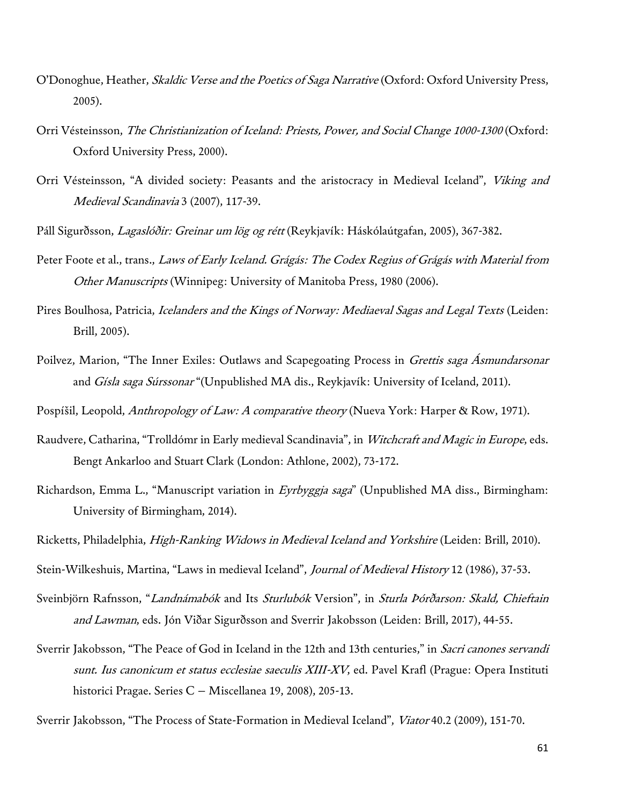- O'Donoghue, Heather, Skaldic Verse and the Poetics of Saga Narrative (Oxford: Oxford University Press, 2005).
- Orri Vésteinsson, The Christianization of Iceland: Priests, Power, and Social Change 1000-1300 (Oxford: Oxford University Press, 2000).
- Orri Vésteinsson, "A divided society: Peasants and the aristocracy in Medieval Iceland", Viking and Medieval Scandinavia 3 (2007), 117-39.
- Páll Sigurðsson, Lagaslóðir: Greinar um lög og rétt (Reykjavík: Háskólaútgafan, 2005), 367-382.
- Peter Foote et al., trans., Laws of Early Iceland. Grágás: The Codex Regius of Grágás with Material from Other Manuscripts (Winnipeg: University of Manitoba Press, 1980 (2006).
- Pires Boulhosa, Patricia, Icelanders and the Kings of Norway: Mediaeval Sagas and Legal Texts (Leiden: Brill, 2005).
- Poilvez, Marion, "The Inner Exiles: Outlaws and Scapegoating Process in Grettis saga Asmundarsonar and Gísla saga Súrssonar "(Unpublished MA dis., Reykjavík: University of Iceland, 2011).
- Pospíšil, Leopold, Anthropology of Law: A comparative theory (Nueva York: Harper & Row, 1971).
- Raudvere, Catharina, "Trolldómr in Early medieval Scandinavia", in Witchcraft and Magic in Europe, eds. Bengt Ankarloo and Stuart Clark (London: Athlone, 2002), 73-172.
- Richardson, Emma L., "Manuscript variation in Eyrbyggja saga" (Unpublished MA diss., Birmingham: University of Birmingham, 2014).
- Ricketts, Philadelphia, High-Ranking Widows in Medieval Iceland and Yorkshire (Leiden: Brill, 2010).
- Stein-Wilkeshuis, Martina, "Laws in medieval Iceland", Journal of Medieval History 12 (1986), 37-53.
- Sveinbjörn Rafnsson, "Landnámabók and Its Sturlubók Version", in Sturla Þórðarson: Skald, Chieftain and Lawman, eds. Jón Viðar Sigurðsson and Sverrir Jakobsson (Leiden: Brill, 2017), 44-55.
- Sverrir Jakobsson, "The Peace of God in Iceland in the 12th and 13th centuries," in Sacri canones servandi sunt. Ius canonicum et status ecclesiae saeculis XIII-XV, ed. Pavel Krafl (Prague: Opera Instituti historici Pragae. Series C – Miscellanea 19, 2008), 205-13.
- Sverrir Jakobsson, "The Process of State-Formation in Medieval Iceland", Viator 40.2 (2009), 151-70.